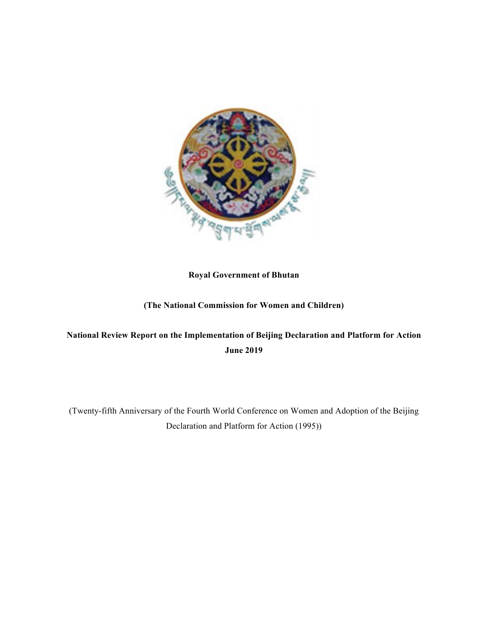

# **Royal Government of Bhutan**

# **(The National Commission for Women and Children)**

# **National Review Report on the Implementation of Beijing Declaration and Platform for Action June 2019**

(Twenty-fifth Anniversary of the Fourth World Conference on Women and Adoption of the Beijing Declaration and Platform for Action (1995))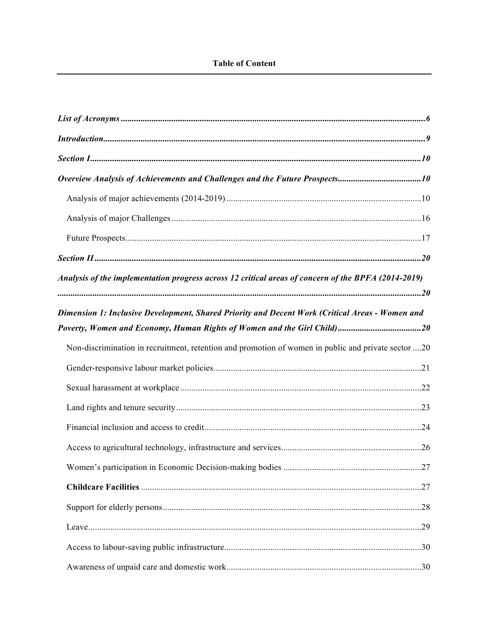| Analysis of the implementation progress across 12 critical areas of concern of the BPFA (2014-2019) |  |
|-----------------------------------------------------------------------------------------------------|--|
| Dimension 1: Inclusive Development, Shared Priority and Decent Work (Critical Areas - Women and     |  |
|                                                                                                     |  |
| Non-discrimination in recruitment, retention and promotion of women in public and private sector 20 |  |
|                                                                                                     |  |
|                                                                                                     |  |
|                                                                                                     |  |
|                                                                                                     |  |
|                                                                                                     |  |
|                                                                                                     |  |
|                                                                                                     |  |
|                                                                                                     |  |
|                                                                                                     |  |
|                                                                                                     |  |
|                                                                                                     |  |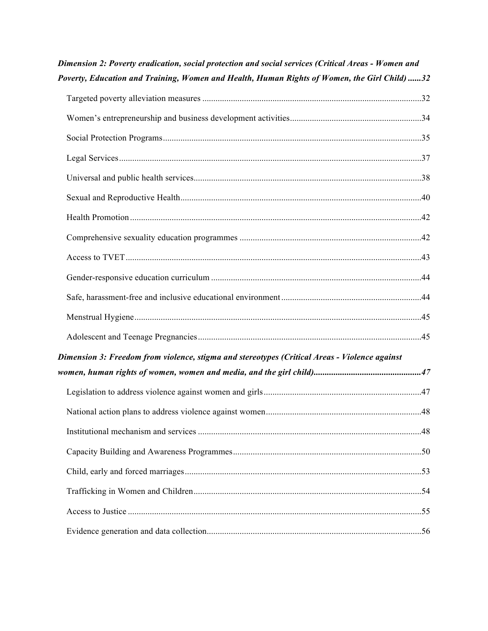| Dimension 2: Poverty eradication, social protection and social services (Critical Areas - Women and |  |
|-----------------------------------------------------------------------------------------------------|--|
| Poverty, Education and Training, Women and Health, Human Rights of Women, the Girl Child) 32        |  |
|                                                                                                     |  |
|                                                                                                     |  |
|                                                                                                     |  |
|                                                                                                     |  |
|                                                                                                     |  |
|                                                                                                     |  |
|                                                                                                     |  |
|                                                                                                     |  |
|                                                                                                     |  |
|                                                                                                     |  |
|                                                                                                     |  |
|                                                                                                     |  |
|                                                                                                     |  |
| Dimension 3: Freedom from violence, stigma and stereotypes (Critical Areas - Violence against       |  |
|                                                                                                     |  |
|                                                                                                     |  |
|                                                                                                     |  |
|                                                                                                     |  |
|                                                                                                     |  |
|                                                                                                     |  |
|                                                                                                     |  |
|                                                                                                     |  |
|                                                                                                     |  |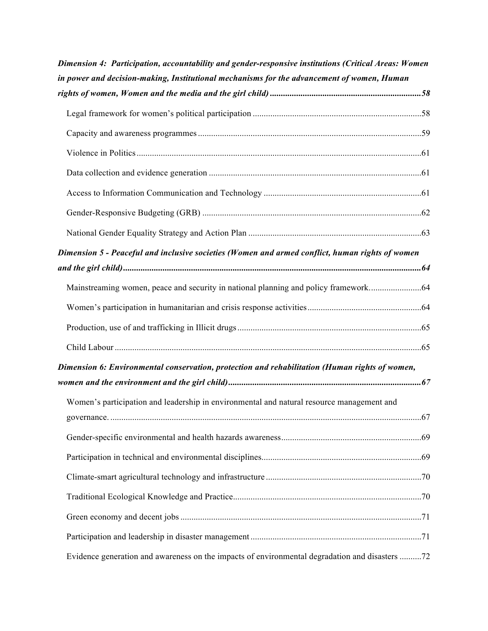| Dimension 4: Participation, accountability and gender-responsive institutions (Critical Areas: Women |  |
|------------------------------------------------------------------------------------------------------|--|
| in power and decision-making, Institutional mechanisms for the advancement of women, Human           |  |
|                                                                                                      |  |
|                                                                                                      |  |
|                                                                                                      |  |
|                                                                                                      |  |
|                                                                                                      |  |
|                                                                                                      |  |
|                                                                                                      |  |
|                                                                                                      |  |
| Dimension 5 - Peaceful and inclusive societies (Women and armed conflict, human rights of women      |  |
|                                                                                                      |  |
|                                                                                                      |  |
|                                                                                                      |  |
|                                                                                                      |  |
|                                                                                                      |  |
| Dimension 6: Environmental conservation, protection and rehabilitation (Human rights of women,       |  |
|                                                                                                      |  |
| Women's participation and leadership in environmental and natural resource management and            |  |
|                                                                                                      |  |
|                                                                                                      |  |
|                                                                                                      |  |
|                                                                                                      |  |
|                                                                                                      |  |
|                                                                                                      |  |
|                                                                                                      |  |
| Evidence generation and awareness on the impacts of environmental degradation and disasters 72       |  |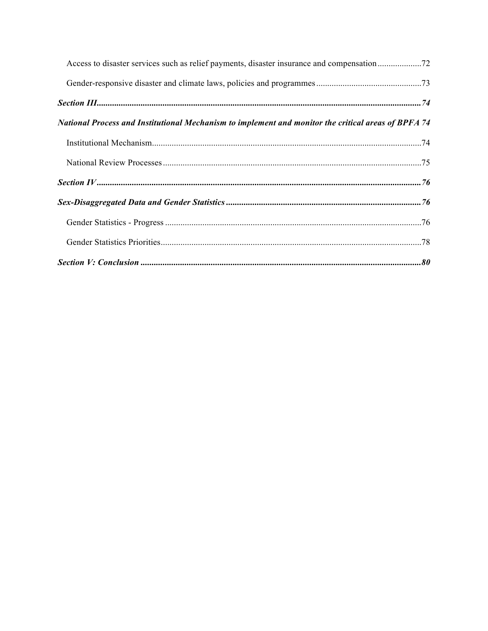| National Process and Institutional Mechanism to implement and monitor the critical areas of BPFA 74 |  |
|-----------------------------------------------------------------------------------------------------|--|
|                                                                                                     |  |
|                                                                                                     |  |
|                                                                                                     |  |
|                                                                                                     |  |
|                                                                                                     |  |
|                                                                                                     |  |
|                                                                                                     |  |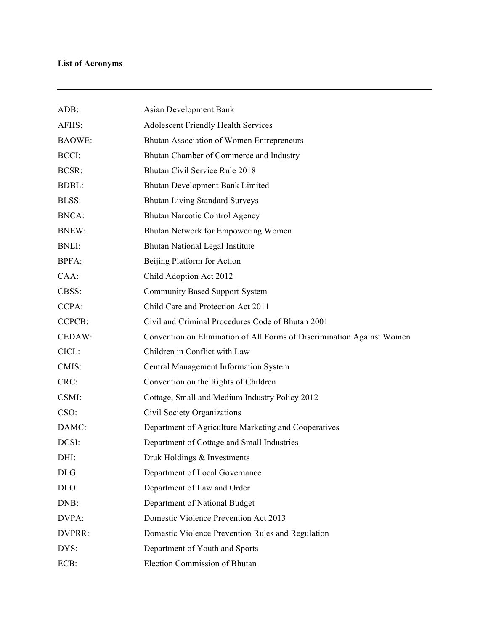# **List of Acronyms**

| ADB:          | Asian Development Bank                                                 |
|---------------|------------------------------------------------------------------------|
| AFHS:         | <b>Adolescent Friendly Health Services</b>                             |
| <b>BAOWE:</b> | Bhutan Association of Women Entrepreneurs                              |
| BCCI:         | Bhutan Chamber of Commerce and Industry                                |
| BCSR:         | Bhutan Civil Service Rule 2018                                         |
| <b>BDBL:</b>  | Bhutan Development Bank Limited                                        |
| <b>BLSS:</b>  | <b>Bhutan Living Standard Surveys</b>                                  |
| <b>BNCA:</b>  | <b>Bhutan Narcotic Control Agency</b>                                  |
| <b>BNEW:</b>  | Bhutan Network for Empowering Women                                    |
| <b>BNLI:</b>  | Bhutan National Legal Institute                                        |
| <b>BPFA:</b>  | Beijing Platform for Action                                            |
| CAA:          | Child Adoption Act 2012                                                |
| CBSS:         | <b>Community Based Support System</b>                                  |
| CCPA:         | Child Care and Protection Act 2011                                     |
| <b>CCPCB:</b> | Civil and Criminal Procedures Code of Bhutan 2001                      |
| CEDAW:        | Convention on Elimination of All Forms of Discrimination Against Women |
| CICL:         | Children in Conflict with Law                                          |
| CMIS:         | Central Management Information System                                  |
| CRC:          | Convention on the Rights of Children                                   |
| CSMI:         | Cottage, Small and Medium Industry Policy 2012                         |
| CSO:          | Civil Society Organizations                                            |
| DAMC:         | Department of Agriculture Marketing and Cooperatives                   |
| DCSI:         | Department of Cottage and Small Industries                             |
| DHI:          | Druk Holdings & Investments                                            |
| DLG:          | Department of Local Governance                                         |
| DLO:          | Department of Law and Order                                            |
| DNB:          | Department of National Budget                                          |
| DVPA:         | Domestic Violence Prevention Act 2013                                  |
| DVPRR:        | Domestic Violence Prevention Rules and Regulation                      |
| DYS:          | Department of Youth and Sports                                         |
| ECB:          | Election Commission of Bhutan                                          |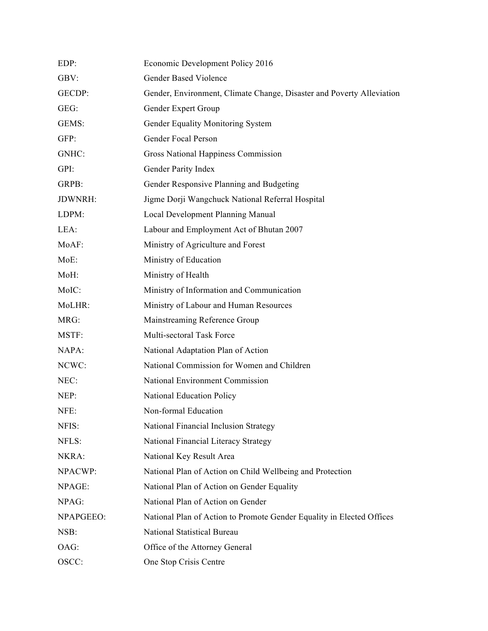| EDP:           | Economic Development Policy 2016                                      |
|----------------|-----------------------------------------------------------------------|
| GBV:           | <b>Gender Based Violence</b>                                          |
| GECDP:         | Gender, Environment, Climate Change, Disaster and Poverty Alleviation |
| GEG:           | Gender Expert Group                                                   |
| GEMS:          | Gender Equality Monitoring System                                     |
| GFP:           | Gender Focal Person                                                   |
| GNHC:          | <b>Gross National Happiness Commission</b>                            |
| GPI:           | Gender Parity Index                                                   |
| GRPB:          | Gender Responsive Planning and Budgeting                              |
| <b>JDWNRH:</b> | Jigme Dorji Wangchuck National Referral Hospital                      |
| LDPM:          | Local Development Planning Manual                                     |
| LEA:           | Labour and Employment Act of Bhutan 2007                              |
| MoAF:          | Ministry of Agriculture and Forest                                    |
| MoE:           | Ministry of Education                                                 |
| MoH:           | Ministry of Health                                                    |
| MoIC:          | Ministry of Information and Communication                             |
| MoLHR:         | Ministry of Labour and Human Resources                                |
| MRG:           | Mainstreaming Reference Group                                         |
| MSTF:          | Multi-sectoral Task Force                                             |
| NAPA:          | National Adaptation Plan of Action                                    |
| NCWC:          | National Commission for Women and Children                            |
| NEC:           | National Environment Commission                                       |
| NEP:           | <b>National Education Policy</b>                                      |
| NFE:           | Non-formal Education                                                  |
| NFIS:          | National Financial Inclusion Strategy                                 |
| NFLS:          | National Financial Literacy Strategy                                  |
| NKRA:          | National Key Result Area                                              |
| NPACWP:        | National Plan of Action on Child Wellbeing and Protection             |
| NPAGE:         | National Plan of Action on Gender Equality                            |
| NPAG:          | National Plan of Action on Gender                                     |
| NPAPGEEO:      | National Plan of Action to Promote Gender Equality in Elected Offices |
| NSB:           | National Statistical Bureau                                           |
| OAG:           | Office of the Attorney General                                        |
| OSCC:          | One Stop Crisis Centre                                                |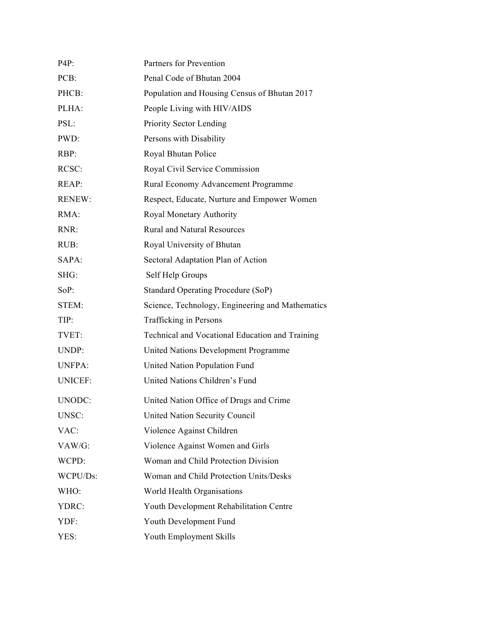| $P4P$ :        | Partners for Prevention                          |
|----------------|--------------------------------------------------|
| PCB:           | Penal Code of Bhutan 2004                        |
| PHCB:          | Population and Housing Census of Bhutan 2017     |
| PLHA:          | People Living with HIV/AIDS                      |
| PSL:           | Priority Sector Lending                          |
| PWD:           | Persons with Disability                          |
| $RBP$ :        | Royal Bhutan Police                              |
| RCSC:          | Royal Civil Service Commission                   |
| REAP:          | Rural Economy Advancement Programme              |
| <b>RENEW:</b>  | Respect, Educate, Nurture and Empower Women      |
| RMA:           | Royal Monetary Authority                         |
| RNR:           | <b>Rural and Natural Resources</b>               |
| RUB:           | Royal University of Bhutan                       |
| SAPA:          | Sectoral Adaptation Plan of Action               |
| SHG:           | Self Help Groups                                 |
| SoP:           | <b>Standard Operating Procedure (SoP)</b>        |
| STEM:          | Science, Technology, Engineering and Mathematics |
| TIP:           | <b>Trafficking in Persons</b>                    |
| TVET:          | Technical and Vocational Education and Training  |
| UNDP:          | United Nations Development Programme             |
| <b>UNFPA:</b>  | United Nation Population Fund                    |
| <b>UNICEF:</b> | United Nations Children's Fund                   |
| UNODC:         | United Nation Office of Drugs and Crime          |
| UNSC:          | United Nation Security Council                   |
| VAC:           | Violence Against Children                        |
| VAW/G:         | Violence Against Women and Girls                 |
| WCPD:          | Woman and Child Protection Division              |
| WCPU/Ds:       | Woman and Child Protection Units/Desks           |
| WHO:           | World Health Organisations                       |
| YDRC:          | Youth Development Rehabilitation Centre          |
| YDF:           | Youth Development Fund                           |
| YES:           | Youth Employment Skills                          |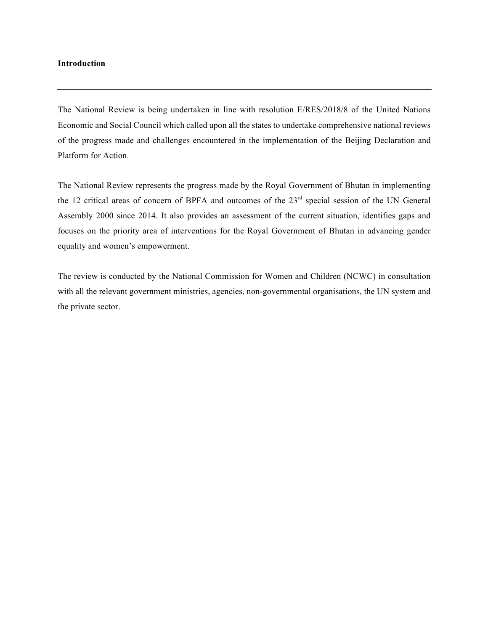### **Introduction**

The National Review is being undertaken in line with resolution E/RES/2018/8 of the United Nations Economic and Social Council which called upon all the states to undertake comprehensive national reviews of the progress made and challenges encountered in the implementation of the Beijing Declaration and Platform for Action.

The National Review represents the progress made by the Royal Government of Bhutan in implementing the 12 critical areas of concern of BPFA and outcomes of the 23<sup>rd</sup> special session of the UN General Assembly 2000 since 2014. It also provides an assessment of the current situation, identifies gaps and focuses on the priority area of interventions for the Royal Government of Bhutan in advancing gender equality and women's empowerment.

The review is conducted by the National Commission for Women and Children (NCWC) in consultation with all the relevant government ministries, agencies, non-governmental organisations, the UN system and the private sector.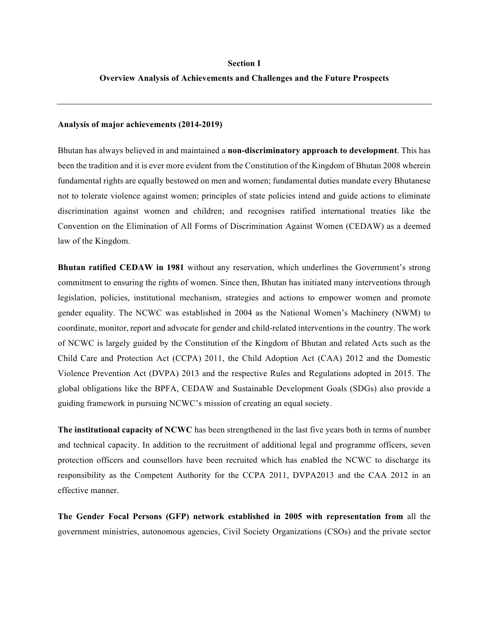#### **Section I**

#### **Overview Analysis of Achievements and Challenges and the Future Prospects**

#### **Analysis of major achievements (2014-2019)**

Bhutan has always believed in and maintained a **non-discriminatory approach to development**. This has been the tradition and it is ever more evident from the Constitution of the Kingdom of Bhutan 2008 wherein fundamental rights are equally bestowed on men and women; fundamental duties mandate every Bhutanese not to tolerate violence against women; principles of state policies intend and guide actions to eliminate discrimination against women and children; and recognises ratified international treaties like the Convention on the Elimination of All Forms of Discrimination Against Women (CEDAW) as a deemed law of the Kingdom.

**Bhutan ratified CEDAW in 1981** without any reservation, which underlines the Government's strong commitment to ensuring the rights of women. Since then, Bhutan has initiated many interventions through legislation, policies, institutional mechanism, strategies and actions to empower women and promote gender equality. The NCWC was established in 2004 as the National Women's Machinery (NWM) to coordinate, monitor, report and advocate for gender and child-related interventions in the country. The work of NCWC is largely guided by the Constitution of the Kingdom of Bhutan and related Acts such as the Child Care and Protection Act (CCPA) 2011, the Child Adoption Act (CAA) 2012 and the Domestic Violence Prevention Act (DVPA) 2013 and the respective Rules and Regulations adopted in 2015. The global obligations like the BPFA, CEDAW and Sustainable Development Goals (SDGs) also provide a guiding framework in pursuing NCWC's mission of creating an equal society.

**The institutional capacity of NCWC** has been strengthened in the last five years both in terms of number and technical capacity. In addition to the recruitment of additional legal and programme officers, seven protection officers and counsellors have been recruited which has enabled the NCWC to discharge its responsibility as the Competent Authority for the CCPA 2011, DVPA2013 and the CAA 2012 in an effective manner.

**The Gender Focal Persons (GFP) network established in 2005 with representation from** all the government ministries, autonomous agencies, Civil Society Organizations (CSOs) and the private sector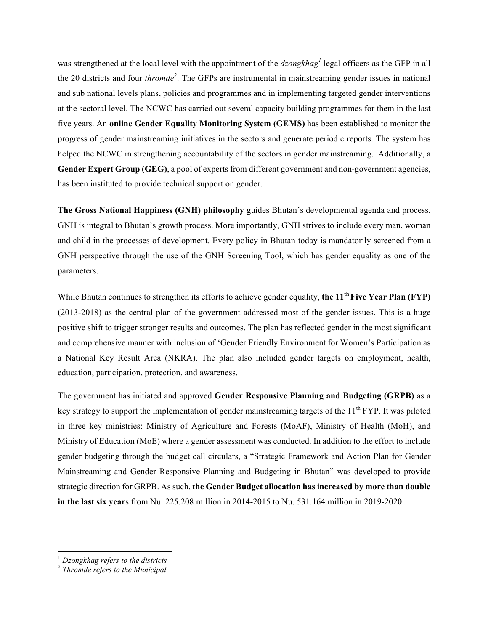was strengthened at the local level with the appointment of the *dzongkhag*<sup>*1*</sup> legal officers as the GFP in all the 20 districts and four *thromde<sup>2</sup>* . The GFPs are instrumental in mainstreaming gender issues in national and sub national levels plans, policies and programmes and in implementing targeted gender interventions at the sectoral level. The NCWC has carried out several capacity building programmes for them in the last five years. An **online Gender Equality Monitoring System (GEMS)** has been established to monitor the progress of gender mainstreaming initiatives in the sectors and generate periodic reports. The system has helped the NCWC in strengthening accountability of the sectors in gender mainstreaming. Additionally, a **Gender Expert Group (GEG)**, a pool of experts from different government and non-government agencies, has been instituted to provide technical support on gender.

**The Gross National Happiness (GNH) philosophy** guides Bhutan's developmental agenda and process. GNH is integral to Bhutan's growth process. More importantly, GNH strives to include every man, woman and child in the processes of development. Every policy in Bhutan today is mandatorily screened from a GNH perspective through the use of the GNH Screening Tool, which has gender equality as one of the parameters.

While Bhutan continues to strengthen its efforts to achieve gender equality, the 11<sup>th</sup> Five Year Plan (FYP) (2013-2018) as the central plan of the government addressed most of the gender issues. This is a huge positive shift to trigger stronger results and outcomes. The plan has reflected gender in the most significant and comprehensive manner with inclusion of 'Gender Friendly Environment for Women's Participation as a National Key Result Area (NKRA). The plan also included gender targets on employment, health, education, participation, protection, and awareness.

The government has initiated and approved **Gender Responsive Planning and Budgeting (GRPB)** as a key strategy to support the implementation of gender mainstreaming targets of the  $11<sup>th</sup> FYP$ . It was piloted in three key ministries: Ministry of Agriculture and Forests (MoAF), Ministry of Health (MoH), and Ministry of Education (MoE) where a gender assessment was conducted. In addition to the effort to include gender budgeting through the budget call circulars, a "Strategic Framework and Action Plan for Gender Mainstreaming and Gender Responsive Planning and Budgeting in Bhutan" was developed to provide strategic direction for GRPB. As such, **the Gender Budget allocation has increased by more than double in the last six year**s from Nu. 225.208 million in 2014-2015 to Nu. 531.164 million in 2019-2020.

<sup>1</sup> *Dzongkhag refers to the districts*

*<sup>2</sup> Thromde refers to the Municipal*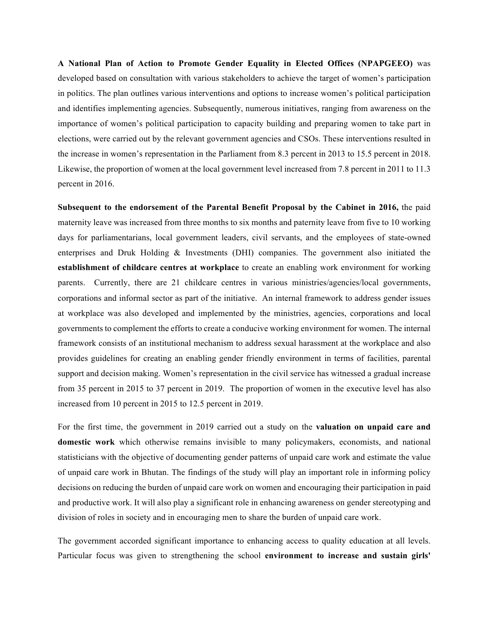**A National Plan of Action to Promote Gender Equality in Elected Offices (NPAPGEEO)** was developed based on consultation with various stakeholders to achieve the target of women's participation in politics. The plan outlines various interventions and options to increase women's political participation and identifies implementing agencies. Subsequently, numerous initiatives, ranging from awareness on the importance of women's political participation to capacity building and preparing women to take part in elections, were carried out by the relevant government agencies and CSOs. These interventions resulted in the increase in women's representation in the Parliament from 8.3 percent in 2013 to 15.5 percent in 2018. Likewise, the proportion of women at the local government level increased from 7.8 percent in 2011 to 11.3 percent in 2016.

**Subsequent to the endorsement of the Parental Benefit Proposal by the Cabinet in 2016,** the paid maternity leave was increased from three months to six months and paternity leave from five to 10 working days for parliamentarians, local government leaders, civil servants, and the employees of state-owned enterprises and Druk Holding & Investments (DHI) companies. The government also initiated the **establishment of childcare centres at workplace** to create an enabling work environment for working parents. Currently, there are 21 childcare centres in various ministries/agencies/local governments, corporations and informal sector as part of the initiative. An internal framework to address gender issues at workplace was also developed and implemented by the ministries, agencies, corporations and local governments to complement the efforts to create a conducive working environment for women. The internal framework consists of an institutional mechanism to address sexual harassment at the workplace and also provides guidelines for creating an enabling gender friendly environment in terms of facilities, parental support and decision making. Women's representation in the civil service has witnessed a gradual increase from 35 percent in 2015 to 37 percent in 2019. The proportion of women in the executive level has also increased from 10 percent in 2015 to 12.5 percent in 2019.

For the first time, the government in 2019 carried out a study on the **valuation on unpaid care and domestic work** which otherwise remains invisible to many policymakers, economists, and national statisticians with the objective of documenting gender patterns of unpaid care work and estimate the value of unpaid care work in Bhutan. The findings of the study will play an important role in informing policy decisions on reducing the burden of unpaid care work on women and encouraging their participation in paid and productive work. It will also play a significant role in enhancing awareness on gender stereotyping and division of roles in society and in encouraging men to share the burden of unpaid care work.

The government accorded significant importance to enhancing access to quality education at all levels. Particular focus was given to strengthening the school **environment to increase and sustain girls'**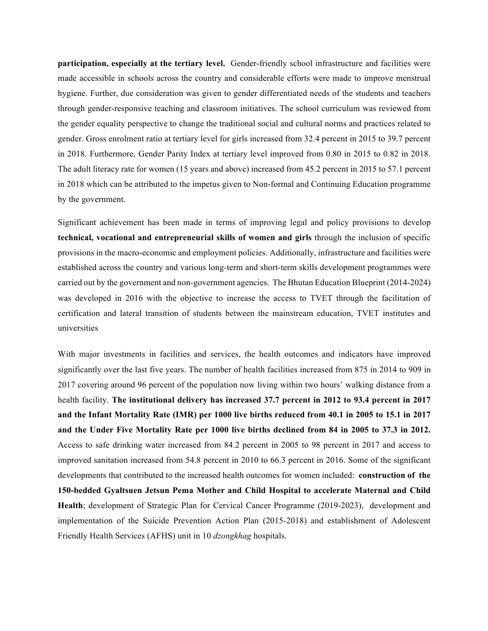**participation, especially at the tertiary level.** Gender-friendly school infrastructure and facilities were made accessible in schools across the country and considerable efforts were made to improve menstrual hygiene. Further, due consideration was given to gender differentiated needs of the students and teachers through gender-responsive teaching and classroom initiatives. The school curriculum was reviewed from the gender equality perspective to change the traditional social and cultural norms and practices related to gender. Gross enrolment ratio at tertiary level for girls increased from 32.4 percent in 2015 to 39.7 percent in 2018. Furthermore, Gender Parity Index at tertiary level improved from 0.80 in 2015 to 0.82 in 2018. The adult literacy rate for women (15 years and above) increased from 45.2 percent in 2015 to 57.1 percent in 2018 which can be attributed to the impetus given to Non-formal and Continuing Education programme by the government.

Significant achievement has been made in terms of improving legal and policy provisions to develop **technical, vocational and entrepreneurial skills of women and girls** through the inclusion of specific provisions in the macro-economic and employment policies. Additionally, infrastructure and facilities were established across the country and various long-term and short-term skills development programmes were carried out by the government and non-government agencies. The Bhutan Education Blueprint (2014-2024) was developed in 2016 with the objective to increase the access to TVET through the facilitation of certification and lateral transition of students between the mainstream education, TVET institutes and universities

With major investments in facilities and services, the health outcomes and indicators have improved significantly over the last five years. The number of health facilities increased from 875 in 2014 to 909 in 2017 covering around 96 percent of the population now living within two hours' walking distance from a health facility. **The institutional delivery has increased 37.7 percent in 2012 to 93.4 percent in 2017 and the Infant Mortality Rate (IMR) per 1000 live births reduced from 40.1 in 2005 to 15.1 in 2017 and the Under Five Mortality Rate per 1000 live births declined from 84 in 2005 to 37.3 in 2012.** Access to safe drinking water increased from 84.2 percent in 2005 to 98 percent in 2017 and access to improved sanitation increased from 54.8 percent in 2010 to 66.3 percent in 2016. Some of the significant developments that contributed to the increased health outcomes for women included: **construction of the 150-bedded Gyaltsuen Jetsun Pema Mother and Child Hospital to accelerate Maternal and Child Health**; development of Strategic Plan for Cervical Cancer Programme (2019-2023), development and implementation of the Suicide Prevention Action Plan (2015-2018) and establishment of Adolescent Friendly Health Services (AFHS) unit in 10 *dzongkhag* hospitals.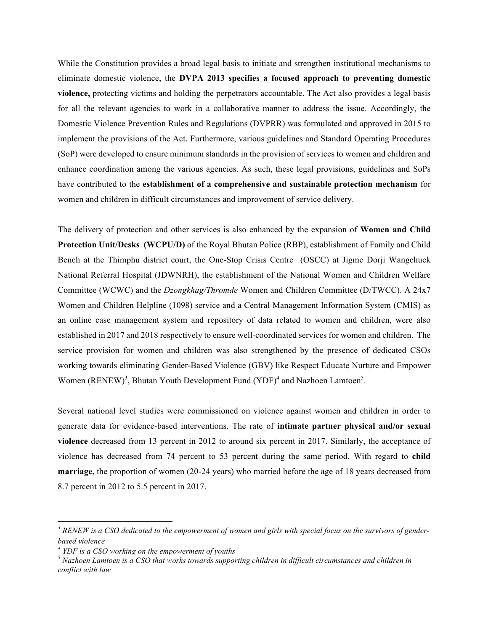While the Constitution provides a broad legal basis to initiate and strengthen institutional mechanisms to eliminate domestic violence, the **DVPA 2013 specifies a focused approach to preventing domestic violence,** protecting victims and holding the perpetrators accountable. The Act also provides a legal basis for all the relevant agencies to work in a collaborative manner to address the issue. Accordingly, the Domestic Violence Prevention Rules and Regulations (DVPRR) was formulated and approved in 2015 to implement the provisions of the Act. Furthermore, various guidelines and Standard Operating Procedures (SoP) were developed to ensure minimum standards in the provision of services to women and children and enhance coordination among the various agencies. As such, these legal provisions, guidelines and SoPs have contributed to the **establishment of a comprehensive and sustainable protection mechanism** for women and children in difficult circumstances and improvement of service delivery.

The delivery of protection and other services is also enhanced by the expansion of **Women and Child Protection Unit/Desks (WCPU/D)** of the Royal Bhutan Police (RBP), establishment of Family and Child Bench at the Thimphu district court, the One-Stop Crisis Centre (OSCC) at Jigme Dorji Wangchuck National Referral Hospital (JDWNRH), the establishment of the National Women and Children Welfare Committee (WCWC) and the *Dzongkhag/Thromde* Women and Children Committee (D/TWCC). A 24x7 Women and Children Helpline (1098) service and a Central Management Information System (CMIS) as an online case management system and repository of data related to women and children, were also established in 2017 and 2018 respectively to ensure well-coordinated services for women and children. The service provision for women and children was also strengthened by the presence of dedicated CSOs working towards eliminating Gender-Based Violence (GBV) like Respect Educate Nurture and Empower Women  $(RENEW)^3$ , Bhutan Youth Development Fund  $(YDF)^4$  and Nazhoen Lamtoen<sup>5</sup>.

Several national level studies were commissioned on violence against women and children in order to generate data for evidence-based interventions. The rate of **intimate partner physical and/or sexual violence** decreased from 13 percent in 2012 to around six percent in 2017. Similarly, the acceptance of violence has decreased from 74 percent to 53 percent during the same period. With regard to **child marriage,** the proportion of women (20-24 years) who married before the age of 18 years decreased from 8.7 percent in 2012 to 5.5 percent in 2017.

*<sup>3</sup> RENEW is a CSO dedicated to the empowerment of women and girls with special focus on the survivors of genderbased violence*

*<sup>4</sup> YDF is a CSO working on the empowerment of youths* 

*<sup>5</sup> Nazhoen Lamtoen is a CSO that works towards supporting children in difficult circumstances and children in conflict with law*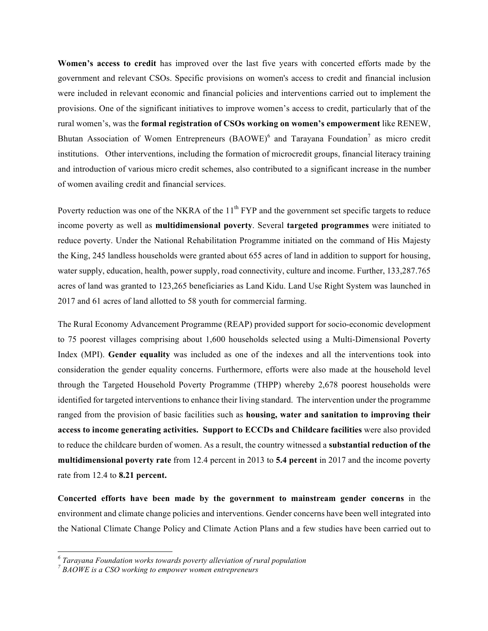**Women's access to credit** has improved over the last five years with concerted efforts made by the government and relevant CSOs. Specific provisions on women's access to credit and financial inclusion were included in relevant economic and financial policies and interventions carried out to implement the provisions. One of the significant initiatives to improve women's access to credit, particularly that of the rural women's, was the **formal registration of CSOs working on women's empowerment** like RENEW, Bhutan Association of Women Entrepreneurs  $(BAOWE)^6$  and Tarayana Foundation<sup>7</sup> as micro credit institutions. Other interventions, including the formation of microcredit groups, financial literacy training and introduction of various micro credit schemes, also contributed to a significant increase in the number of women availing credit and financial services.

Poverty reduction was one of the NKRA of the  $11<sup>th</sup> FYP$  and the government set specific targets to reduce income poverty as well as **multidimensional poverty**. Several **targeted programmes** were initiated to reduce poverty. Under the National Rehabilitation Programme initiated on the command of His Majesty the King, 245 landless households were granted about 655 acres of land in addition to support for housing, water supply, education, health, power supply, road connectivity, culture and income. Further, 133,287.765 acres of land was granted to 123,265 beneficiaries as Land Kidu. Land Use Right System was launched in 2017 and 61 acres of land allotted to 58 youth for commercial farming.

The Rural Economy Advancement Programme (REAP) provided support for socio-economic development to 75 poorest villages comprising about 1,600 households selected using a Multi-Dimensional Poverty Index (MPI). **Gender equality** was included as one of the indexes and all the interventions took into consideration the gender equality concerns. Furthermore, efforts were also made at the household level through the Targeted Household Poverty Programme (THPP) whereby 2,678 poorest households were identified for targeted interventions to enhance their living standard. The intervention under the programme ranged from the provision of basic facilities such as **housing, water and sanitation to improving their access to income generating activities. Support to ECCDs and Childcare facilities** were also provided to reduce the childcare burden of women. As a result, the country witnessed a **substantial reduction of the multidimensional poverty rate** from 12.4 percent in 2013 to **5.4 percent** in 2017 and the income poverty rate from 12.4 to **8.21 percent.** 

**Concerted efforts have been made by the government to mainstream gender concerns** in the environment and climate change policies and interventions. Gender concerns have been well integrated into the National Climate Change Policy and Climate Action Plans and a few studies have been carried out to

*<sup>6</sup> Tarayana Foundation works towards poverty alleviation of rural population*

*<sup>7</sup> BAOWE is a CSO working to empower women entrepreneurs*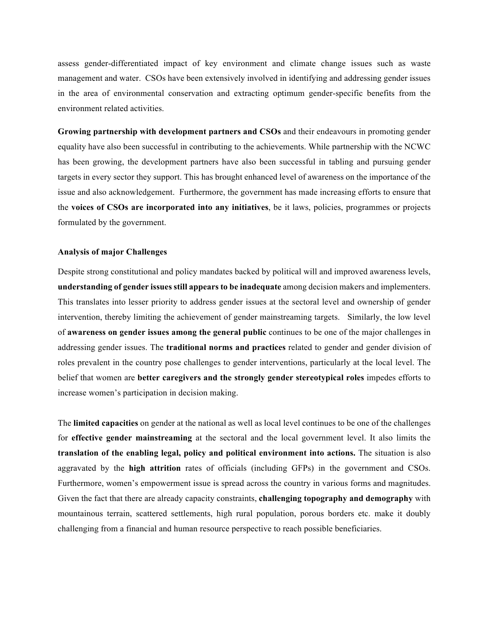assess gender-differentiated impact of key environment and climate change issues such as waste management and water. CSOs have been extensively involved in identifying and addressing gender issues in the area of environmental conservation and extracting optimum gender-specific benefits from the environment related activities.

**Growing partnership with development partners and CSOs** and their endeavours in promoting gender equality have also been successful in contributing to the achievements. While partnership with the NCWC has been growing, the development partners have also been successful in tabling and pursuing gender targets in every sector they support. This has brought enhanced level of awareness on the importance of the issue and also acknowledgement. Furthermore, the government has made increasing efforts to ensure that the **voices of CSOs are incorporated into any initiatives**, be it laws, policies, programmes or projects formulated by the government.

## **Analysis of major Challenges**

Despite strong constitutional and policy mandates backed by political will and improved awareness levels, **understanding of gender issues still appears to be inadequate** among decision makers and implementers. This translates into lesser priority to address gender issues at the sectoral level and ownership of gender intervention, thereby limiting the achievement of gender mainstreaming targets. Similarly, the low level of **awareness on gender issues among the general public** continues to be one of the major challenges in addressing gender issues. The **traditional norms and practices** related to gender and gender division of roles prevalent in the country pose challenges to gender interventions, particularly at the local level. The belief that women are **better caregivers and the strongly gender stereotypical roles** impedes efforts to increase women's participation in decision making.

The **limited capacities** on gender at the national as well as local level continues to be one of the challenges for **effective gender mainstreaming** at the sectoral and the local government level. It also limits the **translation of the enabling legal, policy and political environment into actions.** The situation is also aggravated by the **high attrition** rates of officials (including GFPs) in the government and CSOs. Furthermore, women's empowerment issue is spread across the country in various forms and magnitudes. Given the fact that there are already capacity constraints, **challenging topography and demography** with mountainous terrain, scattered settlements, high rural population, porous borders etc. make it doubly challenging from a financial and human resource perspective to reach possible beneficiaries.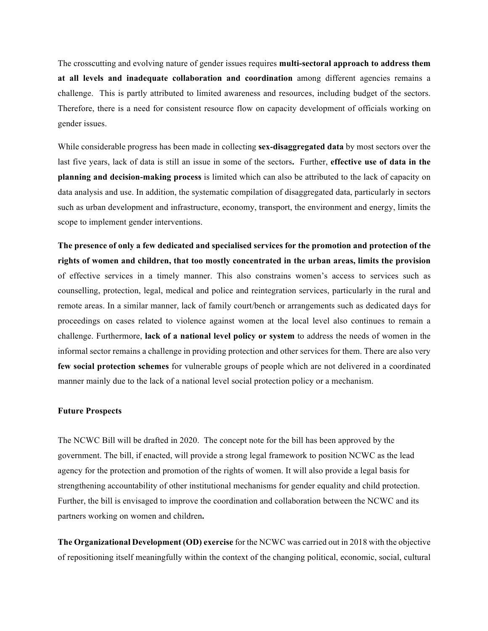The crosscutting and evolving nature of gender issues requires **multi-sectoral approach to address them at all levels and inadequate collaboration and coordination** among different agencies remains a challenge. This is partly attributed to limited awareness and resources, including budget of the sectors. Therefore, there is a need for consistent resource flow on capacity development of officials working on gender issues.

While considerable progress has been made in collecting **sex-disaggregated data** by most sectors over the last five years, lack of data is still an issue in some of the sectors**.** Further, **effective use of data in the planning and decision-making process** is limited which can also be attributed to the lack of capacity on data analysis and use. In addition, the systematic compilation of disaggregated data, particularly in sectors such as urban development and infrastructure, economy, transport, the environment and energy, limits the scope to implement gender interventions.

**The presence of only a few dedicated and specialised services for the promotion and protection of the rights of women and children, that too mostly concentrated in the urban areas, limits the provision** of effective services in a timely manner. This also constrains women's access to services such as counselling, protection, legal, medical and police and reintegration services, particularly in the rural and remote areas. In a similar manner, lack of family court/bench or arrangements such as dedicated days for proceedings on cases related to violence against women at the local level also continues to remain a challenge. Furthermore, **lack of a national level policy or system** to address the needs of women in the informal sector remains a challenge in providing protection and other services for them. There are also very **few social protection schemes** for vulnerable groups of people which are not delivered in a coordinated manner mainly due to the lack of a national level social protection policy or a mechanism.

#### **Future Prospects**

The NCWC Bill will be drafted in 2020. The concept note for the bill has been approved by the government. The bill, if enacted, will provide a strong legal framework to position NCWC as the lead agency for the protection and promotion of the rights of women. It will also provide a legal basis for strengthening accountability of other institutional mechanisms for gender equality and child protection. Further, the bill is envisaged to improve the coordination and collaboration between the NCWC and its partners working on women and children**.** 

**The Organizational Development (OD) exercise** for the NCWC was carried out in 2018 with the objective of repositioning itself meaningfully within the context of the changing political, economic, social, cultural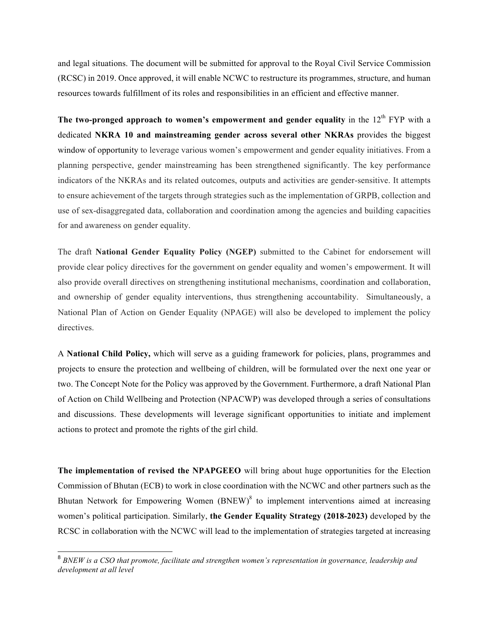and legal situations. The document will be submitted for approval to the Royal Civil Service Commission (RCSC) in 2019. Once approved, it will enable NCWC to restructure its programmes, structure, and human resources towards fulfillment of its roles and responsibilities in an efficient and effective manner.

The two-pronged approach to women's empowerment and gender equality in the  $12<sup>th</sup> FYP$  with a dedicated **NKRA 10 and mainstreaming gender across several other NKRAs** provides the biggest window of opportunity to leverage various women's empowerment and gender equality initiatives. From a planning perspective, gender mainstreaming has been strengthened significantly. The key performance indicators of the NKRAs and its related outcomes, outputs and activities are gender-sensitive. It attempts to ensure achievement of the targets through strategies such as the implementation of GRPB, collection and use of sex-disaggregated data, collaboration and coordination among the agencies and building capacities for and awareness on gender equality.

The draft **National Gender Equality Policy (NGEP)** submitted to the Cabinet for endorsement will provide clear policy directives for the government on gender equality and women's empowerment. It will also provide overall directives on strengthening institutional mechanisms, coordination and collaboration, and ownership of gender equality interventions, thus strengthening accountability. Simultaneously, a National Plan of Action on Gender Equality (NPAGE) will also be developed to implement the policy directives.

A **National Child Policy,** which will serve as a guiding framework for policies, plans, programmes and projects to ensure the protection and wellbeing of children, will be formulated over the next one year or two. The Concept Note for the Policy was approved by the Government. Furthermore, a draft National Plan of Action on Child Wellbeing and Protection (NPACWP) was developed through a series of consultations and discussions. These developments will leverage significant opportunities to initiate and implement actions to protect and promote the rights of the girl child.

**The implementation of revised the NPAPGEEO** will bring about huge opportunities for the Election Commission of Bhutan (ECB) to work in close coordination with the NCWC and other partners such as the Bhutan Network for Empowering Women  $(BNEW)^8$  to implement interventions aimed at increasing women's political participation. Similarly, **the Gender Equality Strategy (2018-2023)** developed by the RCSC in collaboration with the NCWC will lead to the implementation of strategies targeted at increasing

 <sup>8</sup> *BNEW is a CSO that promote, facilitate and strengthen women's representation in governance, leadership and development at all level*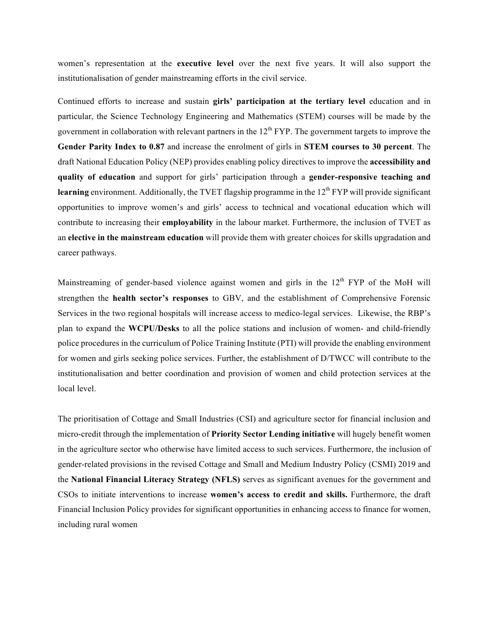women's representation at the **executive level** over the next five years. It will also support the institutionalisation of gender mainstreaming efforts in the civil service.

Continued efforts to increase and sustain **girls' participation at the tertiary level** education and in particular, the Science Technology Engineering and Mathematics (STEM) courses will be made by the government in collaboration with relevant partners in the  $12<sup>th</sup> FYP$ . The government targets to improve the **Gender Parity Index to 0.87** and increase the enrolment of girls in **STEM courses to 30 percent**. The draft National Education Policy (NEP) provides enabling policy directives to improve the **accessibility and quality of education** and support for girls' participation through a **gender-responsive teaching and learning** environment. Additionally, the TVET flagship programme in the 12<sup>th</sup> FYP will provide significant opportunities to improve women's and girls' access to technical and vocational education which will contribute to increasing their **employability** in the labour market. Furthermore, the inclusion of TVET as an **elective in the mainstream education** will provide them with greater choices for skills upgradation and career pathways.

Mainstreaming of gender-based violence against women and girls in the  $12<sup>th</sup> FYP$  of the MoH will strengthen the **health sector's responses** to GBV, and the establishment of Comprehensive Forensic Services in the two regional hospitals will increase access to medico-legal services. Likewise, the RBP's plan to expand the **WCPU/Desks** to all the police stations and inclusion of women- and child-friendly police procedures in the curriculum of Police Training Institute (PTI) will provide the enabling environment for women and girls seeking police services. Further, the establishment of D/TWCC will contribute to the institutionalisation and better coordination and provision of women and child protection services at the local level.

The prioritisation of Cottage and Small Industries (CSI) and agriculture sector for financial inclusion and micro-credit through the implementation of **Priority Sector Lending initiative** will hugely benefit women in the agriculture sector who otherwise have limited access to such services. Furthermore, the inclusion of gender-related provisions in the revised Cottage and Small and Medium Industry Policy (CSMI) 2019 and the **National Financial Literacy Strategy (NFLS)** serves as significant avenues for the government and CSOs to initiate interventions to increase **women's access to credit and skills.** Furthermore, the draft Financial Inclusion Policy provides for significant opportunities in enhancing access to finance for women, including rural women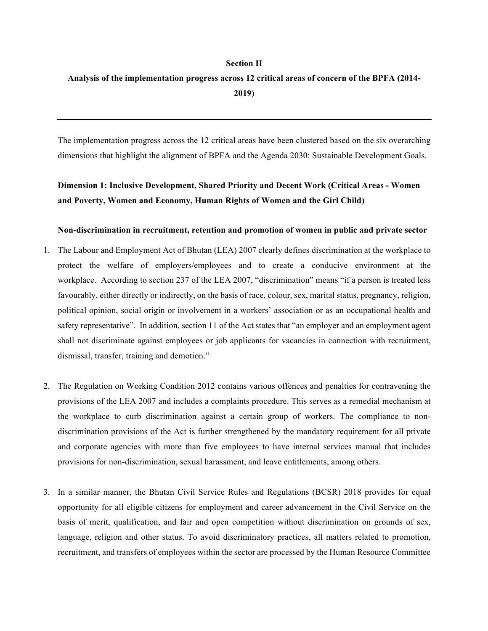# **Section II**

# **Analysis of the implementation progress across 12 critical areas of concern of the BPFA (2014- 2019)**

The implementation progress across the 12 critical areas have been clustered based on the six overarching dimensions that highlight the alignment of BPFA and the Agenda 2030: Sustainable Development Goals.

# **Dimension 1: Inclusive Development, Shared Priority and Decent Work (Critical Areas - Women and Poverty, Women and Economy, Human Rights of Women and the Girl Child)**

## **Non-discrimination in recruitment, retention and promotion of women in public and private sector**

- 1. The Labour and Employment Act of Bhutan (LEA) 2007 clearly defines discrimination at the workplace to protect the welfare of employers/employees and to create a conducive environment at the workplace. According to section 237 of the LEA 2007, "discrimination" means "if a person is treated less favourably, either directly or indirectly, on the basis of race, colour, sex, marital status, pregnancy, religion, political opinion, social origin or involvement in a workers' association or as an occupational health and safety representative". In addition, section 11 of the Act states that "an employer and an employment agent shall not discriminate against employees or job applicants for vacancies in connection with recruitment, dismissal, transfer, training and demotion."
- 2. The Regulation on Working Condition 2012 contains various offences and penalties for contravening the provisions of the LEA 2007 and includes a complaints procedure. This serves as a remedial mechanism at the workplace to curb discrimination against a certain group of workers. The compliance to nondiscrimination provisions of the Act is further strengthened by the mandatory requirement for all private and corporate agencies with more than five employees to have internal services manual that includes provisions for non-discrimination, sexual harassment, and leave entitlements, among others.
- 3. In a similar manner, the Bhutan Civil Service Rules and Regulations (BCSR) 2018 provides for equal opportunity for all eligible citizens for employment and career advancement in the Civil Service on the basis of merit, qualification, and fair and open competition without discrimination on grounds of sex, language, religion and other status. To avoid discriminatory practices, all matters related to promotion, recruitment, and transfers of employees within the sector are processed by the Human Resource Committee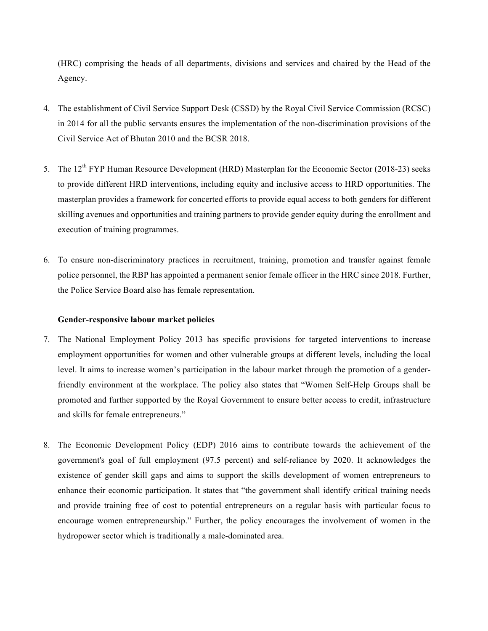(HRC) comprising the heads of all departments, divisions and services and chaired by the Head of the Agency.

- 4. The establishment of Civil Service Support Desk (CSSD) by the Royal Civil Service Commission (RCSC) in 2014 for all the public servants ensures the implementation of the non-discrimination provisions of the Civil Service Act of Bhutan 2010 and the BCSR 2018.
- 5. The 12<sup>th</sup> FYP Human Resource Development (HRD) Masterplan for the Economic Sector (2018-23) seeks to provide different HRD interventions, including equity and inclusive access to HRD opportunities. The masterplan provides a framework for concerted efforts to provide equal access to both genders for different skilling avenues and opportunities and training partners to provide gender equity during the enrollment and execution of training programmes.
- 6. To ensure non-discriminatory practices in recruitment, training, promotion and transfer against female police personnel, the RBP has appointed a permanent senior female officer in the HRC since 2018. Further, the Police Service Board also has female representation.

## **Gender-responsive labour market policies**

- 7. The National Employment Policy 2013 has specific provisions for targeted interventions to increase employment opportunities for women and other vulnerable groups at different levels, including the local level. It aims to increase women's participation in the labour market through the promotion of a genderfriendly environment at the workplace. The policy also states that "Women Self-Help Groups shall be promoted and further supported by the Royal Government to ensure better access to credit, infrastructure and skills for female entrepreneurs."
- 8. The Economic Development Policy (EDP) 2016 aims to contribute towards the achievement of the government's goal of full employment (97.5 percent) and self-reliance by 2020. It acknowledges the existence of gender skill gaps and aims to support the skills development of women entrepreneurs to enhance their economic participation. It states that "the government shall identify critical training needs and provide training free of cost to potential entrepreneurs on a regular basis with particular focus to encourage women entrepreneurship." Further, the policy encourages the involvement of women in the hydropower sector which is traditionally a male-dominated area.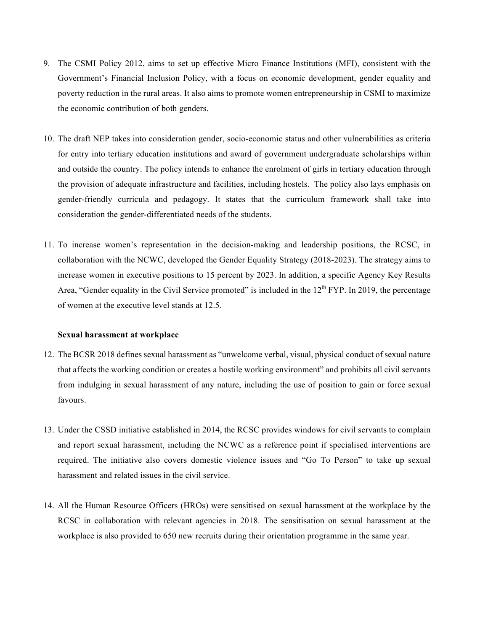- 9. The CSMI Policy 2012, aims to set up effective Micro Finance Institutions (MFI), consistent with the Government's Financial Inclusion Policy, with a focus on economic development, gender equality and poverty reduction in the rural areas. It also aims to promote women entrepreneurship in CSMI to maximize the economic contribution of both genders.
- 10. The draft NEP takes into consideration gender, socio-economic status and other vulnerabilities as criteria for entry into tertiary education institutions and award of government undergraduate scholarships within and outside the country. The policy intends to enhance the enrolment of girls in tertiary education through the provision of adequate infrastructure and facilities, including hostels. The policy also lays emphasis on gender-friendly curricula and pedagogy. It states that the curriculum framework shall take into consideration the gender-differentiated needs of the students.
- 11. To increase women's representation in the decision-making and leadership positions, the RCSC, in collaboration with the NCWC, developed the Gender Equality Strategy (2018-2023). The strategy aims to increase women in executive positions to 15 percent by 2023. In addition, a specific Agency Key Results Area, "Gender equality in the Civil Service promoted" is included in the  $12<sup>th</sup> FYP$ . In 2019, the percentage of women at the executive level stands at 12.5.

### **Sexual harassment at workplace**

- 12. The BCSR 2018 defines sexual harassment as "unwelcome verbal, visual, physical conduct of sexual nature that affects the working condition or creates a hostile working environment" and prohibits all civil servants from indulging in sexual harassment of any nature, including the use of position to gain or force sexual favours.
- 13. Under the CSSD initiative established in 2014, the RCSC provides windows for civil servants to complain and report sexual harassment, including the NCWC as a reference point if specialised interventions are required. The initiative also covers domestic violence issues and "Go To Person" to take up sexual harassment and related issues in the civil service.
- 14. All the Human Resource Officers (HROs) were sensitised on sexual harassment at the workplace by the RCSC in collaboration with relevant agencies in 2018. The sensitisation on sexual harassment at the workplace is also provided to 650 new recruits during their orientation programme in the same year.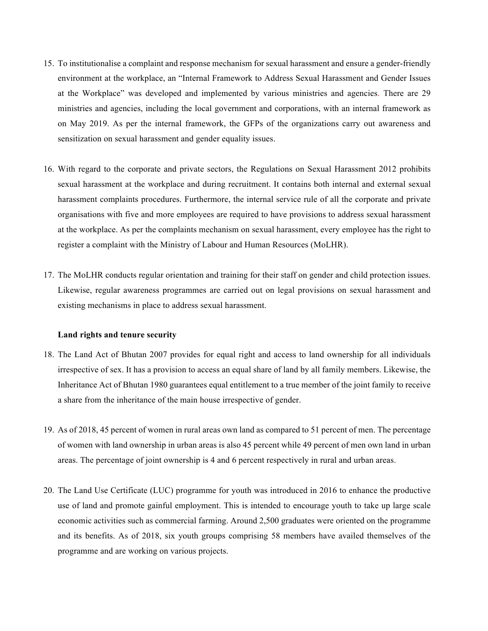- 15. To institutionalise a complaint and response mechanism for sexual harassment and ensure a gender-friendly environment at the workplace, an "Internal Framework to Address Sexual Harassment and Gender Issues at the Workplace" was developed and implemented by various ministries and agencies. There are 29 ministries and agencies, including the local government and corporations, with an internal framework as on May 2019. As per the internal framework, the GFPs of the organizations carry out awareness and sensitization on sexual harassment and gender equality issues.
- 16. With regard to the corporate and private sectors, the Regulations on Sexual Harassment 2012 prohibits sexual harassment at the workplace and during recruitment. It contains both internal and external sexual harassment complaints procedures. Furthermore, the internal service rule of all the corporate and private organisations with five and more employees are required to have provisions to address sexual harassment at the workplace. As per the complaints mechanism on sexual harassment, every employee has the right to register a complaint with the Ministry of Labour and Human Resources (MoLHR).
- 17. The MoLHR conducts regular orientation and training for their staff on gender and child protection issues. Likewise, regular awareness programmes are carried out on legal provisions on sexual harassment and existing mechanisms in place to address sexual harassment.

### **Land rights and tenure security**

- 18. The Land Act of Bhutan 2007 provides for equal right and access to land ownership for all individuals irrespective of sex. It has a provision to access an equal share of land by all family members. Likewise, the Inheritance Act of Bhutan 1980 guarantees equal entitlement to a true member of the joint family to receive a share from the inheritance of the main house irrespective of gender.
- 19. As of 2018, 45 percent of women in rural areas own land as compared to 51 percent of men. The percentage of women with land ownership in urban areas is also 45 percent while 49 percent of men own land in urban areas. The percentage of joint ownership is 4 and 6 percent respectively in rural and urban areas.
- 20. The Land Use Certificate (LUC) programme for youth was introduced in 2016 to enhance the productive use of land and promote gainful employment. This is intended to encourage youth to take up large scale economic activities such as commercial farming. Around 2,500 graduates were oriented on the programme and its benefits. As of 2018, six youth groups comprising 58 members have availed themselves of the programme and are working on various projects.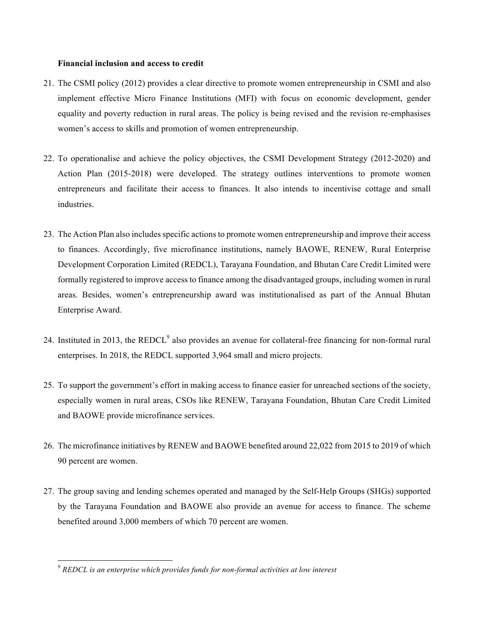## **Financial inclusion and access to credit**

- 21. The CSMI policy (2012) provides a clear directive to promote women entrepreneurship in CSMI and also implement effective Micro Finance Institutions (MFI) with focus on economic development, gender equality and poverty reduction in rural areas. The policy is being revised and the revision re-emphasises women's access to skills and promotion of women entrepreneurship.
- 22. To operationalise and achieve the policy objectives, the CSMI Development Strategy (2012-2020) and Action Plan (2015-2018) were developed. The strategy outlines interventions to promote women entrepreneurs and facilitate their access to finances. It also intends to incentivise cottage and small industries.
- 23. The Action Plan also includes specific actions to promote women entrepreneurship and improve their access to finances. Accordingly, five microfinance institutions, namely BAOWE, RENEW, Rural Enterprise Development Corporation Limited (REDCL), Tarayana Foundation, and Bhutan Care Credit Limited were formally registered to improve access to finance among the disadvantaged groups, including women in rural areas. Besides, women's entrepreneurship award was institutionalised as part of the Annual Bhutan Enterprise Award.
- 24. Instituted in 2013, the  $REDCL<sup>9</sup>$  also provides an avenue for collateral-free financing for non-formal rural enterprises. In 2018, the REDCL supported 3,964 small and micro projects.
- 25. To support the government's effort in making access to finance easier for unreached sections of the society, especially women in rural areas, CSOs like RENEW, Tarayana Foundation, Bhutan Care Credit Limited and BAOWE provide microfinance services.
- 26. The microfinance initiatives by RENEW and BAOWE benefited around 22,022 from 2015 to 2019 of which 90 percent are women.
- 27. The group saving and lending schemes operated and managed by the Self-Help Groups (SHGs) supported by the Tarayana Foundation and BAOWE also provide an avenue for access to finance. The scheme benefited around 3,000 members of which 70 percent are women.

*<sup>9</sup> REDCL is an enterprise which provides funds for non-formal activities at low interest*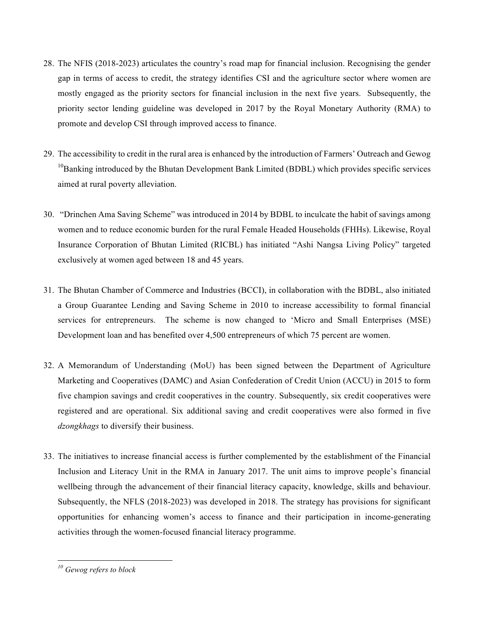- 28. The NFIS (2018-2023) articulates the country's road map for financial inclusion. Recognising the gender gap in terms of access to credit, the strategy identifies CSI and the agriculture sector where women are mostly engaged as the priority sectors for financial inclusion in the next five years. Subsequently, the priority sector lending guideline was developed in 2017 by the Royal Monetary Authority (RMA) to promote and develop CSI through improved access to finance.
- 29. The accessibility to credit in the rural area is enhanced by the introduction of Farmers' Outreach and Gewog  $10B$ anking introduced by the Bhutan Development Bank Limited (BDBL) which provides specific services aimed at rural poverty alleviation.
- 30. "Drinchen Ama Saving Scheme" was introduced in 2014 by BDBL to inculcate the habit of savings among women and to reduce economic burden for the rural Female Headed Households (FHHs). Likewise, Royal Insurance Corporation of Bhutan Limited (RICBL) has initiated "Ashi Nangsa Living Policy" targeted exclusively at women aged between 18 and 45 years.
- 31. The Bhutan Chamber of Commerce and Industries (BCCI), in collaboration with the BDBL, also initiated a Group Guarantee Lending and Saving Scheme in 2010 to increase accessibility to formal financial services for entrepreneurs. The scheme is now changed to 'Micro and Small Enterprises (MSE) Development loan and has benefited over 4,500 entrepreneurs of which 75 percent are women.
- 32. A Memorandum of Understanding (MoU) has been signed between the Department of Agriculture Marketing and Cooperatives (DAMC) and Asian Confederation of Credit Union (ACCU) in 2015 to form five champion savings and credit cooperatives in the country. Subsequently, six credit cooperatives were registered and are operational. Six additional saving and credit cooperatives were also formed in five *dzongkhags* to diversify their business.
- 33. The initiatives to increase financial access is further complemented by the establishment of the Financial Inclusion and Literacy Unit in the RMA in January 2017. The unit aims to improve people's financial wellbeing through the advancement of their financial literacy capacity, knowledge, skills and behaviour. Subsequently, the NFLS (2018-2023) was developed in 2018. The strategy has provisions for significant opportunities for enhancing women's access to finance and their participation in income-generating activities through the women-focused financial literacy programme.

*<sup>10</sup> Gewog refers to block*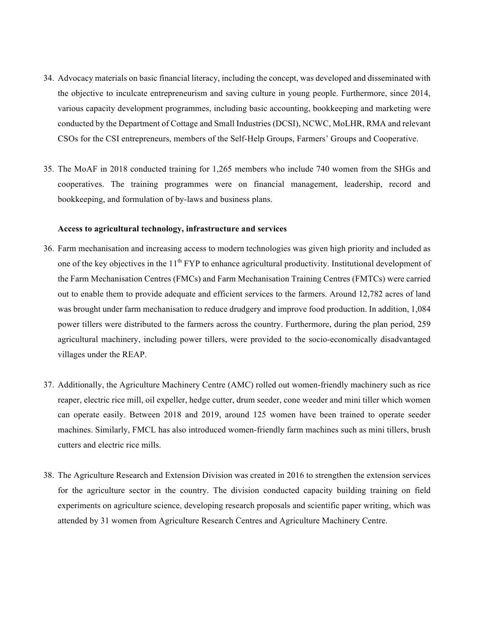- 34. Advocacy materials on basic financial literacy, including the concept, was developed and disseminated with the objective to inculcate entrepreneurism and saving culture in young people. Furthermore, since 2014, various capacity development programmes, including basic accounting, bookkeeping and marketing were conducted by the Department of Cottage and Small Industries (DCSI), NCWC, MoLHR, RMA and relevant CSOs for the CSI entrepreneurs, members of the Self-Help Groups, Farmers' Groups and Cooperative.
- 35. The MoAF in 2018 conducted training for 1,265 members who include 740 women from the SHGs and cooperatives. The training programmes were on financial management, leadership, record and bookkeeping, and formulation of by-laws and business plans.

#### **Access to agricultural technology, infrastructure and services**

- 36. Farm mechanisation and increasing access to modern technologies was given high priority and included as one of the key objectives in the  $11<sup>th</sup> FYP$  to enhance agricultural productivity. Institutional development of the Farm Mechanisation Centres (FMCs) and Farm Mechanisation Training Centres (FMTCs) were carried out to enable them to provide adequate and efficient services to the farmers. Around 12,782 acres of land was brought under farm mechanisation to reduce drudgery and improve food production. In addition, 1,084 power tillers were distributed to the farmers across the country. Furthermore, during the plan period, 259 agricultural machinery, including power tillers, were provided to the socio-economically disadvantaged villages under the REAP.
- 37. Additionally, the Agriculture Machinery Centre (AMC) rolled out women-friendly machinery such as rice reaper, electric rice mill, oil expeller, hedge cutter, drum seeder, cone weeder and mini tiller which women can operate easily. Between 2018 and 2019, around 125 women have been trained to operate seeder machines. Similarly, FMCL has also introduced women-friendly farm machines such as mini tillers, brush cutters and electric rice mills.
- 38. The Agriculture Research and Extension Division was created in 2016 to strengthen the extension services for the agriculture sector in the country. The division conducted capacity building training on field experiments on agriculture science, developing research proposals and scientific paper writing, which was attended by 31 women from Agriculture Research Centres and Agriculture Machinery Centre.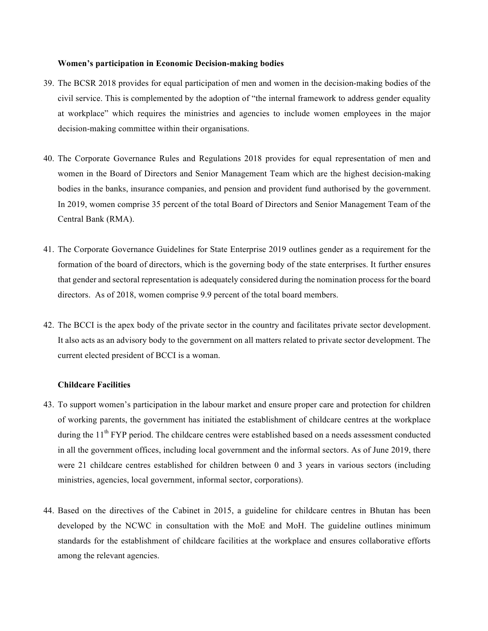### **Women's participation in Economic Decision-making bodies**

- 39. The BCSR 2018 provides for equal participation of men and women in the decision-making bodies of the civil service. This is complemented by the adoption of "the internal framework to address gender equality at workplace" which requires the ministries and agencies to include women employees in the major decision-making committee within their organisations.
- 40. The Corporate Governance Rules and Regulations 2018 provides for equal representation of men and women in the Board of Directors and Senior Management Team which are the highest decision-making bodies in the banks, insurance companies, and pension and provident fund authorised by the government. In 2019, women comprise 35 percent of the total Board of Directors and Senior Management Team of the Central Bank (RMA).
- 41. The Corporate Governance Guidelines for State Enterprise 2019 outlines gender as a requirement for the formation of the board of directors, which is the governing body of the state enterprises. It further ensures that gender and sectoral representation is adequately considered during the nomination process for the board directors. As of 2018, women comprise 9.9 percent of the total board members.
- 42. The BCCI is the apex body of the private sector in the country and facilitates private sector development. It also acts as an advisory body to the government on all matters related to private sector development. The current elected president of BCCI is a woman.

### **Childcare Facilities**

- 43. To support women's participation in the labour market and ensure proper care and protection for children of working parents, the government has initiated the establishment of childcare centres at the workplace during the 11<sup>th</sup> FYP period. The childcare centres were established based on a needs assessment conducted in all the government offices, including local government and the informal sectors. As of June 2019, there were 21 childcare centres established for children between 0 and 3 years in various sectors (including ministries, agencies, local government, informal sector, corporations).
- 44. Based on the directives of the Cabinet in 2015, a guideline for childcare centres in Bhutan has been developed by the NCWC in consultation with the MoE and MoH. The guideline outlines minimum standards for the establishment of childcare facilities at the workplace and ensures collaborative efforts among the relevant agencies.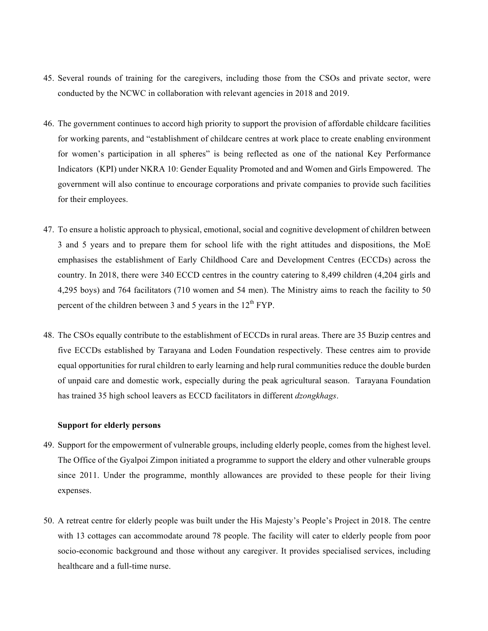- 45. Several rounds of training for the caregivers, including those from the CSOs and private sector, were conducted by the NCWC in collaboration with relevant agencies in 2018 and 2019.
- 46. The government continues to accord high priority to support the provision of affordable childcare facilities for working parents, and "establishment of childcare centres at work place to create enabling environment for women's participation in all spheres" is being reflected as one of the national Key Performance Indicators (KPI) under NKRA 10: Gender Equality Promoted and and Women and Girls Empowered. The government will also continue to encourage corporations and private companies to provide such facilities for their employees.
- 47. To ensure a holistic approach to physical, emotional, social and cognitive development of children between 3 and 5 years and to prepare them for school life with the right attitudes and dispositions, the MoE emphasises the establishment of Early Childhood Care and Development Centres (ECCDs) across the country. In 2018, there were 340 ECCD centres in the country catering to 8,499 children (4,204 girls and 4,295 boys) and 764 facilitators (710 women and 54 men). The Ministry aims to reach the facility to 50 percent of the children between 3 and 5 years in the  $12<sup>th</sup> FYP$ .
- 48. The CSOs equally contribute to the establishment of ECCDs in rural areas. There are 35 Buzip centres and five ECCDs established by Tarayana and Loden Foundation respectively. These centres aim to provide equal opportunities for rural children to early learning and help rural communities reduce the double burden of unpaid care and domestic work, especially during the peak agricultural season. Tarayana Foundation has trained 35 high school leavers as ECCD facilitators in different *dzongkhags*.

### **Support for elderly persons**

- 49. Support for the empowerment of vulnerable groups, including elderly people, comes from the highest level. The Office of the Gyalpoi Zimpon initiated a programme to support the eldery and other vulnerable groups since 2011. Under the programme, monthly allowances are provided to these people for their living expenses.
- 50. A retreat centre for elderly people was built under the His Majesty's People's Project in 2018. The centre with 13 cottages can accommodate around 78 people. The facility will cater to elderly people from poor socio-economic background and those without any caregiver. It provides specialised services, including healthcare and a full-time nurse.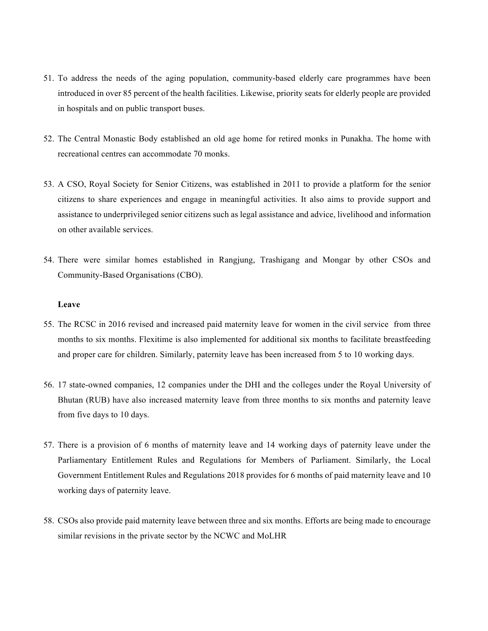- 51. To address the needs of the aging population, community-based elderly care programmes have been introduced in over 85 percent of the health facilities. Likewise, priority seats for elderly people are provided in hospitals and on public transport buses.
- 52. The Central Monastic Body established an old age home for retired monks in Punakha. The home with recreational centres can accommodate 70 monks.
- 53. A CSO, Royal Society for Senior Citizens, was established in 2011 to provide a platform for the senior citizens to share experiences and engage in meaningful activities. It also aims to provide support and assistance to underprivileged senior citizens such as legal assistance and advice, livelihood and information on other available services.
- 54. There were similar homes established in Rangjung, Trashigang and Mongar by other CSOs and Community-Based Organisations (CBO).

#### **Leave**

- 55. The RCSC in 2016 revised and increased paid maternity leave for women in the civil service from three months to six months. Flexitime is also implemented for additional six months to facilitate breastfeeding and proper care for children. Similarly, paternity leave has been increased from 5 to 10 working days.
- 56. 17 state-owned companies, 12 companies under the DHI and the colleges under the Royal University of Bhutan (RUB) have also increased maternity leave from three months to six months and paternity leave from five days to 10 days.
- 57. There is a provision of 6 months of maternity leave and 14 working days of paternity leave under the Parliamentary Entitlement Rules and Regulations for Members of Parliament. Similarly, the Local Government Entitlement Rules and Regulations 2018 provides for 6 months of paid maternity leave and 10 working days of paternity leave.
- 58. CSOs also provide paid maternity leave between three and six months. Efforts are being made to encourage similar revisions in the private sector by the NCWC and MoLHR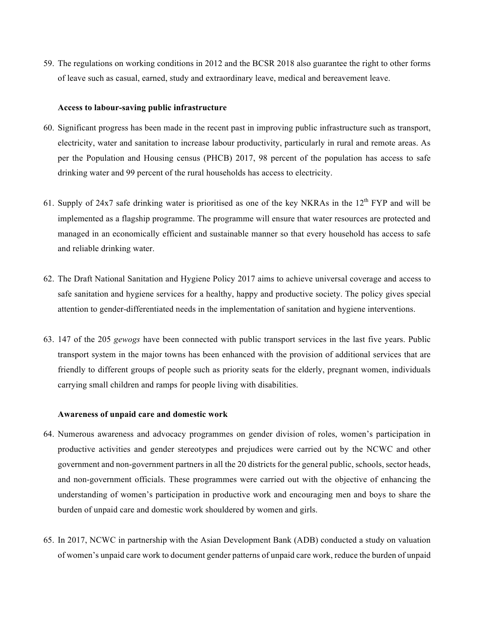59. The regulations on working conditions in 2012 and the BCSR 2018 also guarantee the right to other forms of leave such as casual, earned, study and extraordinary leave, medical and bereavement leave.

#### **Access to labour-saving public infrastructure**

- 60. Significant progress has been made in the recent past in improving public infrastructure such as transport, electricity, water and sanitation to increase labour productivity, particularly in rural and remote areas. As per the Population and Housing census (PHCB) 2017, 98 percent of the population has access to safe drinking water and 99 percent of the rural households has access to electricity.
- 61. Supply of 24x7 safe drinking water is prioritised as one of the key NKRAs in the  $12<sup>th</sup> FYP$  and will be implemented as a flagship programme. The programme will ensure that water resources are protected and managed in an economically efficient and sustainable manner so that every household has access to safe and reliable drinking water.
- 62. The Draft National Sanitation and Hygiene Policy 2017 aims to achieve universal coverage and access to safe sanitation and hygiene services for a healthy, happy and productive society. The policy gives special attention to gender-differentiated needs in the implementation of sanitation and hygiene interventions.
- 63. 147 of the 205 *gewogs* have been connected with public transport services in the last five years. Public transport system in the major towns has been enhanced with the provision of additional services that are friendly to different groups of people such as priority seats for the elderly, pregnant women, individuals carrying small children and ramps for people living with disabilities.

### **Awareness of unpaid care and domestic work**

- 64. Numerous awareness and advocacy programmes on gender division of roles, women's participation in productive activities and gender stereotypes and prejudices were carried out by the NCWC and other government and non-government partners in all the 20 districts for the general public, schools, sector heads, and non-government officials. These programmes were carried out with the objective of enhancing the understanding of women's participation in productive work and encouraging men and boys to share the burden of unpaid care and domestic work shouldered by women and girls.
- 65. In 2017, NCWC in partnership with the Asian Development Bank (ADB) conducted a study on valuation of women's unpaid care work to document gender patterns of unpaid care work, reduce the burden of unpaid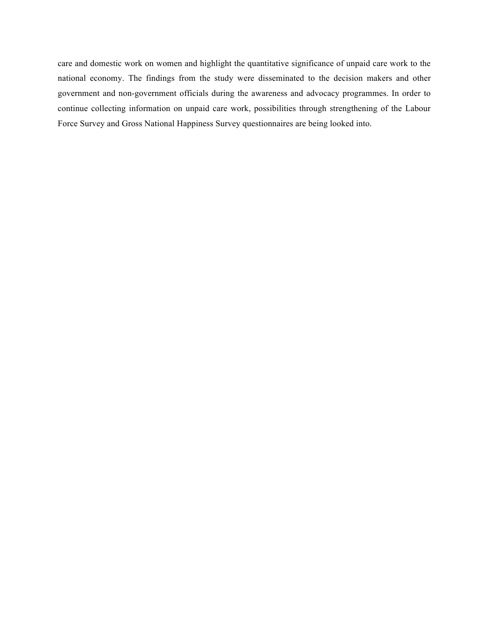care and domestic work on women and highlight the quantitative significance of unpaid care work to the national economy. The findings from the study were disseminated to the decision makers and other government and non-government officials during the awareness and advocacy programmes. In order to continue collecting information on unpaid care work, possibilities through strengthening of the Labour Force Survey and Gross National Happiness Survey questionnaires are being looked into.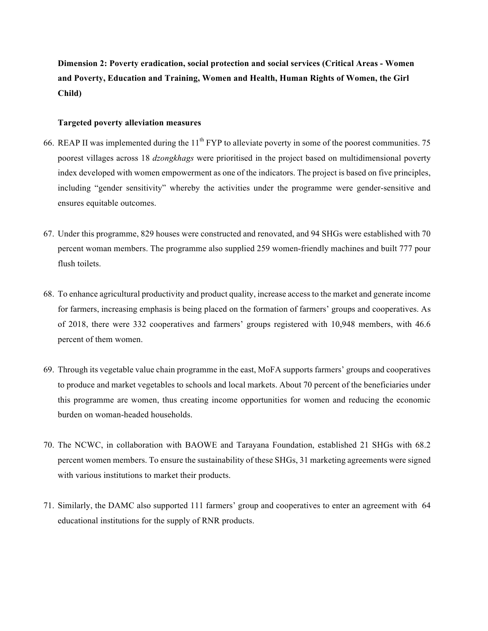**Dimension 2: Poverty eradication, social protection and social services (Critical Areas - Women and Poverty, Education and Training, Women and Health, Human Rights of Women, the Girl Child)**

# **Targeted poverty alleviation measures**

- 66. REAP II was implemented during the  $11^{th}$  FYP to alleviate poverty in some of the poorest communities. 75 poorest villages across 18 *dzongkhags* were prioritised in the project based on multidimensional poverty index developed with women empowerment as one of the indicators. The project is based on five principles, including "gender sensitivity" whereby the activities under the programme were gender-sensitive and ensures equitable outcomes.
- 67. Under this programme, 829 houses were constructed and renovated, and 94 SHGs were established with 70 percent woman members. The programme also supplied 259 women-friendly machines and built 777 pour flush toilets.
- 68. To enhance agricultural productivity and product quality, increase access to the market and generate income for farmers, increasing emphasis is being placed on the formation of farmers' groups and cooperatives. As of 2018, there were 332 cooperatives and farmers' groups registered with 10,948 members, with 46.6 percent of them women.
- 69. Through its vegetable value chain programme in the east, MoFA supports farmers' groups and cooperatives to produce and market vegetables to schools and local markets. About 70 percent of the beneficiaries under this programme are women, thus creating income opportunities for women and reducing the economic burden on woman-headed households.
- 70. The NCWC, in collaboration with BAOWE and Tarayana Foundation, established 21 SHGs with 68.2 percent women members. To ensure the sustainability of these SHGs, 31 marketing agreements were signed with various institutions to market their products.
- 71. Similarly, the DAMC also supported 111 farmers' group and cooperatives to enter an agreement with 64 educational institutions for the supply of RNR products.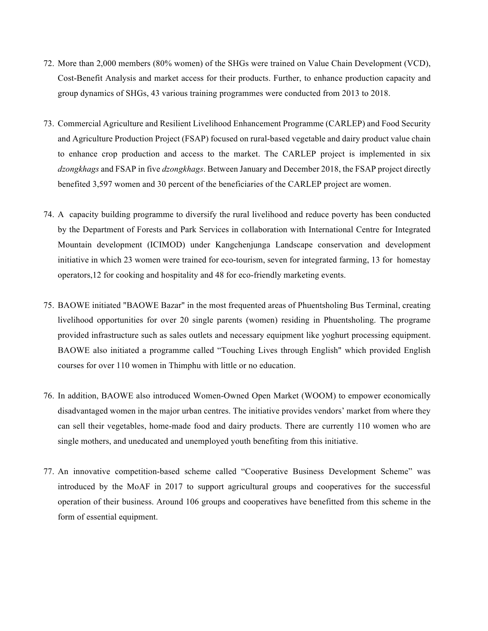- 72. More than 2,000 members (80% women) of the SHGs were trained on Value Chain Development (VCD), Cost-Benefit Analysis and market access for their products. Further, to enhance production capacity and group dynamics of SHGs, 43 various training programmes were conducted from 2013 to 2018.
- 73. Commercial Agriculture and Resilient Livelihood Enhancement Programme (CARLEP) and Food Security and Agriculture Production Project (FSAP) focused on rural-based vegetable and dairy product value chain to enhance crop production and access to the market. The CARLEP project is implemented in six *dzongkhags* and FSAP in five *dzongkhags*. Between January and December 2018, the FSAP project directly benefited 3,597 women and 30 percent of the beneficiaries of the CARLEP project are women.
- 74. A capacity building programme to diversify the rural livelihood and reduce poverty has been conducted by the Department of Forests and Park Services in collaboration with International Centre for Integrated Mountain development (ICIMOD) under Kangchenjunga Landscape conservation and development initiative in which 23 women were trained for eco-tourism, seven for integrated farming, 13 for homestay operators,12 for cooking and hospitality and 48 for eco-friendly marketing events.
- 75. BAOWE initiated "BAOWE Bazar" in the most frequented areas of Phuentsholing Bus Terminal, creating livelihood opportunities for over 20 single parents (women) residing in Phuentsholing. The programe provided infrastructure such as sales outlets and necessary equipment like yoghurt processing equipment. BAOWE also initiated a programme called "Touching Lives through English" which provided English courses for over 110 women in Thimphu with little or no education.
- 76. In addition, BAOWE also introduced Women-Owned Open Market (WOOM) to empower economically disadvantaged women in the major urban centres. The initiative provides vendors' market from where they can sell their vegetables, home-made food and dairy products. There are currently 110 women who are single mothers, and uneducated and unemployed youth benefiting from this initiative.
- 77. An innovative competition-based scheme called "Cooperative Business Development Scheme" was introduced by the MoAF in 2017 to support agricultural groups and cooperatives for the successful operation of their business. Around 106 groups and cooperatives have benefitted from this scheme in the form of essential equipment.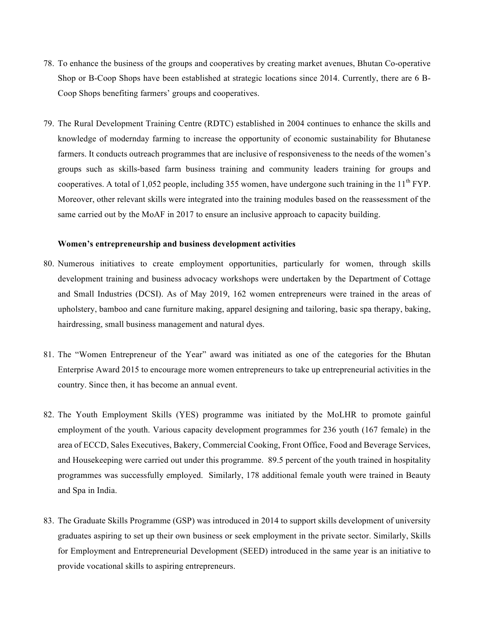- 78. To enhance the business of the groups and cooperatives by creating market avenues, Bhutan Co-operative Shop or B-Coop Shops have been established at strategic locations since 2014. Currently, there are 6 B-Coop Shops benefiting farmers' groups and cooperatives.
- 79. The Rural Development Training Centre (RDTC) established in 2004 continues to enhance the skills and knowledge of modernday farming to increase the opportunity of economic sustainability for Bhutanese farmers. It conducts outreach programmes that are inclusive of responsiveness to the needs of the women's groups such as skills-based farm business training and community leaders training for groups and cooperatives. A total of 1,052 people, including 355 women, have undergone such training in the  $11^{th}$  FYP. Moreover, other relevant skills were integrated into the training modules based on the reassessment of the same carried out by the MoAF in 2017 to ensure an inclusive approach to capacity building.

#### **Women's entrepreneurship and business development activities**

- 80. Numerous initiatives to create employment opportunities, particularly for women, through skills development training and business advocacy workshops were undertaken by the Department of Cottage and Small Industries (DCSI). As of May 2019, 162 women entrepreneurs were trained in the areas of upholstery, bamboo and cane furniture making, apparel designing and tailoring, basic spa therapy, baking, hairdressing, small business management and natural dyes.
- 81. The "Women Entrepreneur of the Year" award was initiated as one of the categories for the Bhutan Enterprise Award 2015 to encourage more women entrepreneurs to take up entrepreneurial activities in the country. Since then, it has become an annual event.
- 82. The Youth Employment Skills (YES) programme was initiated by the MoLHR to promote gainful employment of the youth. Various capacity development programmes for 236 youth (167 female) in the area of ECCD, Sales Executives, Bakery, Commercial Cooking, Front Office, Food and Beverage Services, and Housekeeping were carried out under this programme. 89.5 percent of the youth trained in hospitality programmes was successfully employed. Similarly, 178 additional female youth were trained in Beauty and Spa in India.
- 83. The Graduate Skills Programme (GSP) was introduced in 2014 to support skills development of university graduates aspiring to set up their own business or seek employment in the private sector. Similarly, Skills for Employment and Entrepreneurial Development (SEED) introduced in the same year is an initiative to provide vocational skills to aspiring entrepreneurs.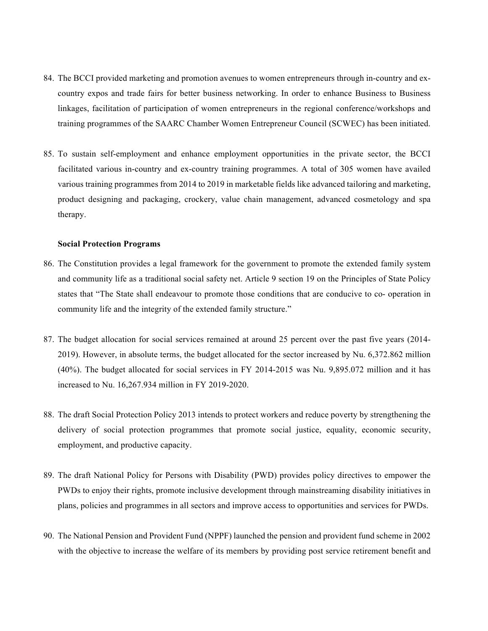- 84. The BCCI provided marketing and promotion avenues to women entrepreneurs through in-country and excountry expos and trade fairs for better business networking. In order to enhance Business to Business linkages, facilitation of participation of women entrepreneurs in the regional conference/workshops and training programmes of the SAARC Chamber Women Entrepreneur Council (SCWEC) has been initiated.
- 85. To sustain self-employment and enhance employment opportunities in the private sector, the BCCI facilitated various in-country and ex-country training programmes. A total of 305 women have availed various training programmes from 2014 to 2019 in marketable fields like advanced tailoring and marketing, product designing and packaging, crockery, value chain management, advanced cosmetology and spa therapy.

#### **Social Protection Programs**

- 86. The Constitution provides a legal framework for the government to promote the extended family system and community life as a traditional social safety net. Article 9 section 19 on the Principles of State Policy states that "The State shall endeavour to promote those conditions that are conducive to co- operation in community life and the integrity of the extended family structure."
- 87. The budget allocation for social services remained at around 25 percent over the past five years (2014- 2019). However, in absolute terms, the budget allocated for the sector increased by Nu. 6,372.862 million (40%). The budget allocated for social services in FY 2014-2015 was Nu. 9,895.072 million and it has increased to Nu. 16,267.934 million in FY 2019-2020.
- 88. The draft Social Protection Policy 2013 intends to protect workers and reduce poverty by strengthening the delivery of social protection programmes that promote social justice, equality, economic security, employment, and productive capacity.
- 89. The draft National Policy for Persons with Disability (PWD) provides policy directives to empower the PWDs to enjoy their rights, promote inclusive development through mainstreaming disability initiatives in plans, policies and programmes in all sectors and improve access to opportunities and services for PWDs.
- 90. The National Pension and Provident Fund (NPPF) launched the pension and provident fund scheme in 2002 with the objective to increase the welfare of its members by providing post service retirement benefit and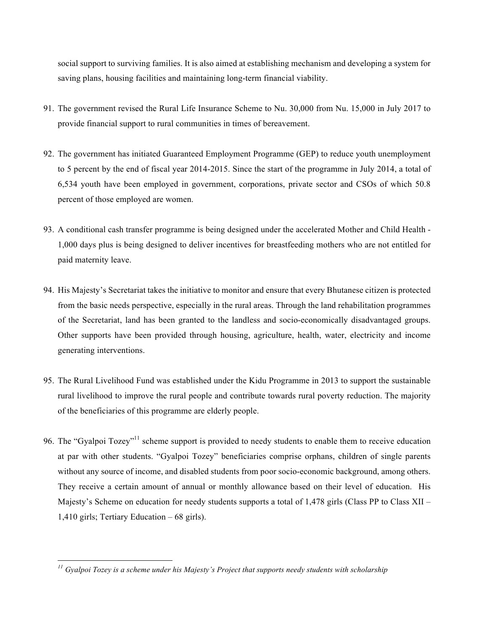social support to surviving families. It is also aimed at establishing mechanism and developing a system for saving plans, housing facilities and maintaining long-term financial viability.

- 91. The government revised the Rural Life Insurance Scheme to Nu. 30,000 from Nu. 15,000 in July 2017 to provide financial support to rural communities in times of bereavement.
- 92. The government has initiated Guaranteed Employment Programme (GEP) to reduce youth unemployment to 5 percent by the end of fiscal year 2014-2015. Since the start of the programme in July 2014, a total of 6,534 youth have been employed in government, corporations, private sector and CSOs of which 50.8 percent of those employed are women.
- 93. A conditional cash transfer programme is being designed under the accelerated Mother and Child Health 1,000 days plus is being designed to deliver incentives for breastfeeding mothers who are not entitled for paid maternity leave.
- 94. His Majesty's Secretariat takes the initiative to monitor and ensure that every Bhutanese citizen is protected from the basic needs perspective, especially in the rural areas. Through the land rehabilitation programmes of the Secretariat, land has been granted to the landless and socio-economically disadvantaged groups. Other supports have been provided through housing, agriculture, health, water, electricity and income generating interventions.
- 95. The Rural Livelihood Fund was established under the Kidu Programme in 2013 to support the sustainable rural livelihood to improve the rural people and contribute towards rural poverty reduction. The majority of the beneficiaries of this programme are elderly people.
- 96. The "Gyalpoi Tozey"<sup>11</sup> scheme support is provided to needy students to enable them to receive education at par with other students. "Gyalpoi Tozey" beneficiaries comprise orphans, children of single parents without any source of income, and disabled students from poor socio-economic background, among others. They receive a certain amount of annual or monthly allowance based on their level of education. His Majesty's Scheme on education for needy students supports a total of 1,478 girls (Class PP to Class XII – 1,410 girls; Tertiary Education – 68 girls).

*<sup>11</sup> Gyalpoi Tozey is a scheme under his Majesty's Project that supports needy students with scholarship*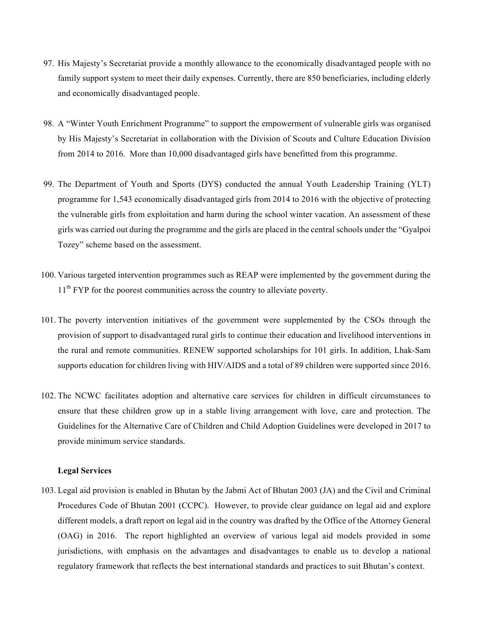- 97. His Majesty's Secretariat provide a monthly allowance to the economically disadvantaged people with no family support system to meet their daily expenses. Currently, there are 850 beneficiaries, including elderly and economically disadvantaged people.
- 98. A "Winter Youth Enrichment Programme" to support the empowerment of vulnerable girls was organised by His Majesty's Secretariat in collaboration with the Division of Scouts and Culture Education Division from 2014 to 2016. More than 10,000 disadvantaged girls have benefitted from this programme.
- 99. The Department of Youth and Sports (DYS) conducted the annual Youth Leadership Training (YLT) programme for 1,543 economically disadvantaged girls from 2014 to 2016 with the objective of protecting the vulnerable girls from exploitation and harm during the school winter vacation. An assessment of these girls was carried out during the programme and the girls are placed in the central schools under the "Gyalpoi Tozey" scheme based on the assessment.
- 100. Various targeted intervention programmes such as REAP were implemented by the government during the 11<sup>th</sup> FYP for the poorest communities across the country to alleviate poverty.
- 101. The poverty intervention initiatives of the government were supplemented by the CSOs through the provision of support to disadvantaged rural girls to continue their education and livelihood interventions in the rural and remote communities. RENEW supported scholarships for 101 girls. In addition, Lhak-Sam supports education for children living with HIV/AIDS and a total of 89 children were supported since 2016.
- 102. The NCWC facilitates adoption and alternative care services for children in difficult circumstances to ensure that these children grow up in a stable living arrangement with love, care and protection. The Guidelines for the Alternative Care of Children and Child Adoption Guidelines were developed in 2017 to provide minimum service standards.

## **Legal Services**

103. Legal aid provision is enabled in Bhutan by the Jabmi Act of Bhutan 2003 (JA) and the Civil and Criminal Procedures Code of Bhutan 2001 (CCPC). However, to provide clear guidance on legal aid and explore different models, a draft report on legal aid in the country was drafted by the Office of the Attorney General (OAG) in 2016. The report highlighted an overview of various legal aid models provided in some jurisdictions, with emphasis on the advantages and disadvantages to enable us to develop a national regulatory framework that reflects the best international standards and practices to suit Bhutan's context.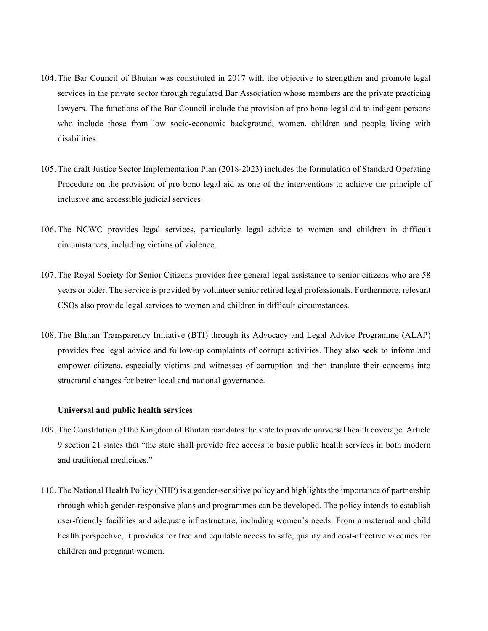- 104. The Bar Council of Bhutan was constituted in 2017 with the objective to strengthen and promote legal services in the private sector through regulated Bar Association whose members are the private practicing lawyers. The functions of the Bar Council include the provision of pro bono legal aid to indigent persons who include those from low socio-economic background, women, children and people living with disabilities.
- 105. The draft Justice Sector Implementation Plan (2018-2023) includes the formulation of Standard Operating Procedure on the provision of pro bono legal aid as one of the interventions to achieve the principle of inclusive and accessible judicial services.
- 106. The NCWC provides legal services, particularly legal advice to women and children in difficult circumstances, including victims of violence.
- 107. The Royal Society for Senior Citizens provides free general legal assistance to senior citizens who are 58 years or older. The service is provided by volunteer senior retired legal professionals. Furthermore, relevant CSOs also provide legal services to women and children in difficult circumstances.
- 108. The Bhutan Transparency Initiative (BTI) through its Advocacy and Legal Advice Programme (ALAP) provides free legal advice and follow-up complaints of corrupt activities. They also seek to inform and empower citizens, especially victims and witnesses of corruption and then translate their concerns into structural changes for better local and national governance.

## **Universal and public health services**

- 109. The Constitution of the Kingdom of Bhutan mandates the state to provide universal health coverage. Article 9 section 21 states that "the state shall provide free access to basic public health services in both modern and traditional medicines."
- 110. The National Health Policy (NHP) is a gender-sensitive policy and highlights the importance of partnership through which gender-responsive plans and programmes can be developed. The policy intends to establish user-friendly facilities and adequate infrastructure, including women's needs. From a maternal and child health perspective, it provides for free and equitable access to safe, quality and cost-effective vaccines for children and pregnant women.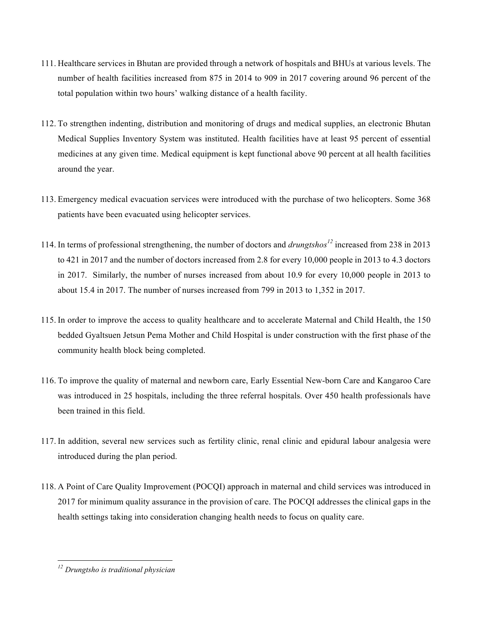- 111. Healthcare services in Bhutan are provided through a network of hospitals and BHUs at various levels. The number of health facilities increased from 875 in 2014 to 909 in 2017 covering around 96 percent of the total population within two hours' walking distance of a health facility.
- 112. To strengthen indenting, distribution and monitoring of drugs and medical supplies, an electronic Bhutan Medical Supplies Inventory System was instituted. Health facilities have at least 95 percent of essential medicines at any given time. Medical equipment is kept functional above 90 percent at all health facilities around the year.
- 113. Emergency medical evacuation services were introduced with the purchase of two helicopters. Some 368 patients have been evacuated using helicopter services.
- 114. In terms of professional strengthening, the number of doctors and *drungtshos<sup>12</sup>* increased from 238 in 2013 to 421 in 2017 and the number of doctors increased from 2.8 for every 10,000 people in 2013 to 4.3 doctors in 2017. Similarly, the number of nurses increased from about 10.9 for every 10,000 people in 2013 to about 15.4 in 2017. The number of nurses increased from 799 in 2013 to 1,352 in 2017.
- 115. In order to improve the access to quality healthcare and to accelerate Maternal and Child Health, the 150 bedded Gyaltsuen Jetsun Pema Mother and Child Hospital is under construction with the first phase of the community health block being completed.
- 116. To improve the quality of maternal and newborn care, Early Essential New-born Care and Kangaroo Care was introduced in 25 hospitals, including the three referral hospitals. Over 450 health professionals have been trained in this field.
- 117. In addition, several new services such as fertility clinic, renal clinic and epidural labour analgesia were introduced during the plan period.
- 118. A Point of Care Quality Improvement (POCQI) approach in maternal and child services was introduced in 2017 for minimum quality assurance in the provision of care. The POCQI addresses the clinical gaps in the health settings taking into consideration changing health needs to focus on quality care.

*<sup>12</sup> Drungtsho is traditional physician*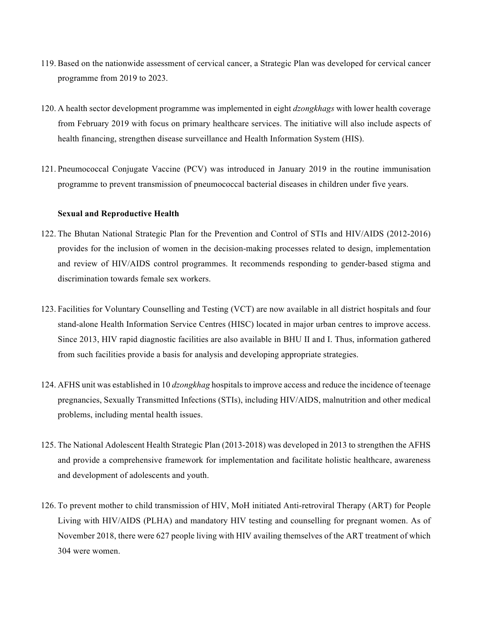- 119. Based on the nationwide assessment of cervical cancer, a Strategic Plan was developed for cervical cancer programme from 2019 to 2023.
- 120. A health sector development programme was implemented in eight *dzongkhags* with lower health coverage from February 2019 with focus on primary healthcare services. The initiative will also include aspects of health financing, strengthen disease surveillance and Health Information System (HIS).
- 121. Pneumococcal Conjugate Vaccine (PCV) was introduced in January 2019 in the routine immunisation programme to prevent transmission of pneumococcal bacterial diseases in children under five years.

#### **Sexual and Reproductive Health**

- 122. The Bhutan National Strategic Plan for the Prevention and Control of STIs and HIV/AIDS (2012-2016) provides for the inclusion of women in the decision-making processes related to design, implementation and review of HIV/AIDS control programmes. It recommends responding to gender-based stigma and discrimination towards female sex workers.
- 123. Facilities for Voluntary Counselling and Testing (VCT) are now available in all district hospitals and four stand-alone Health Information Service Centres (HISC) located in major urban centres to improve access. Since 2013, HIV rapid diagnostic facilities are also available in BHU II and I. Thus, information gathered from such facilities provide a basis for analysis and developing appropriate strategies.
- 124. AFHS unit was established in 10 *dzongkhag* hospitals to improve access and reduce the incidence of teenage pregnancies, Sexually Transmitted Infections (STIs), including HIV/AIDS, malnutrition and other medical problems, including mental health issues.
- 125. The National Adolescent Health Strategic Plan (2013-2018) was developed in 2013 to strengthen the AFHS and provide a comprehensive framework for implementation and facilitate holistic healthcare, awareness and development of adolescents and youth.
- 126. To prevent mother to child transmission of HIV, MoH initiated Anti-retroviral Therapy (ART) for People Living with HIV/AIDS (PLHA) and mandatory HIV testing and counselling for pregnant women. As of November 2018, there were 627 people living with HIV availing themselves of the ART treatment of which 304 were women.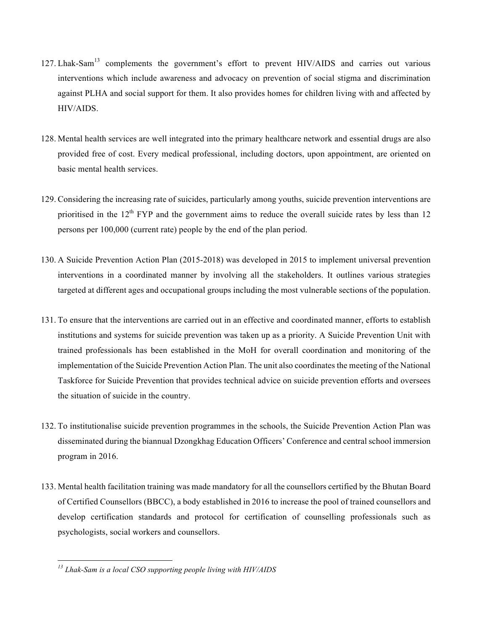- 127. Lhak-Sam<sup>13</sup> complements the government's effort to prevent HIV/AIDS and carries out various interventions which include awareness and advocacy on prevention of social stigma and discrimination against PLHA and social support for them. It also provides homes for children living with and affected by HIV/AIDS.
- 128. Mental health services are well integrated into the primary healthcare network and essential drugs are also provided free of cost. Every medical professional, including doctors, upon appointment, are oriented on basic mental health services.
- 129. Considering the increasing rate of suicides, particularly among youths, suicide prevention interventions are prioritised in the  $12<sup>th</sup> FYP$  and the government aims to reduce the overall suicide rates by less than 12 persons per 100,000 (current rate) people by the end of the plan period.
- 130. A Suicide Prevention Action Plan (2015-2018) was developed in 2015 to implement universal prevention interventions in a coordinated manner by involving all the stakeholders. It outlines various strategies targeted at different ages and occupational groups including the most vulnerable sections of the population.
- 131. To ensure that the interventions are carried out in an effective and coordinated manner, efforts to establish institutions and systems for suicide prevention was taken up as a priority. A Suicide Prevention Unit with trained professionals has been established in the MoH for overall coordination and monitoring of the implementation of the Suicide Prevention Action Plan. The unit also coordinates the meeting of the National Taskforce for Suicide Prevention that provides technical advice on suicide prevention efforts and oversees the situation of suicide in the country.
- 132. To institutionalise suicide prevention programmes in the schools, the Suicide Prevention Action Plan was disseminated during the biannual Dzongkhag Education Officers' Conference and central school immersion program in 2016.
- 133. Mental health facilitation training was made mandatory for all the counsellors certified by the Bhutan Board of Certified Counsellors (BBCC), a body established in 2016 to increase the pool of trained counsellors and develop certification standards and protocol for certification of counselling professionals such as psychologists, social workers and counsellors.

*<sup>13</sup> Lhak-Sam is a local CSO supporting people living with HIV/AIDS*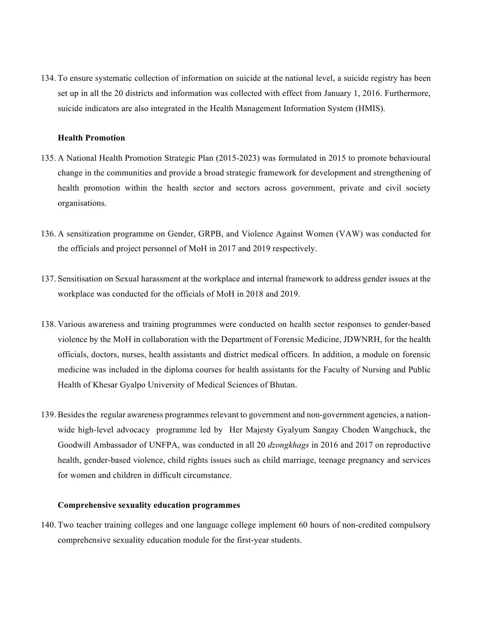134. To ensure systematic collection of information on suicide at the national level, a suicide registry has been set up in all the 20 districts and information was collected with effect from January 1, 2016. Furthermore, suicide indicators are also integrated in the Health Management Information System (HMIS).

#### **Health Promotion**

- 135. A National Health Promotion Strategic Plan (2015-2023) was formulated in 2015 to promote behavioural change in the communities and provide a broad strategic framework for development and strengthening of health promotion within the health sector and sectors across government, private and civil society organisations.
- 136. A sensitization programme on Gender, GRPB, and Violence Against Women (VAW) was conducted for the officials and project personnel of MoH in 2017 and 2019 respectively.
- 137. Sensitisation on Sexual harassment at the workplace and internal framework to address gender issues at the workplace was conducted for the officials of MoH in 2018 and 2019.
- 138. Various awareness and training programmes were conducted on health sector responses to gender-based violence by the MoH in collaboration with the Department of Forensic Medicine, JDWNRH, for the health officials, doctors, nurses, health assistants and district medical officers. In addition, a module on forensic medicine was included in the diploma courses for health assistants for the Faculty of Nursing and Public Health of Khesar Gyalpo University of Medical Sciences of Bhutan.
- 139. Besides the regular awareness programmes relevant to government and non-government agencies, a nationwide high-level advocacy programme led by Her Majesty Gyalyum Sangay Choden Wangchuck, the Goodwill Ambassador of UNFPA, was conducted in all 20 *dzongkhags* in 2016 and 2017 on reproductive health, gender-based violence, child rights issues such as child marriage, teenage pregnancy and services for women and children in difficult circumstance.

#### **Comprehensive sexuality education programmes**

140. Two teacher training colleges and one language college implement 60 hours of non-credited compulsory comprehensive sexuality education module for the first-year students.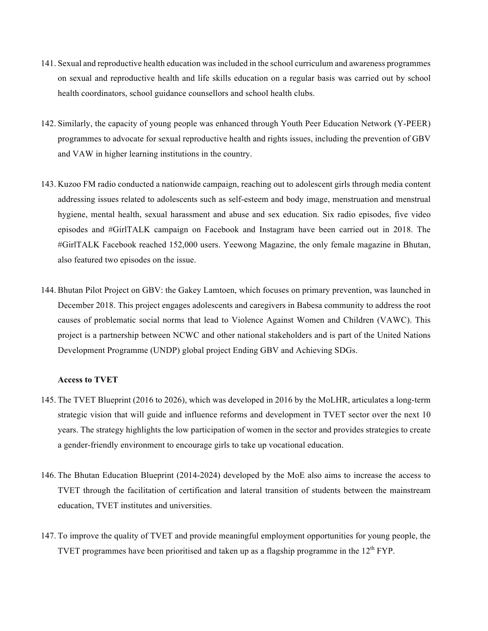- 141. Sexual and reproductive health education was included in the school curriculum and awareness programmes on sexual and reproductive health and life skills education on a regular basis was carried out by school health coordinators, school guidance counsellors and school health clubs.
- 142. Similarly, the capacity of young people was enhanced through Youth Peer Education Network (Y-PEER) programmes to advocate for sexual reproductive health and rights issues, including the prevention of GBV and VAW in higher learning institutions in the country.
- 143. Kuzoo FM radio conducted a nationwide campaign, reaching out to adolescent girls through media content addressing issues related to adolescents such as self-esteem and body image, menstruation and menstrual hygiene, mental health, sexual harassment and abuse and sex education. Six radio episodes, five video episodes and #GirlTALK campaign on Facebook and Instagram have been carried out in 2018. The #GirlTALK Facebook reached 152,000 users. Yeewong Magazine, the only female magazine in Bhutan, also featured two episodes on the issue.
- 144. Bhutan Pilot Project on GBV: the Gakey Lamtoen, which focuses on primary prevention, was launched in December 2018. This project engages adolescents and caregivers in Babesa community to address the root causes of problematic social norms that lead to Violence Against Women and Children (VAWC). This project is a partnership between NCWC and other national stakeholders and is part of the United Nations Development Programme (UNDP) global project Ending GBV and Achieving SDGs.

## **Access to TVET**

- 145. The TVET Blueprint (2016 to 2026), which was developed in 2016 by the MoLHR, articulates a long-term strategic vision that will guide and influence reforms and development in TVET sector over the next 10 years. The strategy highlights the low participation of women in the sector and provides strategies to create a gender-friendly environment to encourage girls to take up vocational education.
- 146. The Bhutan Education Blueprint (2014-2024) developed by the MoE also aims to increase the access to TVET through the facilitation of certification and lateral transition of students between the mainstream education, TVET institutes and universities.
- 147. To improve the quality of TVET and provide meaningful employment opportunities for young people, the TVET programmes have been prioritised and taken up as a flagship programme in the  $12<sup>th</sup> FYP$ .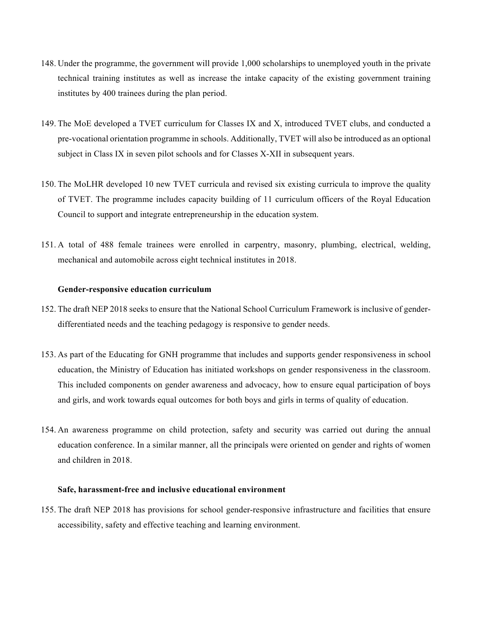- 148. Under the programme, the government will provide 1,000 scholarships to unemployed youth in the private technical training institutes as well as increase the intake capacity of the existing government training institutes by 400 trainees during the plan period.
- 149. The MoE developed a TVET curriculum for Classes IX and X, introduced TVET clubs, and conducted a pre-vocational orientation programme in schools. Additionally, TVET will also be introduced as an optional subject in Class IX in seven pilot schools and for Classes X-XII in subsequent years.
- 150. The MoLHR developed 10 new TVET curricula and revised six existing curricula to improve the quality of TVET. The programme includes capacity building of 11 curriculum officers of the Royal Education Council to support and integrate entrepreneurship in the education system.
- 151. A total of 488 female trainees were enrolled in carpentry, masonry, plumbing, electrical, welding, mechanical and automobile across eight technical institutes in 2018.

#### **Gender-responsive education curriculum**

- 152. The draft NEP 2018 seeks to ensure that the National School Curriculum Framework is inclusive of genderdifferentiated needs and the teaching pedagogy is responsive to gender needs.
- 153. As part of the Educating for GNH programme that includes and supports gender responsiveness in school education, the Ministry of Education has initiated workshops on gender responsiveness in the classroom. This included components on gender awareness and advocacy, how to ensure equal participation of boys and girls, and work towards equal outcomes for both boys and girls in terms of quality of education.
- 154. An awareness programme on child protection, safety and security was carried out during the annual education conference. In a similar manner, all the principals were oriented on gender and rights of women and children in 2018.

#### **Safe, harassment-free and inclusive educational environment**

155. The draft NEP 2018 has provisions for school gender-responsive infrastructure and facilities that ensure accessibility, safety and effective teaching and learning environment.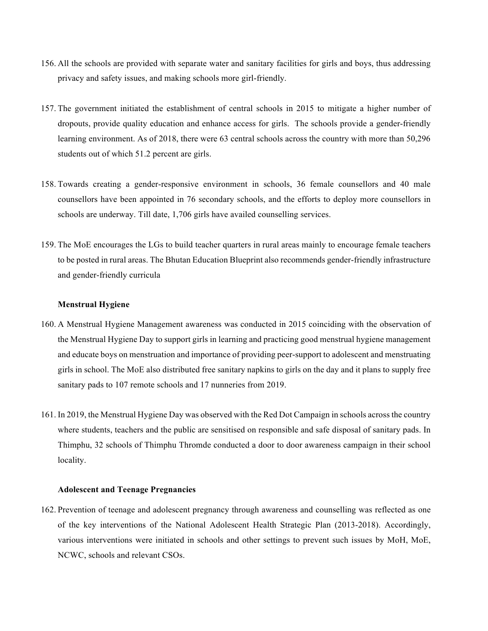- 156. All the schools are provided with separate water and sanitary facilities for girls and boys, thus addressing privacy and safety issues, and making schools more girl-friendly.
- 157. The government initiated the establishment of central schools in 2015 to mitigate a higher number of dropouts, provide quality education and enhance access for girls. The schools provide a gender-friendly learning environment. As of 2018, there were 63 central schools across the country with more than 50,296 students out of which 51.2 percent are girls.
- 158. Towards creating a gender-responsive environment in schools, 36 female counsellors and 40 male counsellors have been appointed in 76 secondary schools, and the efforts to deploy more counsellors in schools are underway. Till date, 1,706 girls have availed counselling services.
- 159. The MoE encourages the LGs to build teacher quarters in rural areas mainly to encourage female teachers to be posted in rural areas. The Bhutan Education Blueprint also recommends gender-friendly infrastructure and gender-friendly curricula

# **Menstrual Hygiene**

- 160. A Menstrual Hygiene Management awareness was conducted in 2015 coinciding with the observation of the Menstrual Hygiene Day to support girls in learning and practicing good menstrual hygiene management and educate boys on menstruation and importance of providing peer-support to adolescent and menstruating girls in school. The MoE also distributed free sanitary napkins to girls on the day and it plans to supply free sanitary pads to 107 remote schools and 17 nunneries from 2019.
- 161. In 2019, the Menstrual Hygiene Day was observed with the Red Dot Campaign in schools across the country where students, teachers and the public are sensitised on responsible and safe disposal of sanitary pads. In Thimphu, 32 schools of Thimphu Thromde conducted a door to door awareness campaign in their school locality.

#### **Adolescent and Teenage Pregnancies**

162. Prevention of teenage and adolescent pregnancy through awareness and counselling was reflected as one of the key interventions of the National Adolescent Health Strategic Plan (2013-2018). Accordingly, various interventions were initiated in schools and other settings to prevent such issues by MoH, MoE, NCWC, schools and relevant CSOs.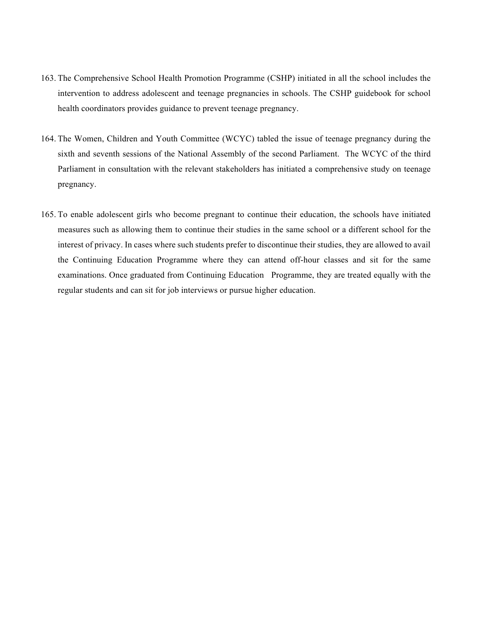- 163. The Comprehensive School Health Promotion Programme (CSHP) initiated in all the school includes the intervention to address adolescent and teenage pregnancies in schools. The CSHP guidebook for school health coordinators provides guidance to prevent teenage pregnancy.
- 164. The Women, Children and Youth Committee (WCYC) tabled the issue of teenage pregnancy during the sixth and seventh sessions of the National Assembly of the second Parliament. The WCYC of the third Parliament in consultation with the relevant stakeholders has initiated a comprehensive study on teenage pregnancy.
- 165. To enable adolescent girls who become pregnant to continue their education, the schools have initiated measures such as allowing them to continue their studies in the same school or a different school for the interest of privacy. In cases where such students prefer to discontinue their studies, they are allowed to avail the Continuing Education Programme where they can attend off-hour classes and sit for the same examinations. Once graduated from Continuing Education Programme, they are treated equally with the regular students and can sit for job interviews or pursue higher education.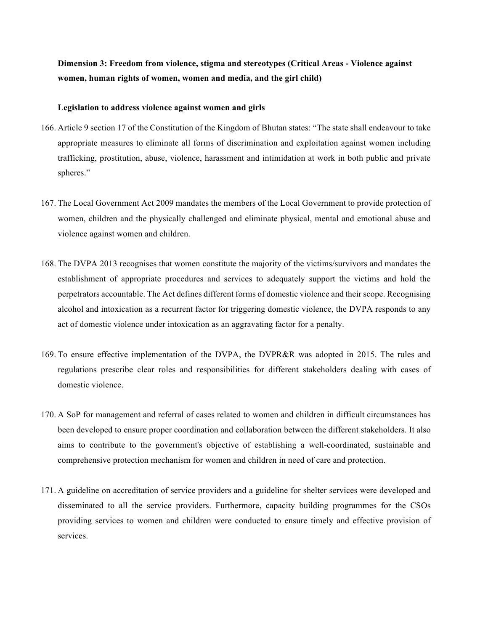**Dimension 3: Freedom from violence, stigma and stereotypes (Critical Areas - Violence against women, human rights of women, women and media, and the girl child)**

#### **Legislation to address violence against women and girls**

- 166. Article 9 section 17 of the Constitution of the Kingdom of Bhutan states: "The state shall endeavour to take appropriate measures to eliminate all forms of discrimination and exploitation against women including trafficking, prostitution, abuse, violence, harassment and intimidation at work in both public and private spheres."
- 167. The Local Government Act 2009 mandates the members of the Local Government to provide protection of women, children and the physically challenged and eliminate physical, mental and emotional abuse and violence against women and children.
- 168. The DVPA 2013 recognises that women constitute the majority of the victims/survivors and mandates the establishment of appropriate procedures and services to adequately support the victims and hold the perpetrators accountable. The Act defines different forms of domestic violence and their scope. Recognising alcohol and intoxication as a recurrent factor for triggering domestic violence, the DVPA responds to any act of domestic violence under intoxication as an aggravating factor for a penalty.
- 169. To ensure effective implementation of the DVPA, the DVPR&R was adopted in 2015. The rules and regulations prescribe clear roles and responsibilities for different stakeholders dealing with cases of domestic violence.
- 170. A SoP for management and referral of cases related to women and children in difficult circumstances has been developed to ensure proper coordination and collaboration between the different stakeholders. It also aims to contribute to the government's objective of establishing a well-coordinated, sustainable and comprehensive protection mechanism for women and children in need of care and protection.
- 171. A guideline on accreditation of service providers and a guideline for shelter services were developed and disseminated to all the service providers. Furthermore, capacity building programmes for the CSOs providing services to women and children were conducted to ensure timely and effective provision of services.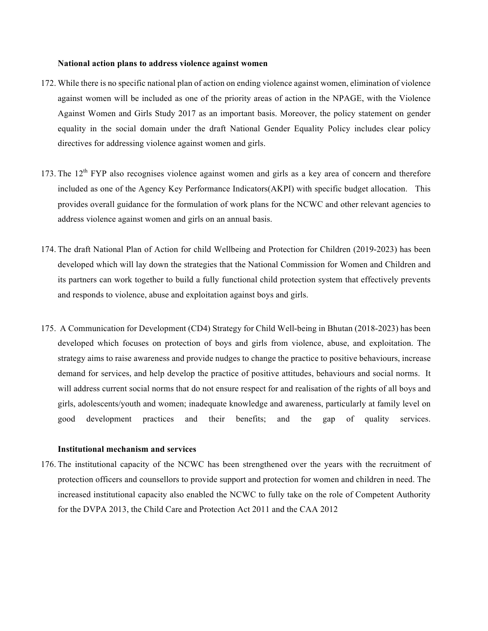#### **National action plans to address violence against women**

- 172. While there is no specific national plan of action on ending violence against women, elimination of violence against women will be included as one of the priority areas of action in the NPAGE, with the Violence Against Women and Girls Study 2017 as an important basis. Moreover, the policy statement on gender equality in the social domain under the draft National Gender Equality Policy includes clear policy directives for addressing violence against women and girls.
- 173. The  $12<sup>th</sup> FYP$  also recognises violence against women and girls as a key area of concern and therefore included as one of the Agency Key Performance Indicators(AKPI) with specific budget allocation. This provides overall guidance for the formulation of work plans for the NCWC and other relevant agencies to address violence against women and girls on an annual basis.
- 174. The draft National Plan of Action for child Wellbeing and Protection for Children (2019-2023) has been developed which will lay down the strategies that the National Commission for Women and Children and its partners can work together to build a fully functional child protection system that effectively prevents and responds to violence, abuse and exploitation against boys and girls.
- 175. A Communication for Development (CD4) Strategy for Child Well-being in Bhutan (2018-2023) has been developed which focuses on protection of boys and girls from violence, abuse, and exploitation. The strategy aims to raise awareness and provide nudges to change the practice to positive behaviours, increase demand for services, and help develop the practice of positive attitudes, behaviours and social norms. It will address current social norms that do not ensure respect for and realisation of the rights of all boys and girls, adolescents/youth and women; inadequate knowledge and awareness, particularly at family level on good development practices and their benefits; and the gap of quality services.

## **Institutional mechanism and services**

176. The institutional capacity of the NCWC has been strengthened over the years with the recruitment of protection officers and counsellors to provide support and protection for women and children in need. The increased institutional capacity also enabled the NCWC to fully take on the role of Competent Authority for the DVPA 2013, the Child Care and Protection Act 2011 and the CAA 2012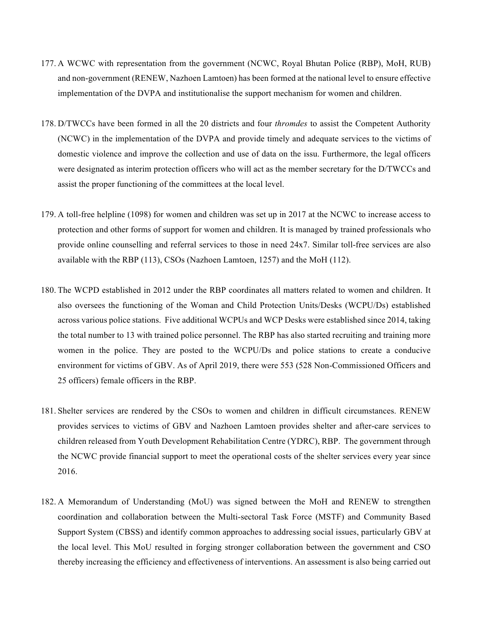- 177. A WCWC with representation from the government (NCWC, Royal Bhutan Police (RBP), MoH, RUB) and non-government (RENEW, Nazhoen Lamtoen) has been formed at the national level to ensure effective implementation of the DVPA and institutionalise the support mechanism for women and children.
- 178. D/TWCCs have been formed in all the 20 districts and four *thromdes* to assist the Competent Authority (NCWC) in the implementation of the DVPA and provide timely and adequate services to the victims of domestic violence and improve the collection and use of data on the issu. Furthermore, the legal officers were designated as interim protection officers who will act as the member secretary for the D/TWCCs and assist the proper functioning of the committees at the local level.
- 179. A toll-free helpline (1098) for women and children was set up in 2017 at the NCWC to increase access to protection and other forms of support for women and children. It is managed by trained professionals who provide online counselling and referral services to those in need 24x7. Similar toll-free services are also available with the RBP (113), CSOs (Nazhoen Lamtoen, 1257) and the MoH (112).
- 180. The WCPD established in 2012 under the RBP coordinates all matters related to women and children. It also oversees the functioning of the Woman and Child Protection Units/Desks (WCPU/Ds) established across various police stations. Five additional WCPUs and WCP Desks were established since 2014, taking the total number to 13 with trained police personnel. The RBP has also started recruiting and training more women in the police. They are posted to the WCPU/Ds and police stations to create a conducive environment for victims of GBV. As of April 2019, there were 553 (528 Non-Commissioned Officers and 25 officers) female officers in the RBP.
- 181. Shelter services are rendered by the CSOs to women and children in difficult circumstances. RENEW provides services to victims of GBV and Nazhoen Lamtoen provides shelter and after-care services to children released from Youth Development Rehabilitation Centre (YDRC), RBP. The government through the NCWC provide financial support to meet the operational costs of the shelter services every year since 2016.
- 182. A Memorandum of Understanding (MoU) was signed between the MoH and RENEW to strengthen coordination and collaboration between the Multi-sectoral Task Force (MSTF) and Community Based Support System (CBSS) and identify common approaches to addressing social issues, particularly GBV at the local level. This MoU resulted in forging stronger collaboration between the government and CSO thereby increasing the efficiency and effectiveness of interventions. An assessment is also being carried out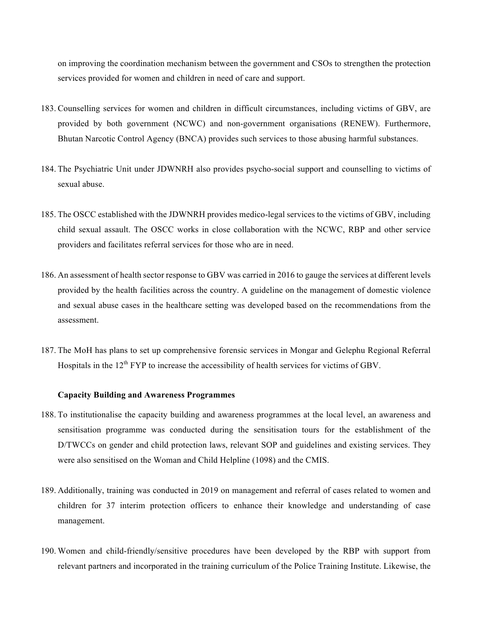on improving the coordination mechanism between the government and CSOs to strengthen the protection services provided for women and children in need of care and support.

- 183. Counselling services for women and children in difficult circumstances, including victims of GBV, are provided by both government (NCWC) and non-government organisations (RENEW). Furthermore, Bhutan Narcotic Control Agency (BNCA) provides such services to those abusing harmful substances.
- 184. The Psychiatric Unit under JDWNRH also provides psycho-social support and counselling to victims of sexual abuse.
- 185. The OSCC established with the JDWNRH provides medico-legal services to the victims of GBV, including child sexual assault. The OSCC works in close collaboration with the NCWC, RBP and other service providers and facilitates referral services for those who are in need.
- 186. An assessment of health sector response to GBV was carried in 2016 to gauge the services at different levels provided by the health facilities across the country. A guideline on the management of domestic violence and sexual abuse cases in the healthcare setting was developed based on the recommendations from the assessment.
- 187. The MoH has plans to set up comprehensive forensic services in Mongar and Gelephu Regional Referral Hospitals in the 12<sup>th</sup> FYP to increase the accessibility of health services for victims of GBV.

#### **Capacity Building and Awareness Programmes**

- 188. To institutionalise the capacity building and awareness programmes at the local level, an awareness and sensitisation programme was conducted during the sensitisation tours for the establishment of the D/TWCCs on gender and child protection laws, relevant SOP and guidelines and existing services. They were also sensitised on the Woman and Child Helpline (1098) and the CMIS.
- 189. Additionally, training was conducted in 2019 on management and referral of cases related to women and children for 37 interim protection officers to enhance their knowledge and understanding of case management.
- 190. Women and child-friendly/sensitive procedures have been developed by the RBP with support from relevant partners and incorporated in the training curriculum of the Police Training Institute. Likewise, the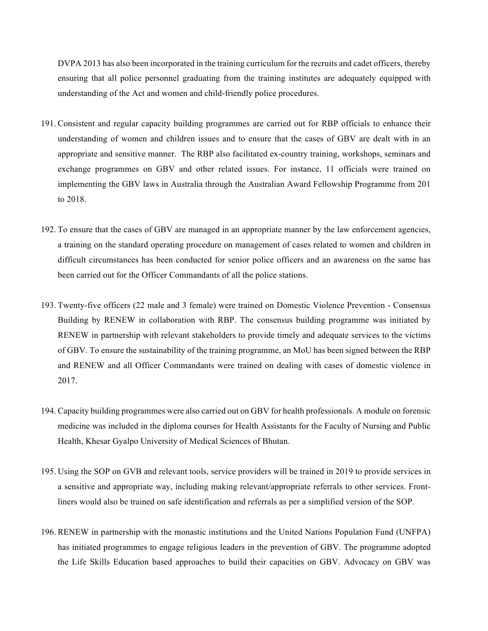DVPA 2013 has also been incorporated in the training curriculum for the recruits and cadet officers, thereby ensuring that all police personnel graduating from the training institutes are adequately equipped with understanding of the Act and women and child-friendly police procedures.

- 191. Consistent and regular capacity building programmes are carried out for RBP officials to enhance their understanding of women and children issues and to ensure that the cases of GBV are dealt with in an appropriate and sensitive manner. The RBP also facilitated ex-country training, workshops, seminars and exchange programmes on GBV and other related issues. For instance, 11 officials were trained on implementing the GBV laws in Australia through the Australian Award Fellowship Programme from 201 to 2018.
- 192. To ensure that the cases of GBV are managed in an appropriate manner by the law enforcement agencies, a training on the standard operating procedure on management of cases related to women and children in difficult circumstances has been conducted for senior police officers and an awareness on the same has been carried out for the Officer Commandants of all the police stations.
- 193. Twenty-five officers (22 male and 3 female) were trained on Domestic Violence Prevention Consensus Building by RENEW in collaboration with RBP. The consensus building programme was initiated by RENEW in partnership with relevant stakeholders to provide timely and adequate services to the victims of GBV. To ensure the sustainability of the training programme, an MoU has been signed between the RBP and RENEW and all Officer Commandants were trained on dealing with cases of domestic violence in 2017.
- 194. Capacity building programmes were also carried out on GBV for health professionals. A module on forensic medicine was included in the diploma courses for Health Assistants for the Faculty of Nursing and Public Health, Khesar Gyalpo University of Medical Sciences of Bhutan.
- 195. Using the SOP on GVB and relevant tools, service providers will be trained in 2019 to provide services in a sensitive and appropriate way, including making relevant/appropriate referrals to other services. Frontliners would also be trained on safe identification and referrals as per a simplified version of the SOP.
- 196. RENEW in partnership with the monastic institutions and the United Nations Population Fund (UNFPA) has initiated programmes to engage religious leaders in the prevention of GBV. The programme adopted the Life Skills Education based approaches to build their capacities on GBV. Advocacy on GBV was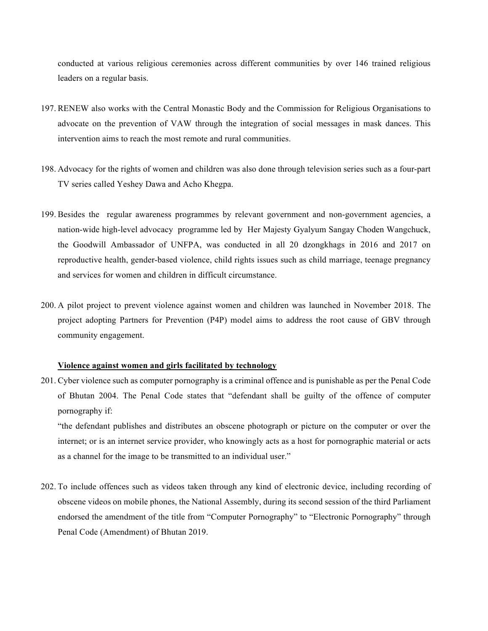conducted at various religious ceremonies across different communities by over 146 trained religious leaders on a regular basis.

- 197. RENEW also works with the Central Monastic Body and the Commission for Religious Organisations to advocate on the prevention of VAW through the integration of social messages in mask dances. This intervention aims to reach the most remote and rural communities.
- 198. Advocacy for the rights of women and children was also done through television series such as a four-part TV series called Yeshey Dawa and Acho Khegpa.
- 199. Besides the regular awareness programmes by relevant government and non-government agencies, a nation-wide high-level advocacy programme led by Her Majesty Gyalyum Sangay Choden Wangchuck, the Goodwill Ambassador of UNFPA, was conducted in all 20 dzongkhags in 2016 and 2017 on reproductive health, gender-based violence, child rights issues such as child marriage, teenage pregnancy and services for women and children in difficult circumstance.
- 200. A pilot project to prevent violence against women and children was launched in November 2018. The project adopting Partners for Prevention (P4P) model aims to address the root cause of GBV through community engagement.

#### **Violence against women and girls facilitated by technology**

201. Cyber violence such as computer pornography is a criminal offence and is punishable as per the Penal Code of Bhutan 2004. The Penal Code states that "defendant shall be guilty of the offence of computer pornography if:

"the defendant publishes and distributes an obscene photograph or picture on the computer or over the internet; or is an internet service provider, who knowingly acts as a host for pornographic material or acts as a channel for the image to be transmitted to an individual user."

202. To include offences such as videos taken through any kind of electronic device, including recording of obscene videos on mobile phones, the National Assembly, during its second session of the third Parliament endorsed the amendment of the title from "Computer Pornography" to "Electronic Pornography" through Penal Code (Amendment) of Bhutan 2019.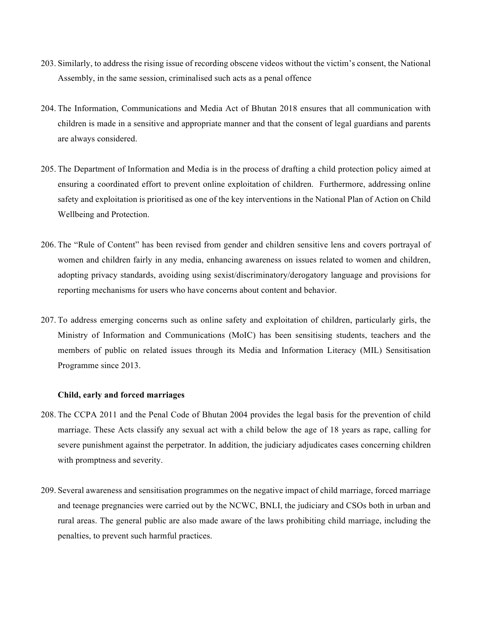- 203. Similarly, to address the rising issue of recording obscene videos without the victim's consent, the National Assembly, in the same session, criminalised such acts as a penal offence
- 204. The Information, Communications and Media Act of Bhutan 2018 ensures that all communication with children is made in a sensitive and appropriate manner and that the consent of legal guardians and parents are always considered.
- 205. The Department of Information and Media is in the process of drafting a child protection policy aimed at ensuring a coordinated effort to prevent online exploitation of children. Furthermore, addressing online safety and exploitation is prioritised as one of the key interventions in the National Plan of Action on Child Wellbeing and Protection.
- 206. The "Rule of Content" has been revised from gender and children sensitive lens and covers portrayal of women and children fairly in any media, enhancing awareness on issues related to women and children, adopting privacy standards, avoiding using sexist/discriminatory/derogatory language and provisions for reporting mechanisms for users who have concerns about content and behavior.
- 207. To address emerging concerns such as online safety and exploitation of children, particularly girls, the Ministry of Information and Communications (MoIC) has been sensitising students, teachers and the members of public on related issues through its Media and Information Literacy (MIL) Sensitisation Programme since 2013.

#### **Child, early and forced marriages**

- 208. The CCPA 2011 and the Penal Code of Bhutan 2004 provides the legal basis for the prevention of child marriage. These Acts classify any sexual act with a child below the age of 18 years as rape, calling for severe punishment against the perpetrator. In addition, the judiciary adjudicates cases concerning children with promptness and severity.
- 209. Several awareness and sensitisation programmes on the negative impact of child marriage, forced marriage and teenage pregnancies were carried out by the NCWC, BNLI, the judiciary and CSOs both in urban and rural areas. The general public are also made aware of the laws prohibiting child marriage, including the penalties, to prevent such harmful practices.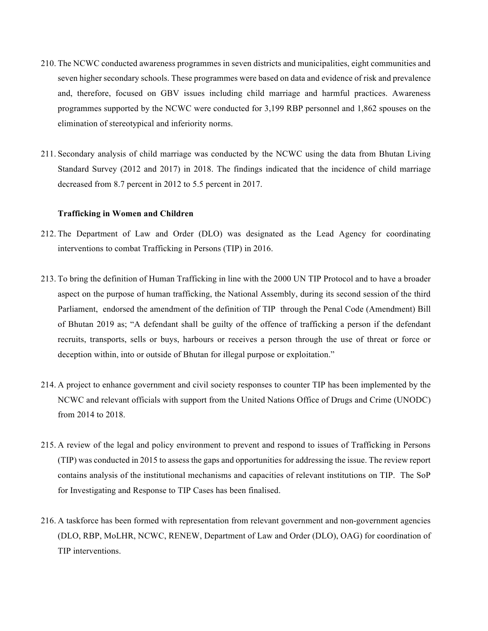- 210. The NCWC conducted awareness programmes in seven districts and municipalities, eight communities and seven higher secondary schools. These programmes were based on data and evidence of risk and prevalence and, therefore, focused on GBV issues including child marriage and harmful practices. Awareness programmes supported by the NCWC were conducted for 3,199 RBP personnel and 1,862 spouses on the elimination of stereotypical and inferiority norms.
- 211. Secondary analysis of child marriage was conducted by the NCWC using the data from Bhutan Living Standard Survey (2012 and 2017) in 2018. The findings indicated that the incidence of child marriage decreased from 8.7 percent in 2012 to 5.5 percent in 2017.

#### **Trafficking in Women and Children**

- 212. The Department of Law and Order (DLO) was designated as the Lead Agency for coordinating interventions to combat Trafficking in Persons (TIP) in 2016.
- 213. To bring the definition of Human Trafficking in line with the 2000 UN TIP Protocol and to have a broader aspect on the purpose of human trafficking, the National Assembly, during its second session of the third Parliament, endorsed the amendment of the definition of TIP through the Penal Code (Amendment) Bill of Bhutan 2019 as; "A defendant shall be guilty of the offence of trafficking a person if the defendant recruits, transports, sells or buys, harbours or receives a person through the use of threat or force or deception within, into or outside of Bhutan for illegal purpose or exploitation."
- 214. A project to enhance government and civil society responses to counter TIP has been implemented by the NCWC and relevant officials with support from the United Nations Office of Drugs and Crime (UNODC) from 2014 to 2018.
- 215. A review of the legal and policy environment to prevent and respond to issues of Trafficking in Persons (TIP) was conducted in 2015 to assess the gaps and opportunities for addressing the issue. The review report contains analysis of the institutional mechanisms and capacities of relevant institutions on TIP. The SoP for Investigating and Response to TIP Cases has been finalised.
- 216. A taskforce has been formed with representation from relevant government and non-government agencies (DLO, RBP, MoLHR, NCWC, RENEW, Department of Law and Order (DLO), OAG) for coordination of TIP interventions.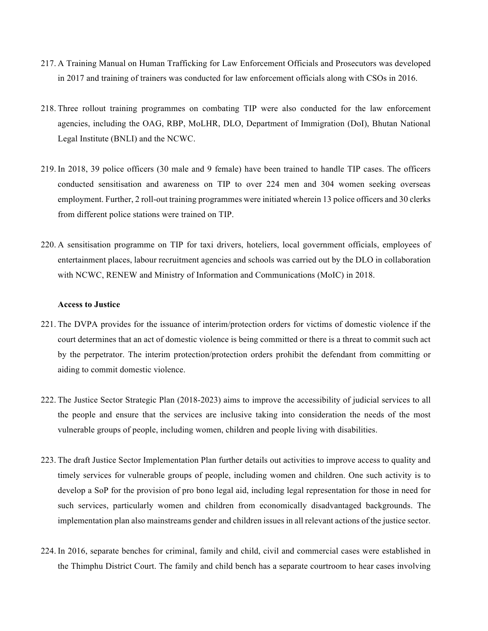- 217. A Training Manual on Human Trafficking for Law Enforcement Officials and Prosecutors was developed in 2017 and training of trainers was conducted for law enforcement officials along with CSOs in 2016.
- 218. Three rollout training programmes on combating TIP were also conducted for the law enforcement agencies, including the OAG, RBP, MoLHR, DLO, Department of Immigration (DoI), Bhutan National Legal Institute (BNLI) and the NCWC.
- 219. In 2018, 39 police officers (30 male and 9 female) have been trained to handle TIP cases. The officers conducted sensitisation and awareness on TIP to over 224 men and 304 women seeking overseas employment. Further, 2 roll-out training programmes were initiated wherein 13 police officers and 30 clerks from different police stations were trained on TIP.
- 220. A sensitisation programme on TIP for taxi drivers, hoteliers, local government officials, employees of entertainment places, labour recruitment agencies and schools was carried out by the DLO in collaboration with NCWC, RENEW and Ministry of Information and Communications (MoIC) in 2018.

## **Access to Justice**

- 221. The DVPA provides for the issuance of interim/protection orders for victims of domestic violence if the court determines that an act of domestic violence is being committed or there is a threat to commit such act by the perpetrator. The interim protection/protection orders prohibit the defendant from committing or aiding to commit domestic violence.
- 222. The Justice Sector Strategic Plan (2018-2023) aims to improve the accessibility of judicial services to all the people and ensure that the services are inclusive taking into consideration the needs of the most vulnerable groups of people, including women, children and people living with disabilities.
- 223. The draft Justice Sector Implementation Plan further details out activities to improve access to quality and timely services for vulnerable groups of people, including women and children. One such activity is to develop a SoP for the provision of pro bono legal aid, including legal representation for those in need for such services, particularly women and children from economically disadvantaged backgrounds. The implementation plan also mainstreams gender and children issues in all relevant actions of the justice sector.
- 224. In 2016, separate benches for criminal, family and child, civil and commercial cases were established in the Thimphu District Court. The family and child bench has a separate courtroom to hear cases involving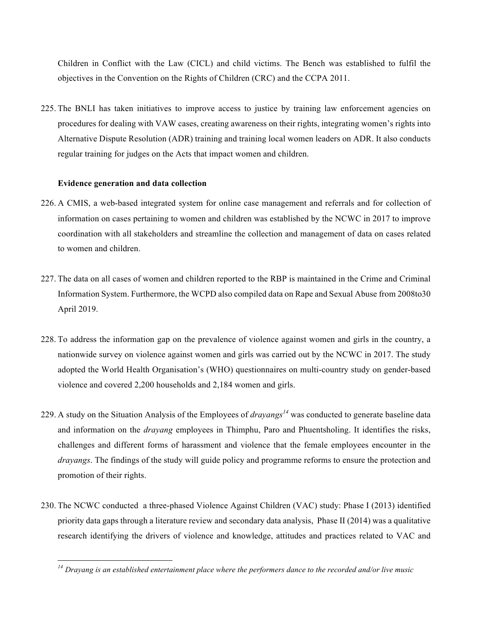Children in Conflict with the Law (CICL) and child victims. The Bench was established to fulfil the objectives in the Convention on the Rights of Children (CRC) and the CCPA 2011.

225. The BNLI has taken initiatives to improve access to justice by training law enforcement agencies on procedures for dealing with VAW cases, creating awareness on their rights, integrating women's rights into Alternative Dispute Resolution (ADR) training and training local women leaders on ADR. It also conducts regular training for judges on the Acts that impact women and children.

## **Evidence generation and data collection**

- 226. A CMIS, a web-based integrated system for online case management and referrals and for collection of information on cases pertaining to women and children was established by the NCWC in 2017 to improve coordination with all stakeholders and streamline the collection and management of data on cases related to women and children.
- 227. The data on all cases of women and children reported to the RBP is maintained in the Crime and Criminal Information System. Furthermore, the WCPD also compiled data on Rape and Sexual Abuse from 2008to30 April 2019.
- 228. To address the information gap on the prevalence of violence against women and girls in the country, a nationwide survey on violence against women and girls was carried out by the NCWC in 2017. The study adopted the World Health Organisation's (WHO) questionnaires on multi-country study on gender-based violence and covered 2,200 households and 2,184 women and girls.
- 229. A study on the Situation Analysis of the Employees of *drayangs<sup>14</sup>* was conducted to generate baseline data and information on the *drayang* employees in Thimphu, Paro and Phuentsholing. It identifies the risks, challenges and different forms of harassment and violence that the female employees encounter in the *drayangs*. The findings of the study will guide policy and programme reforms to ensure the protection and promotion of their rights.
- 230. The NCWC conducted a three-phased Violence Against Children (VAC) study: Phase I (2013) identified priority data gaps through a literature review and secondary data analysis, Phase II (2014) was a qualitative research identifying the drivers of violence and knowledge, attitudes and practices related to VAC and

*<sup>14</sup> Drayang is an established entertainment place where the performers dance to the recorded and/or live music*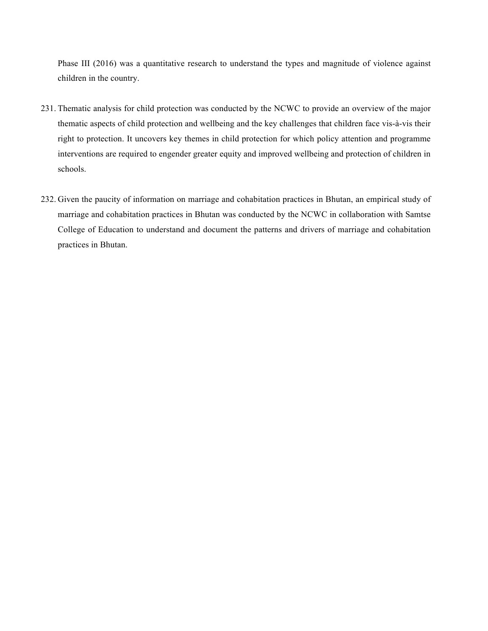Phase III (2016) was a quantitative research to understand the types and magnitude of violence against children in the country.

- 231. Thematic analysis for child protection was conducted by the NCWC to provide an overview of the major thematic aspects of child protection and wellbeing and the key challenges that children face vis-à-vis their right to protection. It uncovers key themes in child protection for which policy attention and programme interventions are required to engender greater equity and improved wellbeing and protection of children in schools.
- 232. Given the paucity of information on marriage and cohabitation practices in Bhutan, an empirical study of marriage and cohabitation practices in Bhutan was conducted by the NCWC in collaboration with Samtse College of Education to understand and document the patterns and drivers of marriage and cohabitation practices in Bhutan.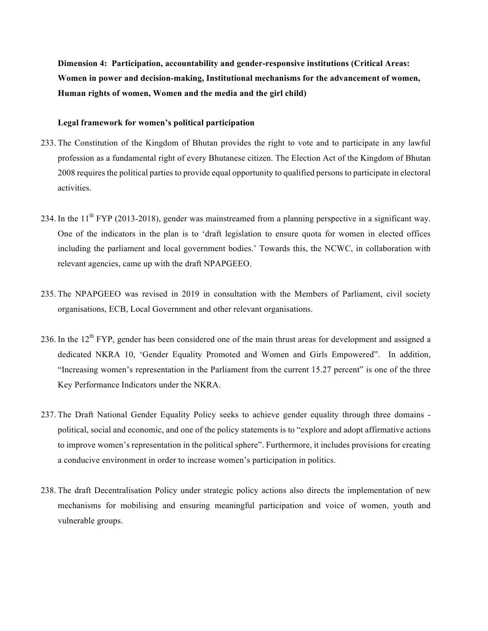**Dimension 4: Participation, accountability and gender-responsive institutions (Critical Areas: Women in power and decision-making, Institutional mechanisms for the advancement of women, Human rights of women, Women and the media and the girl child)**

# **Legal framework for women's political participation**

- 233. The Constitution of the Kingdom of Bhutan provides the right to vote and to participate in any lawful profession as a fundamental right of every Bhutanese citizen. The Election Act of the Kingdom of Bhutan 2008 requires the political parties to provide equal opportunity to qualified persons to participate in electoral activities.
- 234. In the  $11^{th}$  FYP (2013-2018), gender was mainstreamed from a planning perspective in a significant way. One of the indicators in the plan is to 'draft legislation to ensure quota for women in elected offices including the parliament and local government bodies.' Towards this, the NCWC, in collaboration with relevant agencies, came up with the draft NPAPGEEO.
- 235. The NPAPGEEO was revised in 2019 in consultation with the Members of Parliament, civil society organisations, ECB, Local Government and other relevant organisations.
- 236. In the 12<sup>th</sup> FYP, gender has been considered one of the main thrust areas for development and assigned a dedicated NKRA 10, 'Gender Equality Promoted and Women and Girls Empowered". In addition, "Increasing women's representation in the Parliament from the current 15.27 percent" is one of the three Key Performance Indicators under the NKRA.
- 237. The Draft National Gender Equality Policy seeks to achieve gender equality through three domains political, social and economic, and one of the policy statements is to "explore and adopt affirmative actions to improve women's representation in the political sphere". Furthermore, it includes provisions for creating a conducive environment in order to increase women's participation in politics.
- 238. The draft Decentralisation Policy under strategic policy actions also directs the implementation of new mechanisms for mobilising and ensuring meaningful participation and voice of women, youth and vulnerable groups.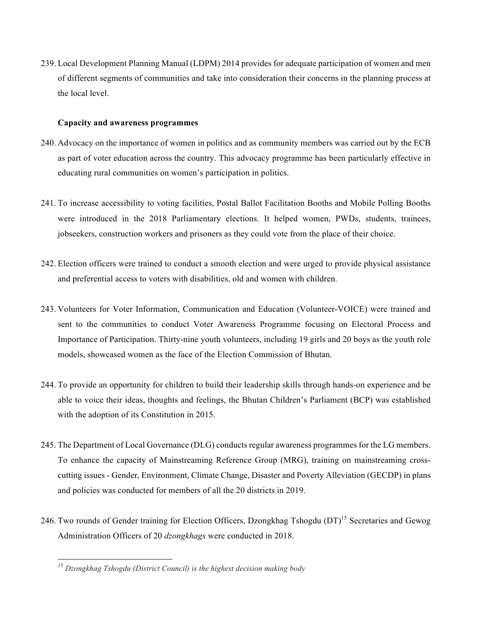239. Local Development Planning Manual (LDPM) 2014 provides for adequate participation of women and men of different segments of communities and take into consideration their concerns in the planning process at the local level.

#### **Capacity and awareness programmes**

- 240. Advocacy on the importance of women in politics and as community members was carried out by the ECB as part of voter education across the country. This advocacy programme has been particularly effective in educating rural communities on women's participation in politics.
- 241. To increase accessibility to voting facilities, Postal Ballot Facilitation Booths and Mobile Polling Booths were introduced in the 2018 Parliamentary elections. It helped women, PWDs, students, trainees, jobseekers, construction workers and prisoners as they could vote from the place of their choice.
- 242. Election officers were trained to conduct a smooth election and were urged to provide physical assistance and preferential access to voters with disabilities, old and women with children.
- 243. Volunteers for Voter Information, Communication and Education (Volunteer-VOICE) were trained and sent to the communities to conduct Voter Awareness Programme focusing on Electoral Process and Importance of Participation. Thirty-nine youth volunteers, including 19 girls and 20 boys as the youth role models, showcased women as the face of the Election Commission of Bhutan.
- 244. To provide an opportunity for children to build their leadership skills through hands-on experience and be able to voice their ideas, thoughts and feelings, the Bhutan Children's Parliament (BCP) was established with the adoption of its Constitution in 2015.
- 245. The Department of Local Governance (DLG) conducts regular awareness programmes for the LG members. To enhance the capacity of Mainstreaming Reference Group (MRG), training on mainstreaming crosscutting issues - Gender, Environment, Climate Change, Disaster and Poverty Alleviation (GECDP) in plans and policies was conducted for members of all the 20 districts in 2019.
- 246. Two rounds of Gender training for Election Officers, Dzongkhag Tshogdu (DT)<sup>15</sup> Secretaries and Gewog Administration Officers of 20 *dzongkhags* were conducted in 2018.

 $\overline{a}$ 

*<sup>15</sup> Dzongkhag Tshogdu (District Council) is the highest decision making body*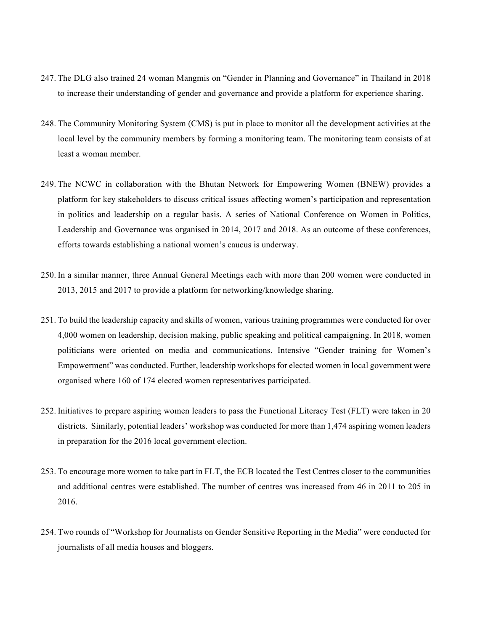- 247. The DLG also trained 24 woman Mangmis on "Gender in Planning and Governance" in Thailand in 2018 to increase their understanding of gender and governance and provide a platform for experience sharing.
- 248. The Community Monitoring System (CMS) is put in place to monitor all the development activities at the local level by the community members by forming a monitoring team. The monitoring team consists of at least a woman member.
- 249. The NCWC in collaboration with the Bhutan Network for Empowering Women (BNEW) provides a platform for key stakeholders to discuss critical issues affecting women's participation and representation in politics and leadership on a regular basis. A series of National Conference on Women in Politics, Leadership and Governance was organised in 2014, 2017 and 2018. As an outcome of these conferences, efforts towards establishing a national women's caucus is underway.
- 250. In a similar manner, three Annual General Meetings each with more than 200 women were conducted in 2013, 2015 and 2017 to provide a platform for networking/knowledge sharing.
- 251. To build the leadership capacity and skills of women, various training programmes were conducted for over 4,000 women on leadership, decision making, public speaking and political campaigning. In 2018, women politicians were oriented on media and communications. Intensive "Gender training for Women's Empowerment" was conducted. Further, leadership workshops for elected women in local government were organised where 160 of 174 elected women representatives participated.
- 252. Initiatives to prepare aspiring women leaders to pass the Functional Literacy Test (FLT) were taken in 20 districts. Similarly, potential leaders' workshop was conducted for more than 1,474 aspiring women leaders in preparation for the 2016 local government election.
- 253. To encourage more women to take part in FLT, the ECB located the Test Centres closer to the communities and additional centres were established. The number of centres was increased from 46 in 2011 to 205 in 2016.
- 254. Two rounds of "Workshop for Journalists on Gender Sensitive Reporting in the Media" were conducted for journalists of all media houses and bloggers.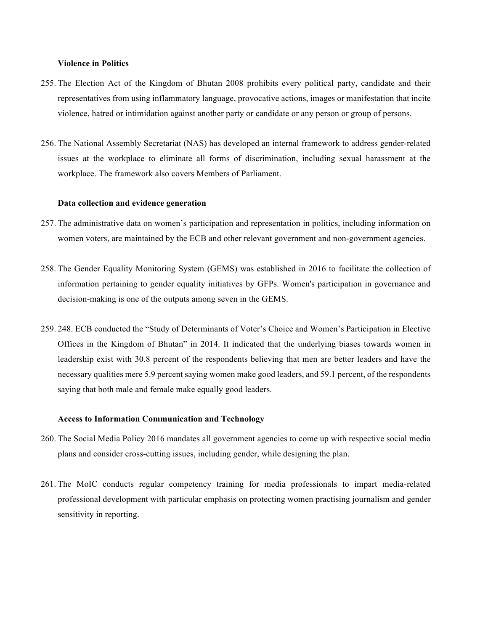#### **Violence in Politics**

- 255. The Election Act of the Kingdom of Bhutan 2008 prohibits every political party, candidate and their representatives from using inflammatory language, provocative actions, images or manifestation that incite violence, hatred or intimidation against another party or candidate or any person or group of persons.
- 256. The National Assembly Secretariat (NAS) has developed an internal framework to address gender-related issues at the workplace to eliminate all forms of discrimination, including sexual harassment at the workplace. The framework also covers Members of Parliament.

#### **Data collection and evidence generation**

- 257. The administrative data on women's participation and representation in politics, including information on women voters, are maintained by the ECB and other relevant government and non-government agencies.
- 258. The Gender Equality Monitoring System (GEMS) was established in 2016 to facilitate the collection of information pertaining to gender equality initiatives by GFPs. Women's participation in governance and decision-making is one of the outputs among seven in the GEMS.
- 259. 248. ECB conducted the "Study of Determinants of Voter's Choice and Women's Participation in Elective Offices in the Kingdom of Bhutan" in 2014. It indicated that the underlying biases towards women in leadership exist with 30.8 percent of the respondents believing that men are better leaders and have the necessary qualities mere 5.9 percent saying women make good leaders, and 59.1 percent, of the respondents saying that both male and female make equally good leaders.

## **Access to Information Communication and Technology**

- 260. The Social Media Policy 2016 mandates all government agencies to come up with respective social media plans and consider cross-cutting issues, including gender, while designing the plan.
- 261. The MoIC conducts regular competency training for media professionals to impart media-related professional development with particular emphasis on protecting women practising journalism and gender sensitivity in reporting.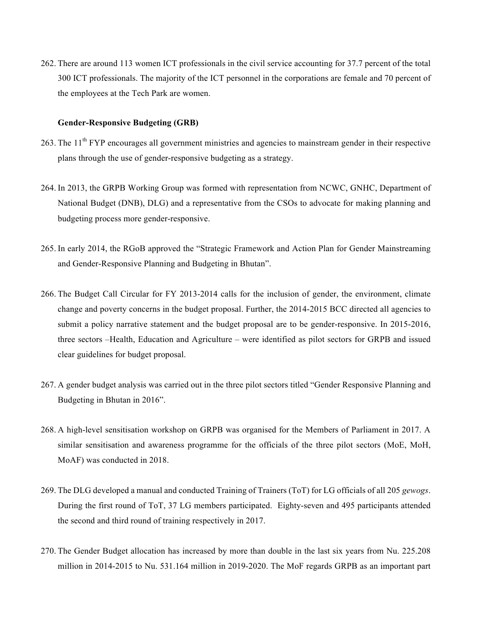262. There are around 113 women ICT professionals in the civil service accounting for 37.7 percent of the total 300 ICT professionals. The majority of the ICT personnel in the corporations are female and 70 percent of the employees at the Tech Park are women.

## **Gender-Responsive Budgeting (GRB)**

- 263. The 11<sup>th</sup> FYP encourages all government ministries and agencies to mainstream gender in their respective plans through the use of gender-responsive budgeting as a strategy.
- 264. In 2013, the GRPB Working Group was formed with representation from NCWC, GNHC, Department of National Budget (DNB), DLG) and a representative from the CSOs to advocate for making planning and budgeting process more gender-responsive.
- 265. In early 2014, the RGoB approved the "Strategic Framework and Action Plan for Gender Mainstreaming and Gender-Responsive Planning and Budgeting in Bhutan".
- 266. The Budget Call Circular for FY 2013-2014 calls for the inclusion of gender, the environment, climate change and poverty concerns in the budget proposal. Further, the 2014-2015 BCC directed all agencies to submit a policy narrative statement and the budget proposal are to be gender-responsive. In 2015-2016, three sectors –Health, Education and Agriculture – were identified as pilot sectors for GRPB and issued clear guidelines for budget proposal.
- 267. A gender budget analysis was carried out in the three pilot sectors titled "Gender Responsive Planning and Budgeting in Bhutan in 2016".
- 268. A high-level sensitisation workshop on GRPB was organised for the Members of Parliament in 2017. A similar sensitisation and awareness programme for the officials of the three pilot sectors (MoE, MoH, MoAF) was conducted in 2018.
- 269. The DLG developed a manual and conducted Training of Trainers (ToT) for LG officials of all 205 *gewogs*. During the first round of ToT, 37 LG members participated. Eighty-seven and 495 participants attended the second and third round of training respectively in 2017.
- 270. The Gender Budget allocation has increased by more than double in the last six years from Nu. 225.208 million in 2014-2015 to Nu. 531.164 million in 2019-2020. The MoF regards GRPB as an important part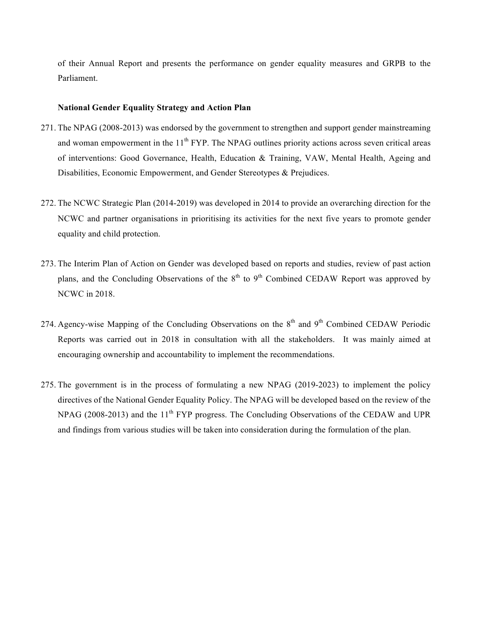of their Annual Report and presents the performance on gender equality measures and GRPB to the Parliament.

## **National Gender Equality Strategy and Action Plan**

- 271. The NPAG (2008-2013) was endorsed by the government to strengthen and support gender mainstreaming and woman empowerment in the 11<sup>th</sup> FYP. The NPAG outlines priority actions across seven critical areas of interventions: Good Governance, Health, Education & Training, VAW, Mental Health, Ageing and Disabilities, Economic Empowerment, and Gender Stereotypes & Prejudices.
- 272. The NCWC Strategic Plan (2014-2019) was developed in 2014 to provide an overarching direction for the NCWC and partner organisations in prioritising its activities for the next five years to promote gender equality and child protection.
- 273. The Interim Plan of Action on Gender was developed based on reports and studies, review of past action plans, and the Concluding Observations of the  $8<sup>th</sup>$  to  $9<sup>th</sup>$  Combined CEDAW Report was approved by NCWC in 2018.
- 274. Agency-wise Mapping of the Concluding Observations on the  $8<sup>th</sup>$  and  $9<sup>th</sup>$  Combined CEDAW Periodic Reports was carried out in 2018 in consultation with all the stakeholders. It was mainly aimed at encouraging ownership and accountability to implement the recommendations.
- 275. The government is in the process of formulating a new NPAG (2019-2023) to implement the policy directives of the National Gender Equality Policy. The NPAG will be developed based on the review of the NPAG (2008-2013) and the 11<sup>th</sup> FYP progress. The Concluding Observations of the CEDAW and UPR and findings from various studies will be taken into consideration during the formulation of the plan.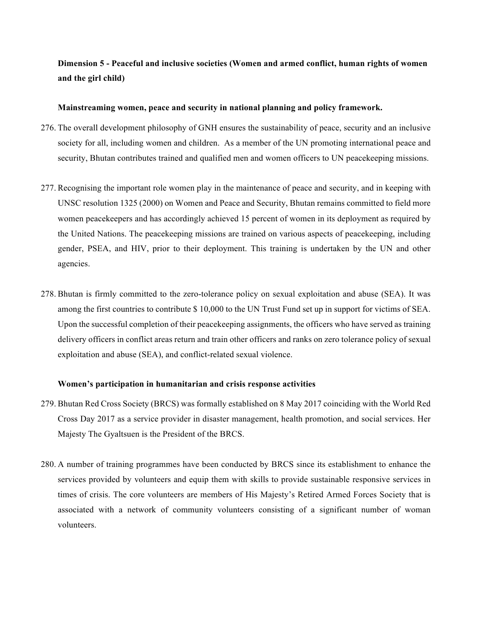# **Dimension 5 - Peaceful and inclusive societies (Women and armed conflict, human rights of women and the girl child)**

#### **Mainstreaming women, peace and security in national planning and policy framework.**

- 276. The overall development philosophy of GNH ensures the sustainability of peace, security and an inclusive society for all, including women and children. As a member of the UN promoting international peace and security, Bhutan contributes trained and qualified men and women officers to UN peacekeeping missions.
- 277. Recognising the important role women play in the maintenance of peace and security, and in keeping with UNSC resolution 1325 (2000) on Women and Peace and Security, Bhutan remains committed to field more women peacekeepers and has accordingly achieved 15 percent of women in its deployment as required by the United Nations. The peacekeeping missions are trained on various aspects of peacekeeping, including gender, PSEA, and HIV, prior to their deployment. This training is undertaken by the UN and other agencies.
- 278. Bhutan is firmly committed to the zero-tolerance policy on sexual exploitation and abuse (SEA). It was among the first countries to contribute \$ 10,000 to the UN Trust Fund set up in support for victims of SEA. Upon the successful completion of their peacekeeping assignments, the officers who have served as training delivery officers in conflict areas return and train other officers and ranks on zero tolerance policy of sexual exploitation and abuse (SEA), and conflict-related sexual violence.

#### **Women's participation in humanitarian and crisis response activities**

- 279. Bhutan Red Cross Society (BRCS) was formally established on 8 May 2017 coinciding with the World Red Cross Day 2017 as a service provider in disaster management, health promotion, and social services. Her Majesty The Gyaltsuen is the President of the BRCS.
- 280. A number of training programmes have been conducted by BRCS since its establishment to enhance the services provided by volunteers and equip them with skills to provide sustainable responsive services in times of crisis. The core volunteers are members of His Majesty's Retired Armed Forces Society that is associated with a network of community volunteers consisting of a significant number of woman volunteers.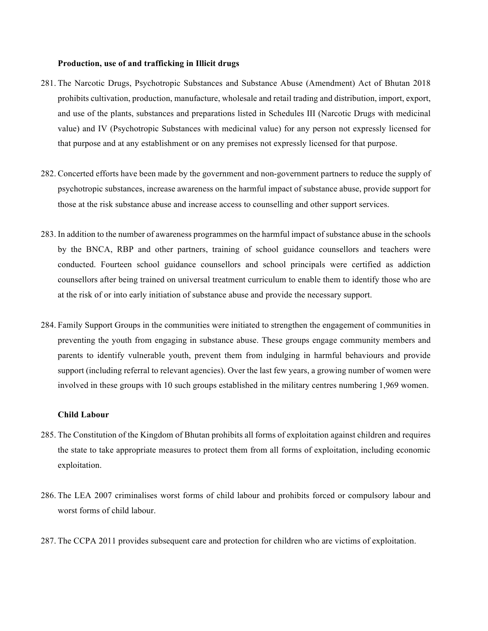#### **Production, use of and trafficking in Illicit drugs**

- 281. The Narcotic Drugs, Psychotropic Substances and Substance Abuse (Amendment) Act of Bhutan 2018 prohibits cultivation, production, manufacture, wholesale and retail trading and distribution, import, export, and use of the plants, substances and preparations listed in Schedules III (Narcotic Drugs with medicinal value) and IV (Psychotropic Substances with medicinal value) for any person not expressly licensed for that purpose and at any establishment or on any premises not expressly licensed for that purpose.
- 282. Concerted efforts have been made by the government and non-government partners to reduce the supply of psychotropic substances, increase awareness on the harmful impact of substance abuse, provide support for those at the risk substance abuse and increase access to counselling and other support services.
- 283. In addition to the number of awareness programmes on the harmful impact of substance abuse in the schools by the BNCA, RBP and other partners, training of school guidance counsellors and teachers were conducted. Fourteen school guidance counsellors and school principals were certified as addiction counsellors after being trained on universal treatment curriculum to enable them to identify those who are at the risk of or into early initiation of substance abuse and provide the necessary support.
- 284. Family Support Groups in the communities were initiated to strengthen the engagement of communities in preventing the youth from engaging in substance abuse. These groups engage community members and parents to identify vulnerable youth, prevent them from indulging in harmful behaviours and provide support (including referral to relevant agencies). Over the last few years, a growing number of women were involved in these groups with 10 such groups established in the military centres numbering 1,969 women.

#### **Child Labour**

- 285. The Constitution of the Kingdom of Bhutan prohibits all forms of exploitation against children and requires the state to take appropriate measures to protect them from all forms of exploitation, including economic exploitation.
- 286. The LEA 2007 criminalises worst forms of child labour and prohibits forced or compulsory labour and worst forms of child labour.
- 287. The CCPA 2011 provides subsequent care and protection for children who are victims of exploitation.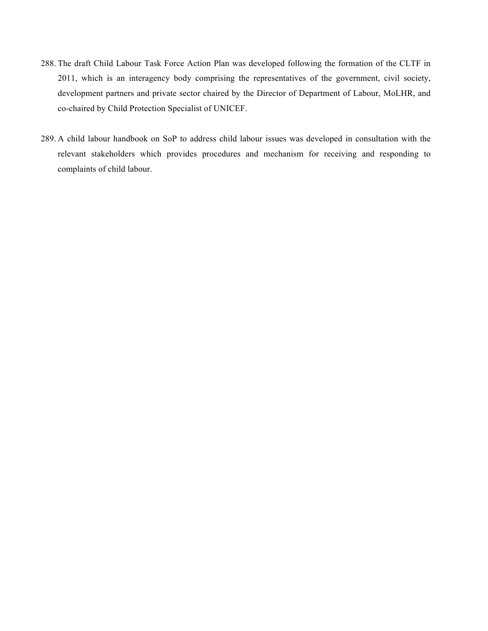- 288. The draft Child Labour Task Force Action Plan was developed following the formation of the CLTF in 2011, which is an interagency body comprising the representatives of the government, civil society, development partners and private sector chaired by the Director of Department of Labour, MoLHR, and co-chaired by Child Protection Specialist of UNICEF.
- 289. A child labour handbook on SoP to address child labour issues was developed in consultation with the relevant stakeholders which provides procedures and mechanism for receiving and responding to complaints of child labour.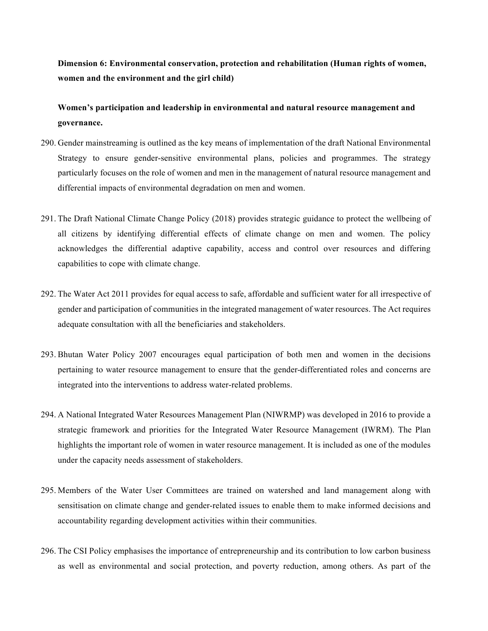**Dimension 6: Environmental conservation, protection and rehabilitation (Human rights of women, women and the environment and the girl child)**

**Women's participation and leadership in environmental and natural resource management and governance.** 

- 290. Gender mainstreaming is outlined as the key means of implementation of the draft National Environmental Strategy to ensure gender-sensitive environmental plans, policies and programmes. The strategy particularly focuses on the role of women and men in the management of natural resource management and differential impacts of environmental degradation on men and women.
- 291. The Draft National Climate Change Policy (2018) provides strategic guidance to protect the wellbeing of all citizens by identifying differential effects of climate change on men and women. The policy acknowledges the differential adaptive capability, access and control over resources and differing capabilities to cope with climate change.
- 292. The Water Act 2011 provides for equal access to safe, affordable and sufficient water for all irrespective of gender and participation of communities in the integrated management of water resources. The Act requires adequate consultation with all the beneficiaries and stakeholders.
- 293. Bhutan Water Policy 2007 encourages equal participation of both men and women in the decisions pertaining to water resource management to ensure that the gender-differentiated roles and concerns are integrated into the interventions to address water-related problems.
- 294. A National Integrated Water Resources Management Plan (NIWRMP) was developed in 2016 to provide a strategic framework and priorities for the Integrated Water Resource Management (IWRM). The Plan highlights the important role of women in water resource management. It is included as one of the modules under the capacity needs assessment of stakeholders.
- 295. Members of the Water User Committees are trained on watershed and land management along with sensitisation on climate change and gender-related issues to enable them to make informed decisions and accountability regarding development activities within their communities.
- 296. The CSI Policy emphasises the importance of entrepreneurship and its contribution to low carbon business as well as environmental and social protection, and poverty reduction, among others. As part of the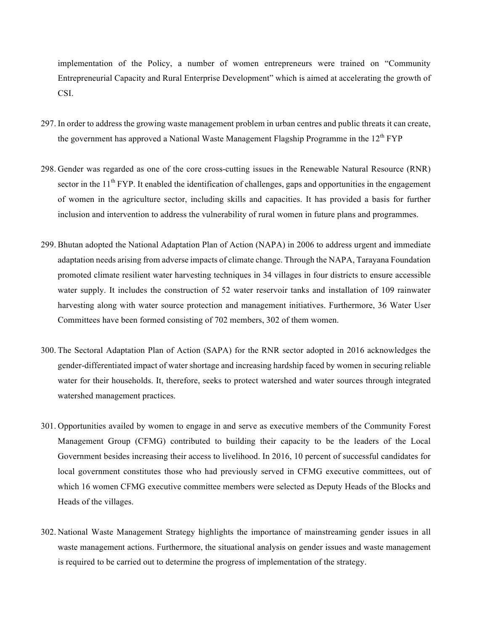implementation of the Policy, a number of women entrepreneurs were trained on "Community Entrepreneurial Capacity and Rural Enterprise Development" which is aimed at accelerating the growth of CSI.

- 297. In order to address the growing waste management problem in urban centres and public threats it can create, the government has approved a National Waste Management Flagship Programme in the 12<sup>th</sup> FYP
- 298. Gender was regarded as one of the core cross-cutting issues in the Renewable Natural Resource (RNR) sector in the  $11<sup>th</sup> FYP$ . It enabled the identification of challenges, gaps and opportunities in the engagement of women in the agriculture sector, including skills and capacities. It has provided a basis for further inclusion and intervention to address the vulnerability of rural women in future plans and programmes.
- 299. Bhutan adopted the National Adaptation Plan of Action (NAPA) in 2006 to address urgent and immediate adaptation needs arising from adverse impacts of climate change. Through the NAPA, Tarayana Foundation promoted climate resilient water harvesting techniques in 34 villages in four districts to ensure accessible water supply. It includes the construction of 52 water reservoir tanks and installation of 109 rainwater harvesting along with water source protection and management initiatives. Furthermore, 36 Water User Committees have been formed consisting of 702 members, 302 of them women.
- 300. The Sectoral Adaptation Plan of Action (SAPA) for the RNR sector adopted in 2016 acknowledges the gender-differentiated impact of water shortage and increasing hardship faced by women in securing reliable water for their households. It, therefore, seeks to protect watershed and water sources through integrated watershed management practices.
- 301. Opportunities availed by women to engage in and serve as executive members of the Community Forest Management Group (CFMG) contributed to building their capacity to be the leaders of the Local Government besides increasing their access to livelihood. In 2016, 10 percent of successful candidates for local government constitutes those who had previously served in CFMG executive committees, out of which 16 women CFMG executive committee members were selected as Deputy Heads of the Blocks and Heads of the villages.
- 302. National Waste Management Strategy highlights the importance of mainstreaming gender issues in all waste management actions. Furthermore, the situational analysis on gender issues and waste management is required to be carried out to determine the progress of implementation of the strategy.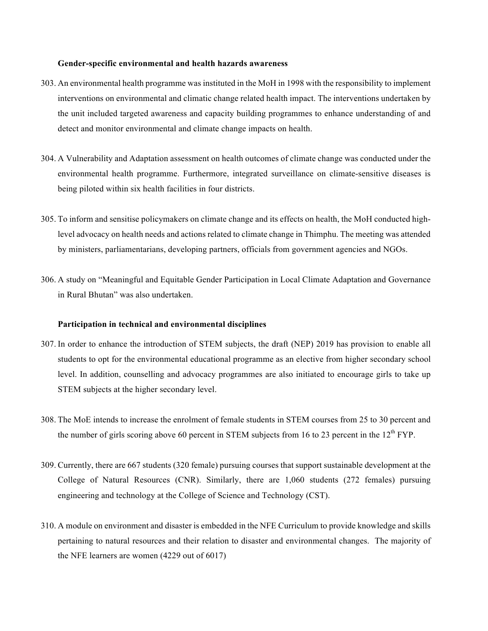#### **Gender-specific environmental and health hazards awareness**

- 303. An environmental health programme was instituted in the MoH in 1998 with the responsibility to implement interventions on environmental and climatic change related health impact. The interventions undertaken by the unit included targeted awareness and capacity building programmes to enhance understanding of and detect and monitor environmental and climate change impacts on health.
- 304. A Vulnerability and Adaptation assessment on health outcomes of climate change was conducted under the environmental health programme. Furthermore, integrated surveillance on climate-sensitive diseases is being piloted within six health facilities in four districts.
- 305. To inform and sensitise policymakers on climate change and its effects on health, the MoH conducted highlevel advocacy on health needs and actions related to climate change in Thimphu. The meeting was attended by ministers, parliamentarians, developing partners, officials from government agencies and NGOs.
- 306. A study on "Meaningful and Equitable Gender Participation in Local Climate Adaptation and Governance in Rural Bhutan" was also undertaken.

#### **Participation in technical and environmental disciplines**

- 307. In order to enhance the introduction of STEM subjects, the draft (NEP) 2019 has provision to enable all students to opt for the environmental educational programme as an elective from higher secondary school level. In addition, counselling and advocacy programmes are also initiated to encourage girls to take up STEM subjects at the higher secondary level.
- 308. The MoE intends to increase the enrolment of female students in STEM courses from 25 to 30 percent and the number of girls scoring above 60 percent in STEM subjects from 16 to 23 percent in the  $12<sup>th</sup> FYP$ .
- 309. Currently, there are 667 students (320 female) pursuing courses that support sustainable development at the College of Natural Resources (CNR). Similarly, there are 1,060 students (272 females) pursuing engineering and technology at the College of Science and Technology (CST).
- 310. A module on environment and disaster is embedded in the NFE Curriculum to provide knowledge and skills pertaining to natural resources and their relation to disaster and environmental changes. The majority of the NFE learners are women (4229 out of 6017)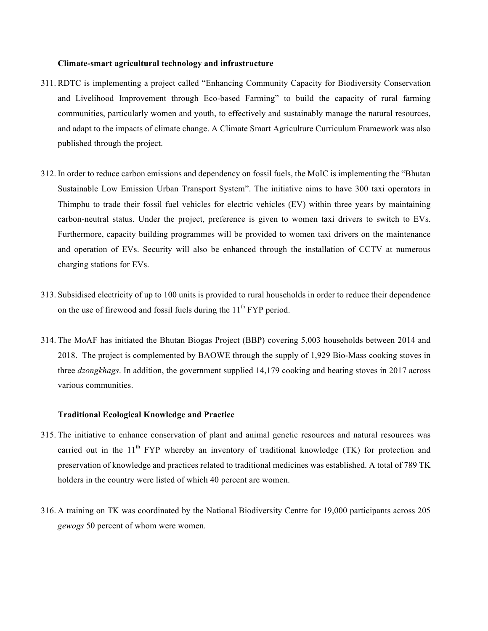#### **Climate-smart agricultural technology and infrastructure**

- 311. RDTC is implementing a project called "Enhancing Community Capacity for Biodiversity Conservation and Livelihood Improvement through Eco-based Farming" to build the capacity of rural farming communities, particularly women and youth, to effectively and sustainably manage the natural resources, and adapt to the impacts of climate change. A Climate Smart Agriculture Curriculum Framework was also published through the project.
- 312. In order to reduce carbon emissions and dependency on fossil fuels, the MoIC is implementing the "Bhutan Sustainable Low Emission Urban Transport System". The initiative aims to have 300 taxi operators in Thimphu to trade their fossil fuel vehicles for electric vehicles (EV) within three years by maintaining carbon-neutral status. Under the project, preference is given to women taxi drivers to switch to EVs. Furthermore, capacity building programmes will be provided to women taxi drivers on the maintenance and operation of EVs. Security will also be enhanced through the installation of CCTV at numerous charging stations for EVs.
- 313. Subsidised electricity of up to 100 units is provided to rural households in order to reduce their dependence on the use of firewood and fossil fuels during the  $11<sup>th</sup> FYP$  period.
- 314. The MoAF has initiated the Bhutan Biogas Project (BBP) covering 5,003 households between 2014 and 2018. The project is complemented by BAOWE through the supply of 1,929 Bio-Mass cooking stoves in three *dzongkhags*. In addition, the government supplied 14,179 cooking and heating stoves in 2017 across various communities.

#### **Traditional Ecological Knowledge and Practice**

- 315. The initiative to enhance conservation of plant and animal genetic resources and natural resources was carried out in the  $11<sup>th</sup> FYP$  whereby an inventory of traditional knowledge (TK) for protection and preservation of knowledge and practices related to traditional medicines was established. A total of 789 TK holders in the country were listed of which 40 percent are women.
- 316. A training on TK was coordinated by the National Biodiversity Centre for 19,000 participants across 205 *gewogs* 50 percent of whom were women.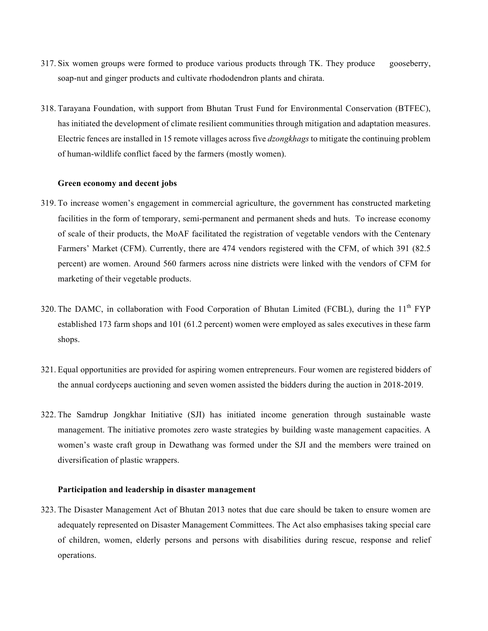- 317. Six women groups were formed to produce various products through TK. They produce gooseberry, soap-nut and ginger products and cultivate rhododendron plants and chirata.
- 318. Tarayana Foundation, with support from Bhutan Trust Fund for Environmental Conservation (BTFEC), has initiated the development of climate resilient communities through mitigation and adaptation measures. Electric fences are installed in 15 remote villages across five *dzongkhags* to mitigate the continuing problem of human-wildlife conflict faced by the farmers (mostly women).

## **Green economy and decent jobs**

- 319. To increase women's engagement in commercial agriculture, the government has constructed marketing facilities in the form of temporary, semi-permanent and permanent sheds and huts. To increase economy of scale of their products, the MoAF facilitated the registration of vegetable vendors with the Centenary Farmers' Market (CFM). Currently, there are 474 vendors registered with the CFM, of which 391 (82.5 percent) are women. Around 560 farmers across nine districts were linked with the vendors of CFM for marketing of their vegetable products.
- 320. The DAMC, in collaboration with Food Corporation of Bhutan Limited (FCBL), during the  $11<sup>th</sup> FYP$ established 173 farm shops and 101 (61.2 percent) women were employed as sales executives in these farm shops.
- 321. Equal opportunities are provided for aspiring women entrepreneurs. Four women are registered bidders of the annual cordyceps auctioning and seven women assisted the bidders during the auction in 2018-2019.
- 322. The Samdrup Jongkhar Initiative (SJI) has initiated income generation through sustainable waste management. The initiative promotes zero waste strategies by building waste management capacities. A women's waste craft group in Dewathang was formed under the SJI and the members were trained on diversification of plastic wrappers.

#### **Participation and leadership in disaster management**

323. The Disaster Management Act of Bhutan 2013 notes that due care should be taken to ensure women are adequately represented on Disaster Management Committees. The Act also emphasises taking special care of children, women, elderly persons and persons with disabilities during rescue, response and relief operations.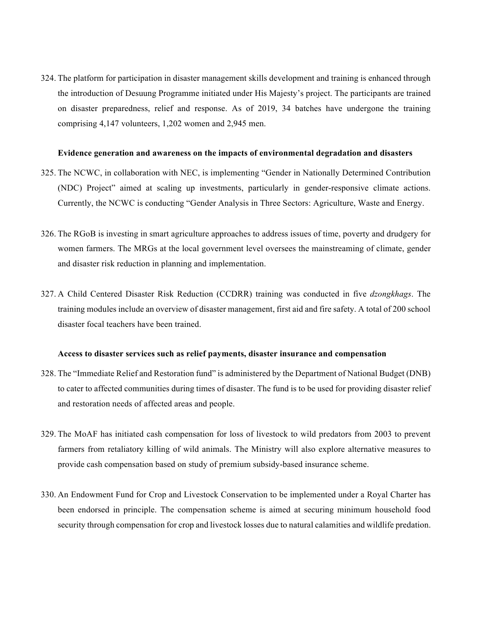324. The platform for participation in disaster management skills development and training is enhanced through the introduction of Desuung Programme initiated under His Majesty's project. The participants are trained on disaster preparedness, relief and response. As of 2019, 34 batches have undergone the training comprising 4,147 volunteers, 1,202 women and 2,945 men.

#### **Evidence generation and awareness on the impacts of environmental degradation and disasters**

- 325. The NCWC, in collaboration with NEC, is implementing "Gender in Nationally Determined Contribution (NDC) Project" aimed at scaling up investments, particularly in gender-responsive climate actions. Currently, the NCWC is conducting "Gender Analysis in Three Sectors: Agriculture, Waste and Energy.
- 326. The RGoB is investing in smart agriculture approaches to address issues of time, poverty and drudgery for women farmers. The MRGs at the local government level oversees the mainstreaming of climate, gender and disaster risk reduction in planning and implementation.
- 327. A Child Centered Disaster Risk Reduction (CCDRR) training was conducted in five *dzongkhags*. The training modules include an overview of disaster management, first aid and fire safety. A total of 200 school disaster focal teachers have been trained.

#### **Access to disaster services such as relief payments, disaster insurance and compensation**

- 328. The "Immediate Relief and Restoration fund" is administered by the Department of National Budget (DNB) to cater to affected communities during times of disaster. The fund is to be used for providing disaster relief and restoration needs of affected areas and people.
- 329. The MoAF has initiated cash compensation for loss of livestock to wild predators from 2003 to prevent farmers from retaliatory killing of wild animals. The Ministry will also explore alternative measures to provide cash compensation based on study of premium subsidy-based insurance scheme.
- 330. An Endowment Fund for Crop and Livestock Conservation to be implemented under a Royal Charter has been endorsed in principle. The compensation scheme is aimed at securing minimum household food security through compensation for crop and livestock losses due to natural calamities and wildlife predation.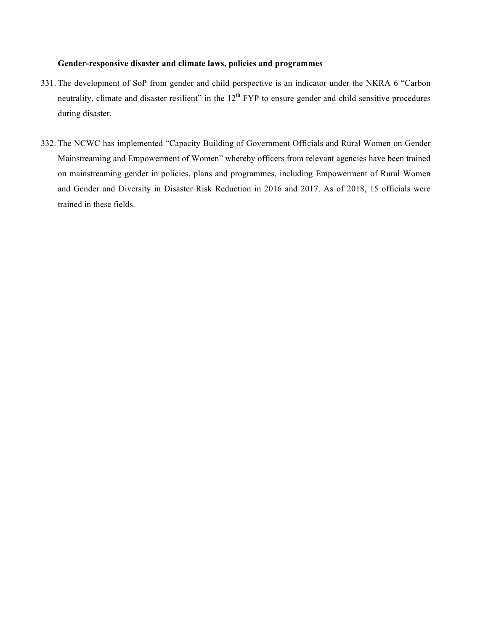# **Gender-responsive disaster and climate laws, policies and programmes**

- 331. The development of SoP from gender and child perspective is an indicator under the NKRA 6 "Carbon neutrality, climate and disaster resilient" in the  $12<sup>th</sup> FYP$  to ensure gender and child sensitive procedures during disaster.
- 332. The NCWC has implemented "Capacity Building of Government Officials and Rural Women on Gender Mainstreaming and Empowerment of Women" whereby officers from relevant agencies have been trained on mainstreaming gender in policies, plans and programmes, including Empowerment of Rural Women and Gender and Diversity in Disaster Risk Reduction in 2016 and 2017. As of 2018, 15 officials were trained in these fields.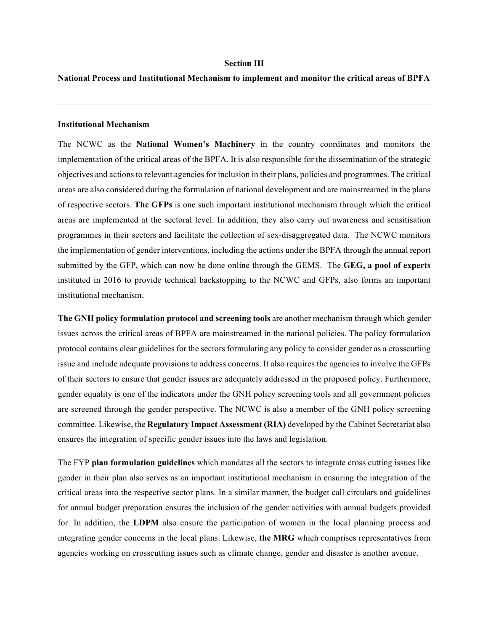#### **Section III**

# **National Process and Institutional Mechanism to implement and monitor the critical areas of BPFA**

#### **Institutional Mechanism**

The NCWC as the **National Women's Machinery** in the country coordinates and monitors the implementation of the critical areas of the BPFA. It is also responsible for the dissemination of the strategic objectives and actions to relevant agencies for inclusion in their plans, policies and programmes. The critical areas are also considered during the formulation of national development and are mainstreamed in the plans of respective sectors. **The GFPs** is one such important institutional mechanism through which the critical areas are implemented at the sectoral level. In addition, they also carry out awareness and sensitisation programmes in their sectors and facilitate the collection of sex-disaggregated data. The NCWC monitors the implementation of gender interventions, including the actions under the BPFA through the annual report submitted by the GFP, which can now be done online through the GEMS. The **GEG, a pool of experts** instituted in 2016 to provide technical backstopping to the NCWC and GFPs, also forms an important institutional mechanism.

**The GNH policy formulation protocol and screening tools** are another mechanism through which gender issues across the critical areas of BPFA are mainstreamed in the national policies. The policy formulation protocol contains clear guidelines for the sectors formulating any policy to consider gender as a crosscutting issue and include adequate provisions to address concerns. It also requires the agencies to involve the GFPs of their sectors to ensure that gender issues are adequately addressed in the proposed policy. Furthermore, gender equality is one of the indicators under the GNH policy screening tools and all government policies are screened through the gender perspective. The NCWC is also a member of the GNH policy screening committee. Likewise, the **Regulatory Impact Assessment (RIA)** developed by the Cabinet Secretariat also ensures the integration of specific gender issues into the laws and legislation.

The FYP **plan formulation guidelines** which mandates all the sectors to integrate cross cutting issues like gender in their plan also serves as an important institutional mechanism in ensuring the integration of the critical areas into the respective sector plans. In a similar manner, the budget call circulars and guidelines for annual budget preparation ensures the inclusion of the gender activities with annual budgets provided for. In addition, the **LDPM** also ensure the participation of women in the local planning process and integrating gender concerns in the local plans. Likewise, **the MRG** which comprises representatives from agencies working on crosscutting issues such as climate change, gender and disaster is another avenue.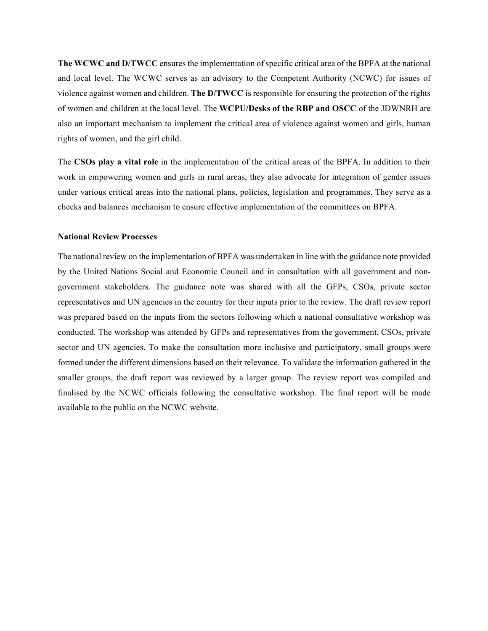**The WCWC and D/TWCC** ensures the implementation of specific critical area of the BPFA at the national and local level. The WCWC serves as an advisory to the Competent Authority (NCWC) for issues of violence against women and children. **The D/TWCC** is responsible for ensuring the protection of the rights of women and children at the local level. The **WCPU/Desks of the RBP and OSCC** of the JDWNRH are also an important mechanism to implement the critical area of violence against women and girls, human rights of women, and the girl child.

The **CSOs play a vital role** in the implementation of the critical areas of the BPFA. In addition to their work in empowering women and girls in rural areas, they also advocate for integration of gender issues under various critical areas into the national plans, policies, legislation and programmes. They serve as a checks and balances mechanism to ensure effective implementation of the committees on BPFA.

#### **National Review Processes**

The national review on the implementation of BPFA was undertaken in line with the guidance note provided by the United Nations Social and Economic Council and in consultation with all government and nongovernment stakeholders. The guidance note was shared with all the GFPs, CSOs, private sector representatives and UN agencies in the country for their inputs prior to the review. The draft review report was prepared based on the inputs from the sectors following which a national consultative workshop was conducted. The workshop was attended by GFPs and representatives from the government, CSOs, private sector and UN agencies. To make the consultation more inclusive and participatory, small groups were formed under the different dimensions based on their relevance. To validate the information gathered in the smaller groups, the draft report was reviewed by a larger group. The review report was compiled and finalised by the NCWC officials following the consultative workshop. The final report will be made available to the public on the NCWC website.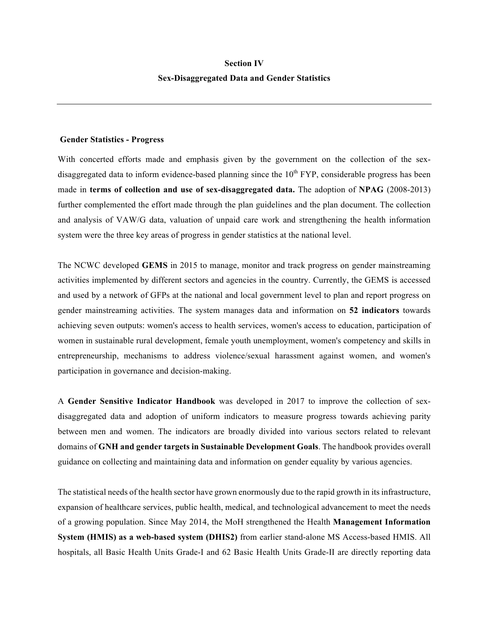# **Section IV Sex-Disaggregated Data and Gender Statistics**

#### **Gender Statistics - Progress**

With concerted efforts made and emphasis given by the government on the collection of the sexdisaggregated data to inform evidence-based planning since the  $10<sup>th</sup> FYP$ , considerable progress has been made in **terms of collection and use of sex-disaggregated data.** The adoption of **NPAG** (2008-2013) further complemented the effort made through the plan guidelines and the plan document. The collection and analysis of VAW/G data, valuation of unpaid care work and strengthening the health information system were the three key areas of progress in gender statistics at the national level.

The NCWC developed **GEMS** in 2015 to manage, monitor and track progress on gender mainstreaming activities implemented by different sectors and agencies in the country. Currently, the GEMS is accessed and used by a network of GFPs at the national and local government level to plan and report progress on gender mainstreaming activities. The system manages data and information on **52 indicators** towards achieving seven outputs: women's access to health services, women's access to education, participation of women in sustainable rural development, female youth unemployment, women's competency and skills in entrepreneurship, mechanisms to address violence/sexual harassment against women, and women's participation in governance and decision-making.

A **Gender Sensitive Indicator Handbook** was developed in 2017 to improve the collection of sexdisaggregated data and adoption of uniform indicators to measure progress towards achieving parity between men and women. The indicators are broadly divided into various sectors related to relevant domains of **GNH and gender targets in Sustainable Development Goals**. The handbook provides overall guidance on collecting and maintaining data and information on gender equality by various agencies.

The statistical needs of the health sector have grown enormously due to the rapid growth in its infrastructure, expansion of healthcare services, public health, medical, and technological advancement to meet the needs of a growing population. Since May 2014, the MoH strengthened the Health **Management Information System (HMIS) as a web-based system (DHIS2)** from earlier stand-alone MS Access-based HMIS. All hospitals, all Basic Health Units Grade-I and 62 Basic Health Units Grade-II are directly reporting data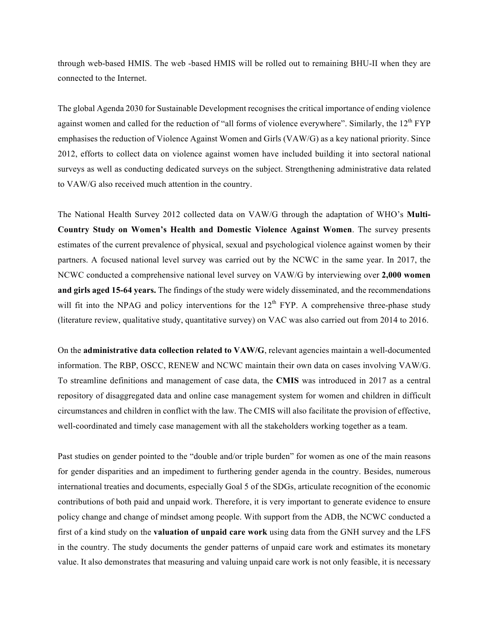through web-based HMIS. The web -based HMIS will be rolled out to remaining BHU-II when they are connected to the Internet.

The global Agenda 2030 for Sustainable Development recognises the critical importance of ending violence against women and called for the reduction of "all forms of violence everywhere". Similarly, the 12<sup>th</sup> FYP emphasises the reduction of Violence Against Women and Girls (VAW/G) as a key national priority. Since 2012, efforts to collect data on violence against women have included building it into sectoral national surveys as well as conducting dedicated surveys on the subject. Strengthening administrative data related to VAW/G also received much attention in the country.

The National Health Survey 2012 collected data on VAW/G through the adaptation of WHO's **Multi-Country Study on Women's Health and Domestic Violence Against Women**. The survey presents estimates of the current prevalence of physical, sexual and psychological violence against women by their partners. A focused national level survey was carried out by the NCWC in the same year. In 2017, the NCWC conducted a comprehensive national level survey on VAW/G by interviewing over **2,000 women and girls aged 15-64 years.** The findings of the study were widely disseminated, and the recommendations will fit into the NPAG and policy interventions for the  $12<sup>th</sup> FYP$ . A comprehensive three-phase study (literature review, qualitative study, quantitative survey) on VAC was also carried out from 2014 to 2016.

On the **administrative data collection related to VAW/G**, relevant agencies maintain a well-documented information. The RBP, OSCC, RENEW and NCWC maintain their own data on cases involving VAW/G. To streamline definitions and management of case data, the **CMIS** was introduced in 2017 as a central repository of disaggregated data and online case management system for women and children in difficult circumstances and children in conflict with the law. The CMIS will also facilitate the provision of effective, well-coordinated and timely case management with all the stakeholders working together as a team.

Past studies on gender pointed to the "double and/or triple burden" for women as one of the main reasons for gender disparities and an impediment to furthering gender agenda in the country. Besides, numerous international treaties and documents, especially Goal 5 of the SDGs, articulate recognition of the economic contributions of both paid and unpaid work. Therefore, it is very important to generate evidence to ensure policy change and change of mindset among people. With support from the ADB, the NCWC conducted a first of a kind study on the **valuation of unpaid care work** using data from the GNH survey and the LFS in the country. The study documents the gender patterns of unpaid care work and estimates its monetary value. It also demonstrates that measuring and valuing unpaid care work is not only feasible, it is necessary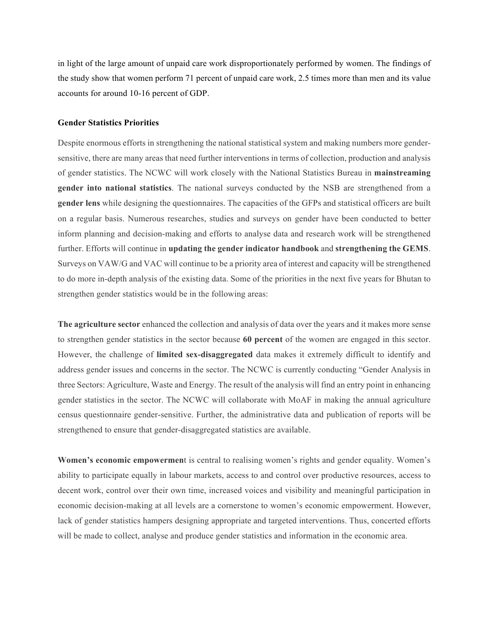in light of the large amount of unpaid care work disproportionately performed by women. The findings of the study show that women perform 71 percent of unpaid care work, 2.5 times more than men and its value accounts for around 10-16 percent of GDP.

### **Gender Statistics Priorities**

Despite enormous efforts in strengthening the national statistical system and making numbers more gendersensitive, there are many areas that need further interventions in terms of collection, production and analysis of gender statistics. The NCWC will work closely with the National Statistics Bureau in **mainstreaming gender into national statistics**. The national surveys conducted by the NSB are strengthened from a **gender lens** while designing the questionnaires. The capacities of the GFPs and statistical officers are built on a regular basis. Numerous researches, studies and surveys on gender have been conducted to better inform planning and decision-making and efforts to analyse data and research work will be strengthened further. Efforts will continue in **updating the gender indicator handbook** and **strengthening the GEMS**. Surveys on VAW/G and VAC will continue to be a priority area of interest and capacity will be strengthened to do more in-depth analysis of the existing data. Some of the priorities in the next five years for Bhutan to strengthen gender statistics would be in the following areas:

**The agriculture sector** enhanced the collection and analysis of data over the years and it makes more sense to strengthen gender statistics in the sector because **60 percent** of the women are engaged in this sector. However, the challenge of **limited sex-disaggregated** data makes it extremely difficult to identify and address gender issues and concerns in the sector. The NCWC is currently conducting "Gender Analysis in three Sectors: Agriculture, Waste and Energy. The result of the analysis will find an entry point in enhancing gender statistics in the sector. The NCWC will collaborate with MoAF in making the annual agriculture census questionnaire gender-sensitive. Further, the administrative data and publication of reports will be strengthened to ensure that gender-disaggregated statistics are available.

**Women's economic empowermen**t is central to realising women's rights and gender equality. Women's ability to participate equally in labour markets, access to and control over productive resources, access to decent work, control over their own time, increased voices and visibility and meaningful participation in economic decision-making at all levels are a cornerstone to women's economic empowerment. However, lack of gender statistics hampers designing appropriate and targeted interventions. Thus, concerted efforts will be made to collect, analyse and produce gender statistics and information in the economic area.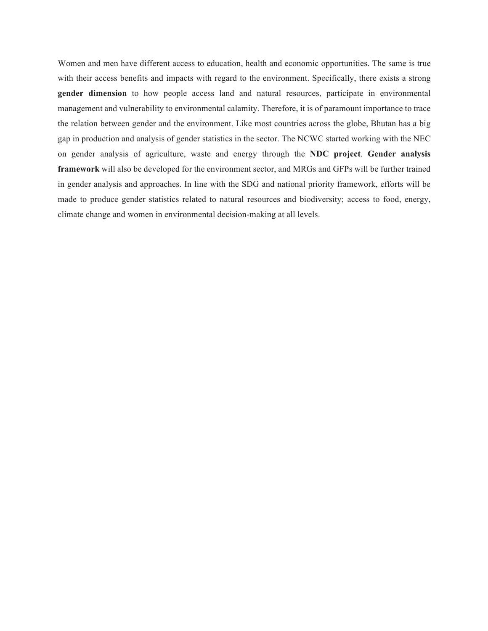Women and men have different access to education, health and economic opportunities. The same is true with their access benefits and impacts with regard to the environment. Specifically, there exists a strong **gender dimension** to how people access land and natural resources, participate in environmental management and vulnerability to environmental calamity. Therefore, it is of paramount importance to trace the relation between gender and the environment. Like most countries across the globe, Bhutan has a big gap in production and analysis of gender statistics in the sector. The NCWC started working with the NEC on gender analysis of agriculture, waste and energy through the **NDC project**. **Gender analysis framework** will also be developed for the environment sector, and MRGs and GFPs will be further trained in gender analysis and approaches. In line with the SDG and national priority framework, efforts will be made to produce gender statistics related to natural resources and biodiversity; access to food, energy, climate change and women in environmental decision-making at all levels.